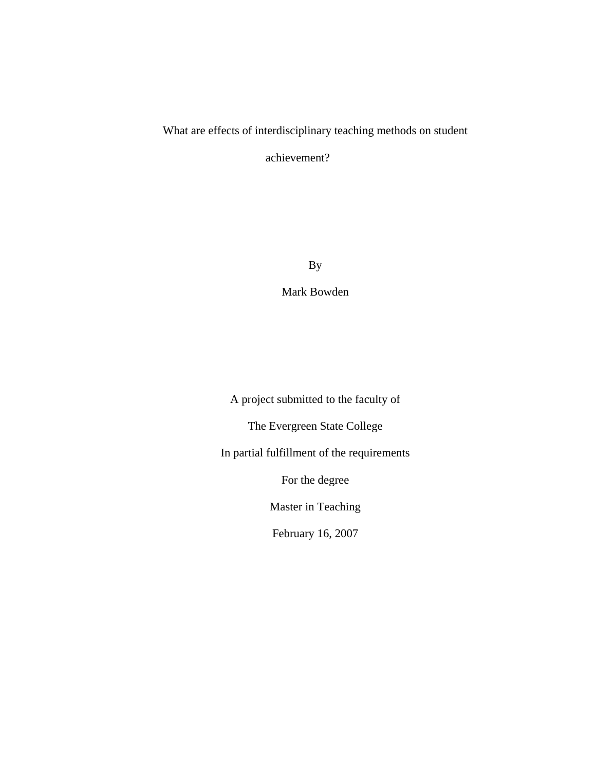# What are effects of interdisciplinary teaching methods on student

achievement?

By

Mark Bowden

A project submitted to the faculty of

The Evergreen State College

In partial fulfillment of the requirements

For the degree

Master in Teaching

February 16, 2007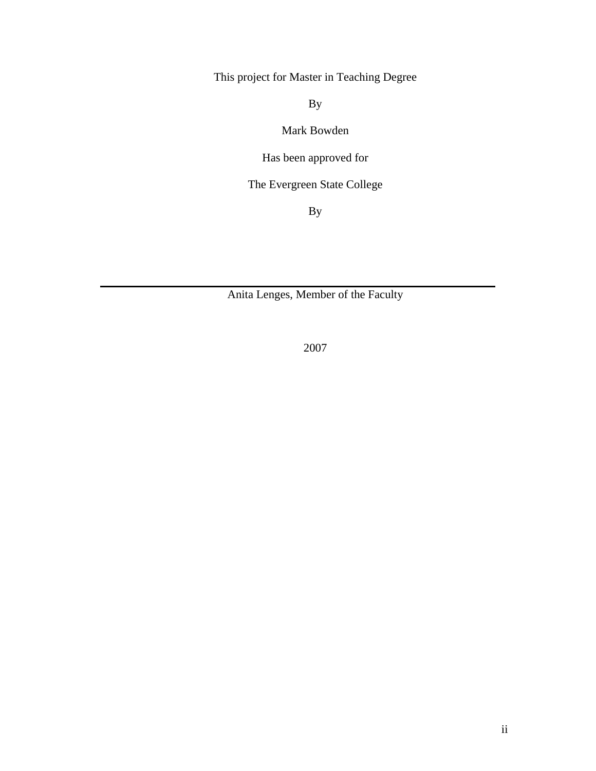This project for Master in Teaching Degree

By

Mark Bowden

Has been approved for

The Evergreen State College

By

Anita Lenges, Member of the Faculty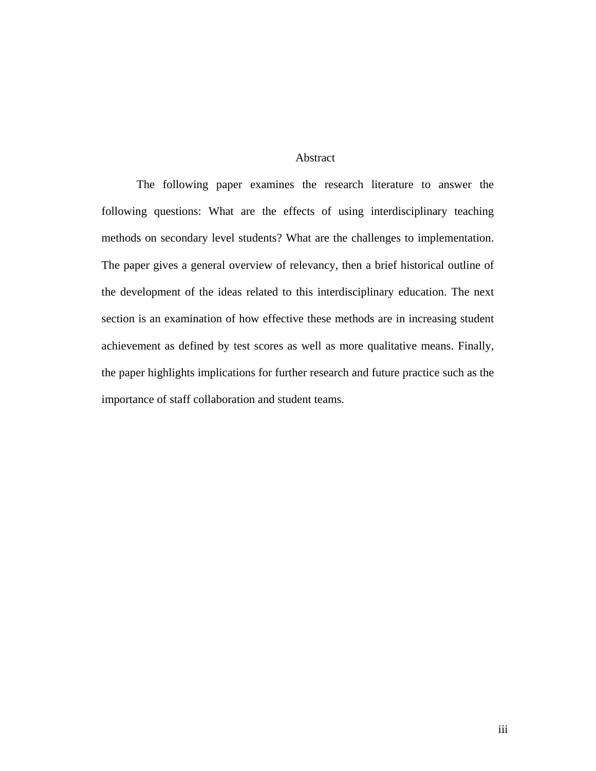# Abstract

<span id="page-2-0"></span>The following paper examines the research literature to answer the following questions: What are the effects of using interdisciplinary teaching methods on secondary level students? What are the challenges to implementation. The paper gives a general overview of relevancy, then a brief historical outline of the development of the ideas related to this interdisciplinary education. The next section is an examination of how effective these methods are in increasing student achievement as defined by test scores as well as more qualitative means. Finally, the paper highlights implications for further research and future practice such as the importance of staff collaboration and student teams.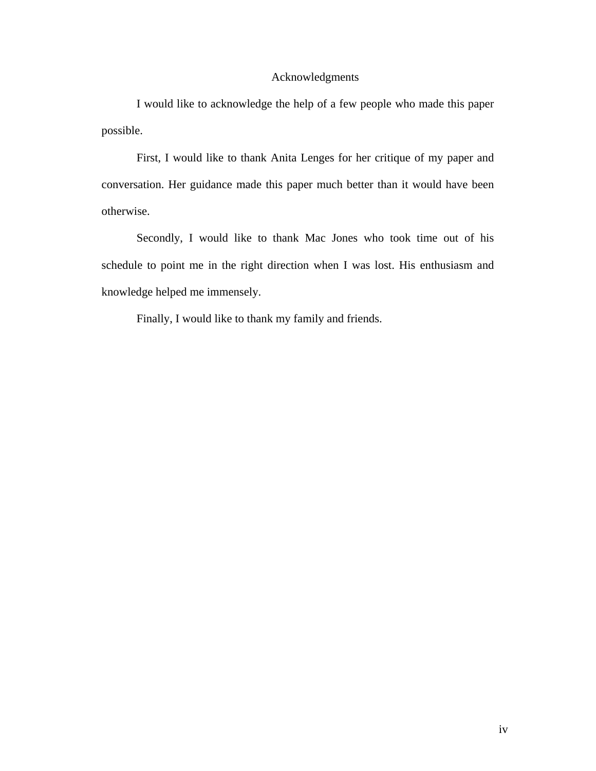# Acknowledgments

<span id="page-3-0"></span>I would like to acknowledge the help of a few people who made this paper possible.

First, I would like to thank Anita Lenges for her critique of my paper and conversation. Her guidance made this paper much better than it would have been otherwise.

Secondly, I would like to thank Mac Jones who took time out of his schedule to point me in the right direction when I was lost. His enthusiasm and knowledge helped me immensely.

Finally, I would like to thank my family and friends.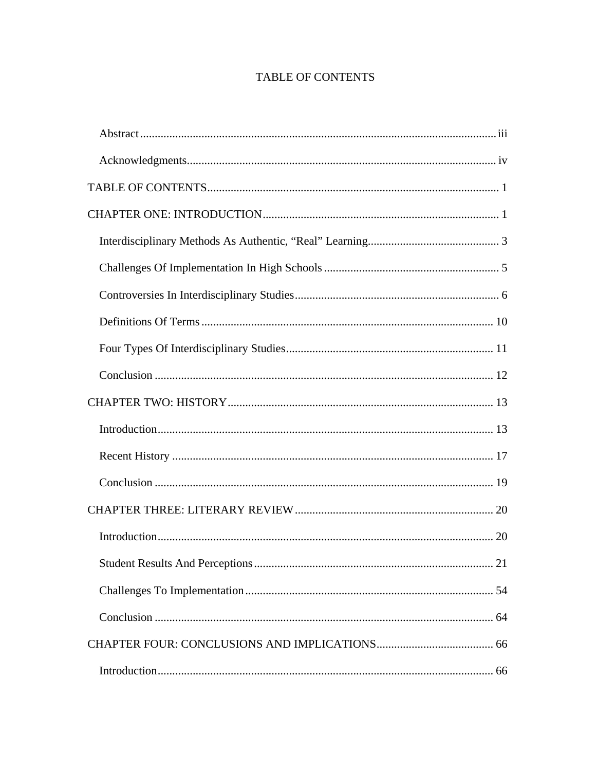# TABLE OF CONTENTS

<span id="page-4-0"></span>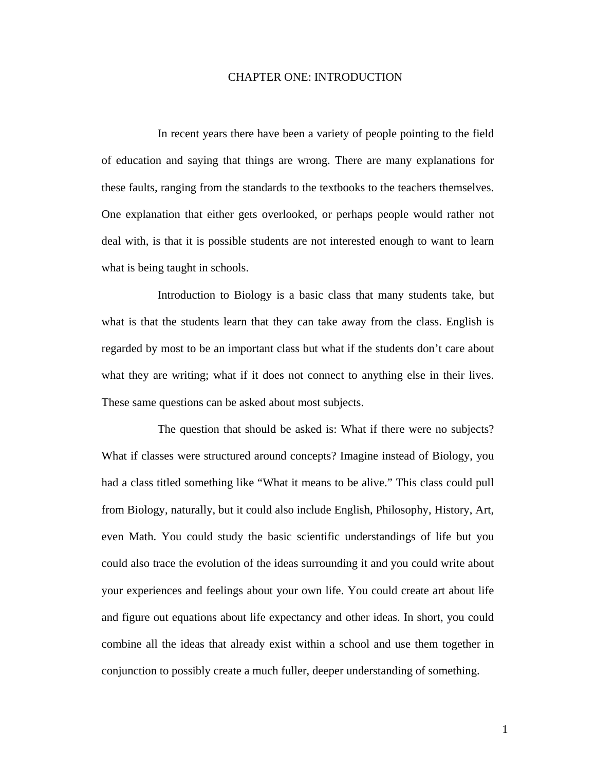### CHAPTER ONE: INTRODUCTION

<span id="page-6-0"></span> In recent years there have been a variety of people pointing to the field of education and saying that things are wrong. There are many explanations for these faults, ranging from the standards to the textbooks to the teachers themselves. One explanation that either gets overlooked, or perhaps people would rather not deal with, is that it is possible students are not interested enough to want to learn what is being taught in schools.

 Introduction to Biology is a basic class that many students take, but what is that the students learn that they can take away from the class. English is regarded by most to be an important class but what if the students don't care about what they are writing; what if it does not connect to anything else in their lives. These same questions can be asked about most subjects.

 The question that should be asked is: What if there were no subjects? What if classes were structured around concepts? Imagine instead of Biology, you had a class titled something like "What it means to be alive." This class could pull from Biology, naturally, but it could also include English, Philosophy, History, Art, even Math. You could study the basic scientific understandings of life but you could also trace the evolution of the ideas surrounding it and you could write about your experiences and feelings about your own life. You could create art about life and figure out equations about life expectancy and other ideas. In short, you could combine all the ideas that already exist within a school and use them together in conjunction to possibly create a much fuller, deeper understanding of something.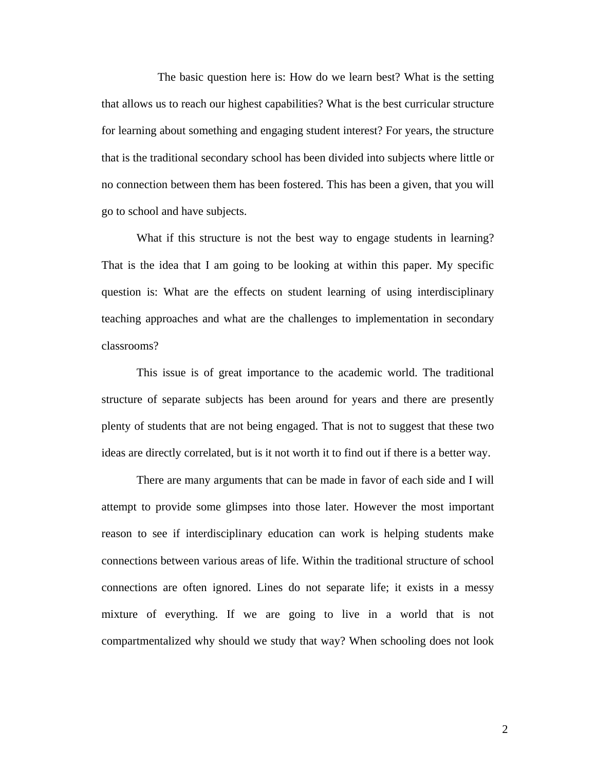The basic question here is: How do we learn best? What is the setting that allows us to reach our highest capabilities? What is the best curricular structure for learning about something and engaging student interest? For years, the structure that is the traditional secondary school has been divided into subjects where little or no connection between them has been fostered. This has been a given, that you will go to school and have subjects.

What if this structure is not the best way to engage students in learning? That is the idea that I am going to be looking at within this paper. My specific question is: What are the effects on student learning of using interdisciplinary teaching approaches and what are the challenges to implementation in secondary classrooms?

This issue is of great importance to the academic world. The traditional structure of separate subjects has been around for years and there are presently plenty of students that are not being engaged. That is not to suggest that these two ideas are directly correlated, but is it not worth it to find out if there is a better way.

There are many arguments that can be made in favor of each side and I will attempt to provide some glimpses into those later. However the most important reason to see if interdisciplinary education can work is helping students make connections between various areas of life. Within the traditional structure of school connections are often ignored. Lines do not separate life; it exists in a messy mixture of everything. If we are going to live in a world that is not compartmentalized why should we study that way? When schooling does not look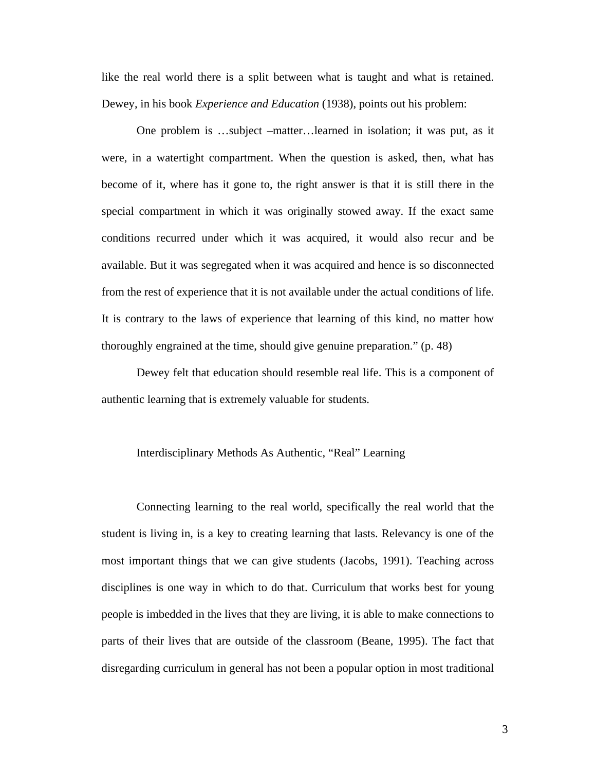<span id="page-8-0"></span>like the real world there is a split between what is taught and what is retained. Dewey, in his book *Experience and Education* (1938), points out his problem:

One problem is …subject –matter…learned in isolation; it was put, as it were, in a watertight compartment. When the question is asked, then, what has become of it, where has it gone to, the right answer is that it is still there in the special compartment in which it was originally stowed away. If the exact same conditions recurred under which it was acquired, it would also recur and be available. But it was segregated when it was acquired and hence is so disconnected from the rest of experience that it is not available under the actual conditions of life. It is contrary to the laws of experience that learning of this kind, no matter how thoroughly engrained at the time, should give genuine preparation." (p. 48)

Dewey felt that education should resemble real life. This is a component of authentic learning that is extremely valuable for students.

#### Interdisciplinary Methods As Authentic, "Real" Learning

Connecting learning to the real world, specifically the real world that the student is living in, is a key to creating learning that lasts. Relevancy is one of the most important things that we can give students (Jacobs, 1991). Teaching across disciplines is one way in which to do that. Curriculum that works best for young people is imbedded in the lives that they are living, it is able to make connections to parts of their lives that are outside of the classroom (Beane, 1995). The fact that disregarding curriculum in general has not been a popular option in most traditional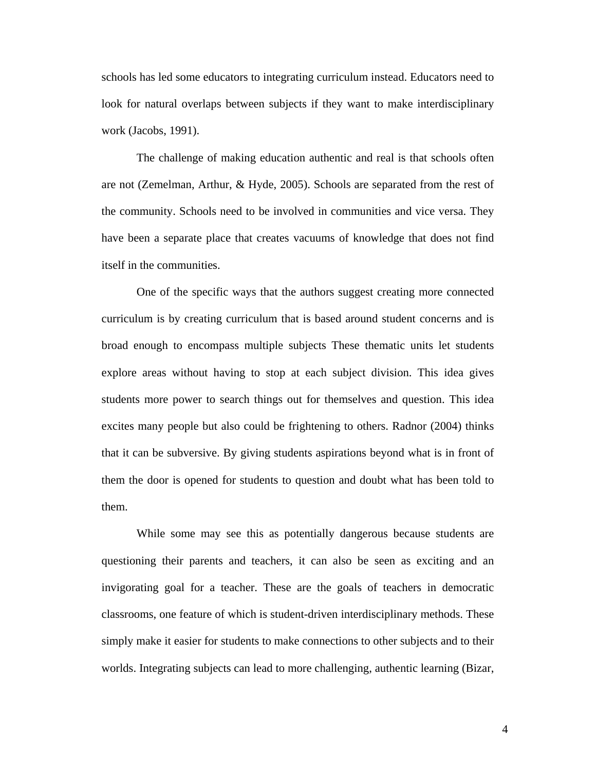schools has led some educators to integrating curriculum instead. Educators need to look for natural overlaps between subjects if they want to make interdisciplinary work (Jacobs, 1991).

The challenge of making education authentic and real is that schools often are not (Zemelman, Arthur, & Hyde, 2005). Schools are separated from the rest of the community. Schools need to be involved in communities and vice versa. They have been a separate place that creates vacuums of knowledge that does not find itself in the communities.

One of the specific ways that the authors suggest creating more connected curriculum is by creating curriculum that is based around student concerns and is broad enough to encompass multiple subjects These thematic units let students explore areas without having to stop at each subject division. This idea gives students more power to search things out for themselves and question. This idea excites many people but also could be frightening to others. Radnor (2004) thinks that it can be subversive. By giving students aspirations beyond what is in front of them the door is opened for students to question and doubt what has been told to them.

While some may see this as potentially dangerous because students are questioning their parents and teachers, it can also be seen as exciting and an invigorating goal for a teacher. These are the goals of teachers in democratic classrooms, one feature of which is student-driven interdisciplinary methods. These simply make it easier for students to make connections to other subjects and to their worlds. Integrating subjects can lead to more challenging, authentic learning (Bizar,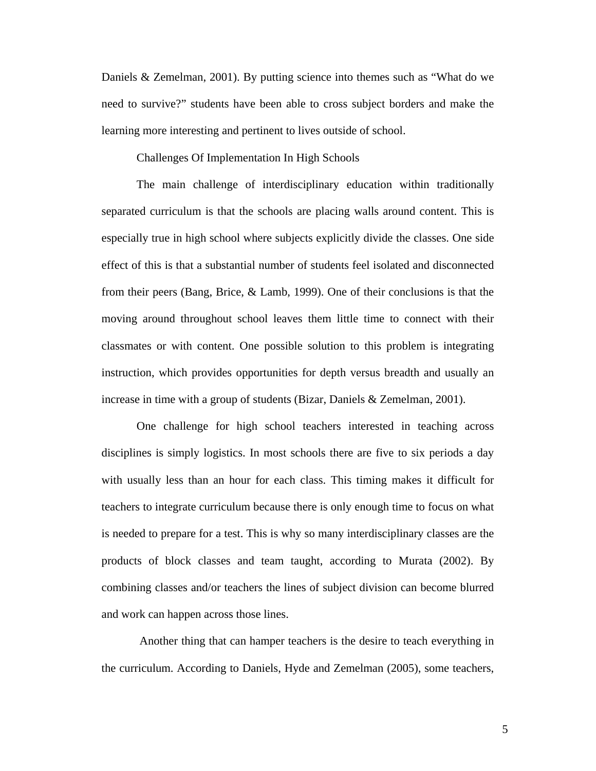<span id="page-10-0"></span>Daniels & Zemelman, 2001). By putting science into themes such as "What do we need to survive?" students have been able to cross subject borders and make the learning more interesting and pertinent to lives outside of school.

Challenges Of Implementation In High Schools

The main challenge of interdisciplinary education within traditionally separated curriculum is that the schools are placing walls around content. This is especially true in high school where subjects explicitly divide the classes. One side effect of this is that a substantial number of students feel isolated and disconnected from their peers (Bang, Brice, & Lamb, 1999). One of their conclusions is that the moving around throughout school leaves them little time to connect with their classmates or with content. One possible solution to this problem is integrating instruction, which provides opportunities for depth versus breadth and usually an increase in time with a group of students (Bizar, Daniels & Zemelman, 2001).

One challenge for high school teachers interested in teaching across disciplines is simply logistics. In most schools there are five to six periods a day with usually less than an hour for each class. This timing makes it difficult for teachers to integrate curriculum because there is only enough time to focus on what is needed to prepare for a test. This is why so many interdisciplinary classes are the products of block classes and team taught, according to Murata (2002). By combining classes and/or teachers the lines of subject division can become blurred and work can happen across those lines.

 Another thing that can hamper teachers is the desire to teach everything in the curriculum. According to Daniels, Hyde and Zemelman (2005), some teachers,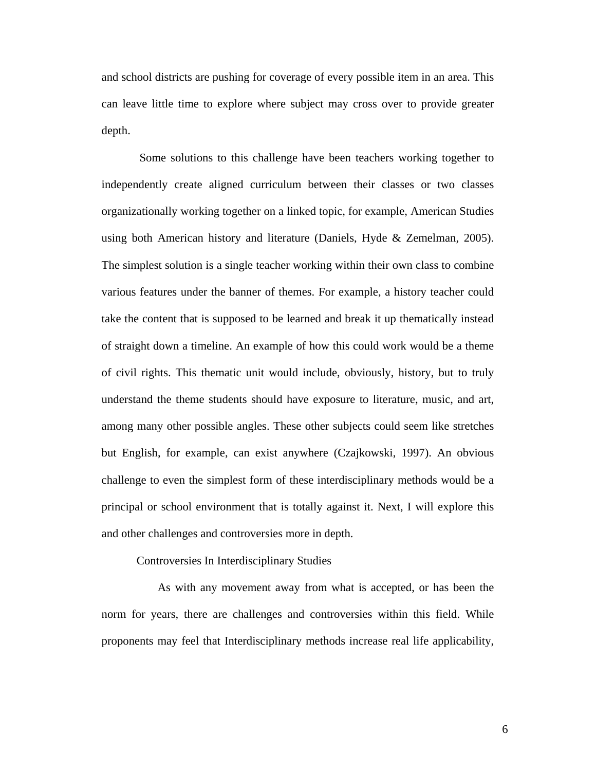<span id="page-11-0"></span>and school districts are pushing for coverage of every possible item in an area. This can leave little time to explore where subject may cross over to provide greater depth.

 Some solutions to this challenge have been teachers working together to independently create aligned curriculum between their classes or two classes organizationally working together on a linked topic, for example, American Studies using both American history and literature (Daniels, Hyde & Zemelman, 2005). The simplest solution is a single teacher working within their own class to combine various features under the banner of themes. For example, a history teacher could take the content that is supposed to be learned and break it up thematically instead of straight down a timeline. An example of how this could work would be a theme of civil rights. This thematic unit would include, obviously, history, but to truly understand the theme students should have exposure to literature, music, and art, among many other possible angles. These other subjects could seem like stretches but English, for example, can exist anywhere (Czajkowski, 1997). An obvious challenge to even the simplest form of these interdisciplinary methods would be a principal or school environment that is totally against it. Next, I will explore this and other challenges and controversies more in depth.

Controversies In Interdisciplinary Studies

 As with any movement away from what is accepted, or has been the norm for years, there are challenges and controversies within this field. While proponents may feel that Interdisciplinary methods increase real life applicability,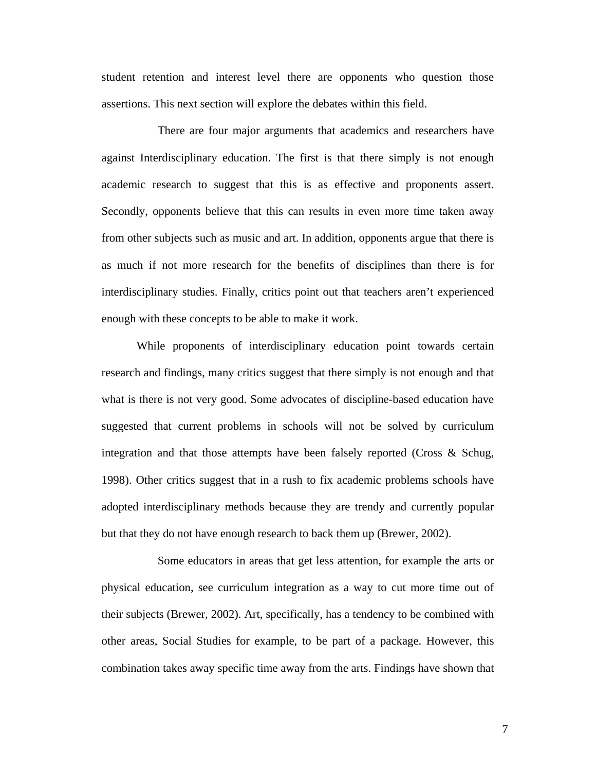student retention and interest level there are opponents who question those assertions. This next section will explore the debates within this field.

 There are four major arguments that academics and researchers have against Interdisciplinary education. The first is that there simply is not enough academic research to suggest that this is as effective and proponents assert. Secondly, opponents believe that this can results in even more time taken away from other subjects such as music and art. In addition, opponents argue that there is as much if not more research for the benefits of disciplines than there is for interdisciplinary studies. Finally, critics point out that teachers aren't experienced enough with these concepts to be able to make it work.

While proponents of interdisciplinary education point towards certain research and findings, many critics suggest that there simply is not enough and that what is there is not very good. Some advocates of discipline-based education have suggested that current problems in schools will not be solved by curriculum integration and that those attempts have been falsely reported (Cross & Schug, 1998). Other critics suggest that in a rush to fix academic problems schools have adopted interdisciplinary methods because they are trendy and currently popular but that they do not have enough research to back them up (Brewer, 2002).

 Some educators in areas that get less attention, for example the arts or physical education, see curriculum integration as a way to cut more time out of their subjects (Brewer, 2002). Art, specifically, has a tendency to be combined with other areas, Social Studies for example, to be part of a package. However, this combination takes away specific time away from the arts. Findings have shown that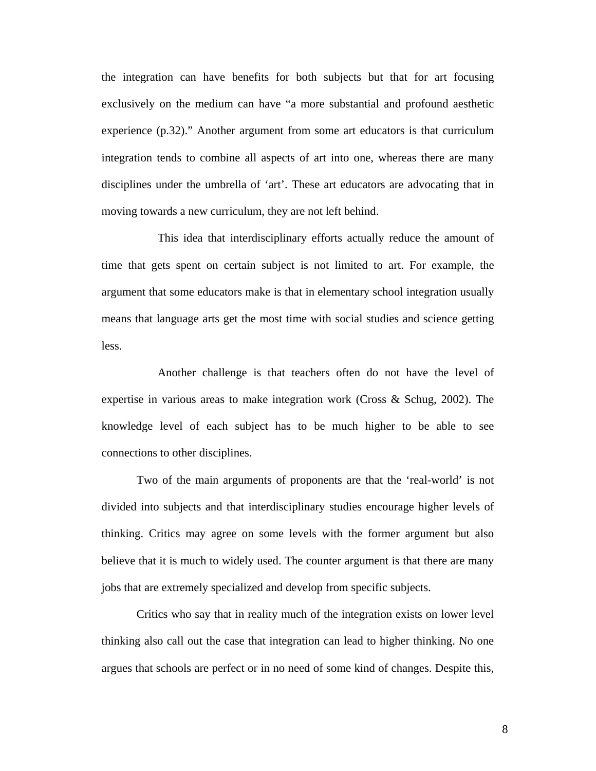the integration can have benefits for both subjects but that for art focusing exclusively on the medium can have "a more substantial and profound aesthetic experience (p.32)." Another argument from some art educators is that curriculum integration tends to combine all aspects of art into one, whereas there are many disciplines under the umbrella of 'art'. These art educators are advocating that in moving towards a new curriculum, they are not left behind.

 This idea that interdisciplinary efforts actually reduce the amount of time that gets spent on certain subject is not limited to art. For example, the argument that some educators make is that in elementary school integration usually means that language arts get the most time with social studies and science getting less.

 Another challenge is that teachers often do not have the level of expertise in various areas to make integration work (Cross & Schug, 2002). The knowledge level of each subject has to be much higher to be able to see connections to other disciplines.

Two of the main arguments of proponents are that the 'real-world' is not divided into subjects and that interdisciplinary studies encourage higher levels of thinking. Critics may agree on some levels with the former argument but also believe that it is much to widely used. The counter argument is that there are many jobs that are extremely specialized and develop from specific subjects.

Critics who say that in reality much of the integration exists on lower level thinking also call out the case that integration can lead to higher thinking. No one argues that schools are perfect or in no need of some kind of changes. Despite this,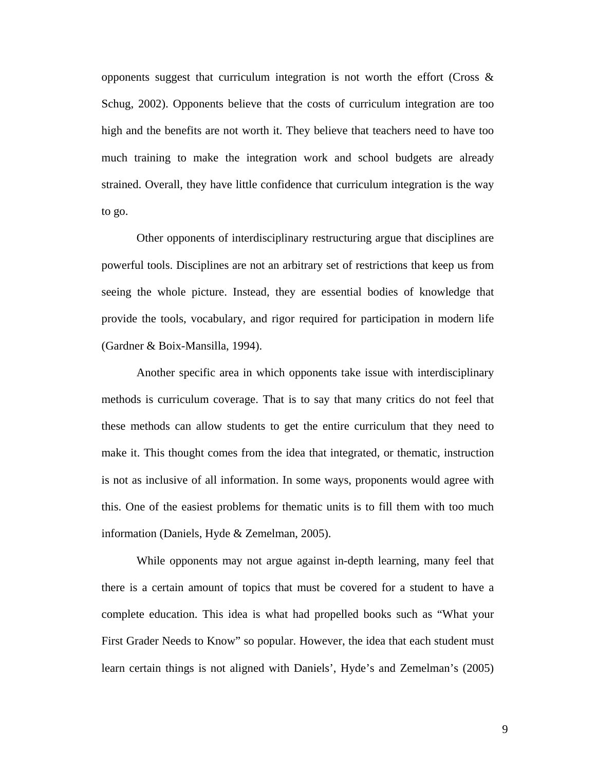opponents suggest that curriculum integration is not worth the effort (Cross & Schug, 2002). Opponents believe that the costs of curriculum integration are too high and the benefits are not worth it. They believe that teachers need to have too much training to make the integration work and school budgets are already strained. Overall, they have little confidence that curriculum integration is the way to go.

Other opponents of interdisciplinary restructuring argue that disciplines are powerful tools. Disciplines are not an arbitrary set of restrictions that keep us from seeing the whole picture. Instead, they are essential bodies of knowledge that provide the tools, vocabulary, and rigor required for participation in modern life (Gardner & Boix-Mansilla, 1994).

Another specific area in which opponents take issue with interdisciplinary methods is curriculum coverage. That is to say that many critics do not feel that these methods can allow students to get the entire curriculum that they need to make it. This thought comes from the idea that integrated, or thematic, instruction is not as inclusive of all information. In some ways, proponents would agree with this. One of the easiest problems for thematic units is to fill them with too much information (Daniels, Hyde & Zemelman, 2005).

While opponents may not argue against in-depth learning, many feel that there is a certain amount of topics that must be covered for a student to have a complete education. This idea is what had propelled books such as "What your First Grader Needs to Know" so popular. However, the idea that each student must learn certain things is not aligned with Daniels', Hyde's and Zemelman's (2005)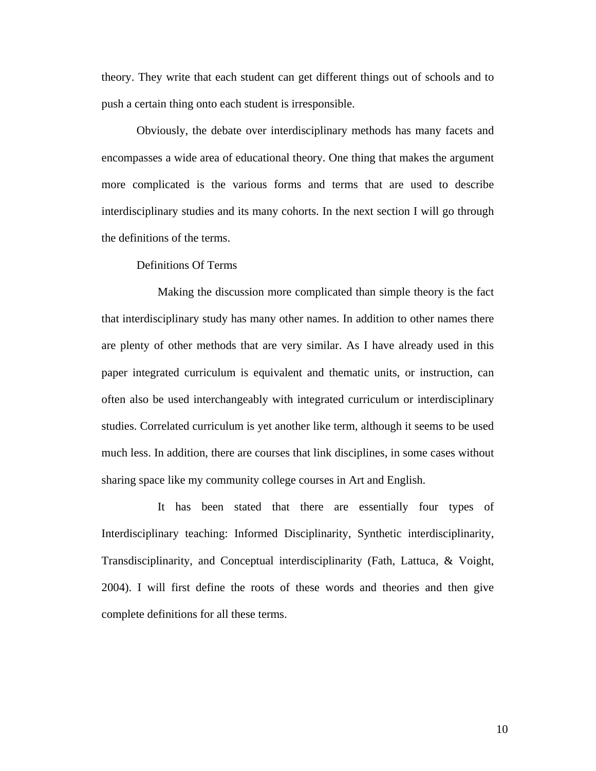<span id="page-15-0"></span>theory. They write that each student can get different things out of schools and to push a certain thing onto each student is irresponsible.

Obviously, the debate over interdisciplinary methods has many facets and encompasses a wide area of educational theory. One thing that makes the argument more complicated is the various forms and terms that are used to describe interdisciplinary studies and its many cohorts. In the next section I will go through the definitions of the terms.

# Definitions Of Terms

 Making the discussion more complicated than simple theory is the fact that interdisciplinary study has many other names. In addition to other names there are plenty of other methods that are very similar. As I have already used in this paper integrated curriculum is equivalent and thematic units, or instruction, can often also be used interchangeably with integrated curriculum or interdisciplinary studies. Correlated curriculum is yet another like term, although it seems to be used much less. In addition, there are courses that link disciplines, in some cases without sharing space like my community college courses in Art and English.

 It has been stated that there are essentially four types of Interdisciplinary teaching: Informed Disciplinarity, Synthetic interdisciplinarity, Transdisciplinarity, and Conceptual interdisciplinarity (Fath, Lattuca, & Voight, 2004). I will first define the roots of these words and theories and then give complete definitions for all these terms.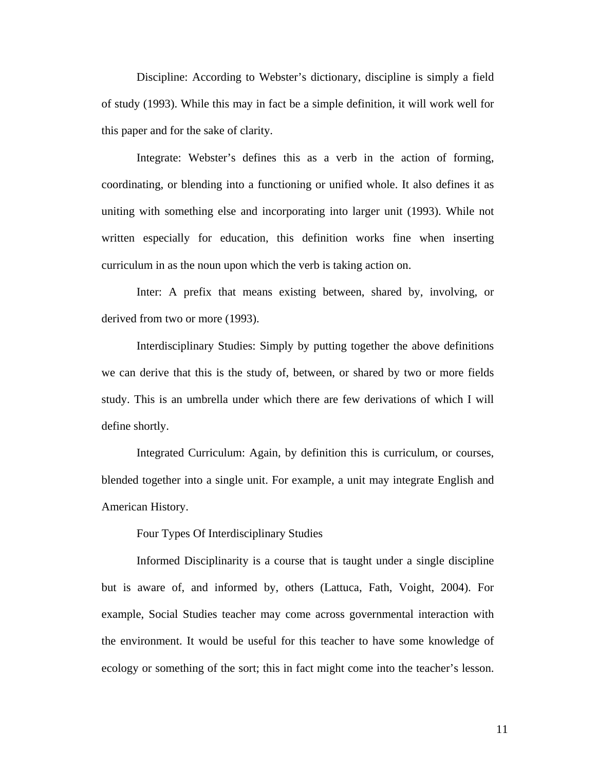<span id="page-16-0"></span>Discipline: According to Webster's dictionary, discipline is simply a field of study (1993). While this may in fact be a simple definition, it will work well for this paper and for the sake of clarity.

Integrate: Webster's defines this as a verb in the action of forming, coordinating, or blending into a functioning or unified whole. It also defines it as uniting with something else and incorporating into larger unit (1993). While not written especially for education, this definition works fine when inserting curriculum in as the noun upon which the verb is taking action on.

Inter: A prefix that means existing between, shared by, involving, or derived from two or more (1993).

Interdisciplinary Studies: Simply by putting together the above definitions we can derive that this is the study of, between, or shared by two or more fields study. This is an umbrella under which there are few derivations of which I will define shortly.

Integrated Curriculum: Again, by definition this is curriculum, or courses, blended together into a single unit. For example, a unit may integrate English and American History.

Four Types Of Interdisciplinary Studies

Informed Disciplinarity is a course that is taught under a single discipline but is aware of, and informed by, others (Lattuca, Fath, Voight, 2004). For example, Social Studies teacher may come across governmental interaction with the environment. It would be useful for this teacher to have some knowledge of ecology or something of the sort; this in fact might come into the teacher's lesson.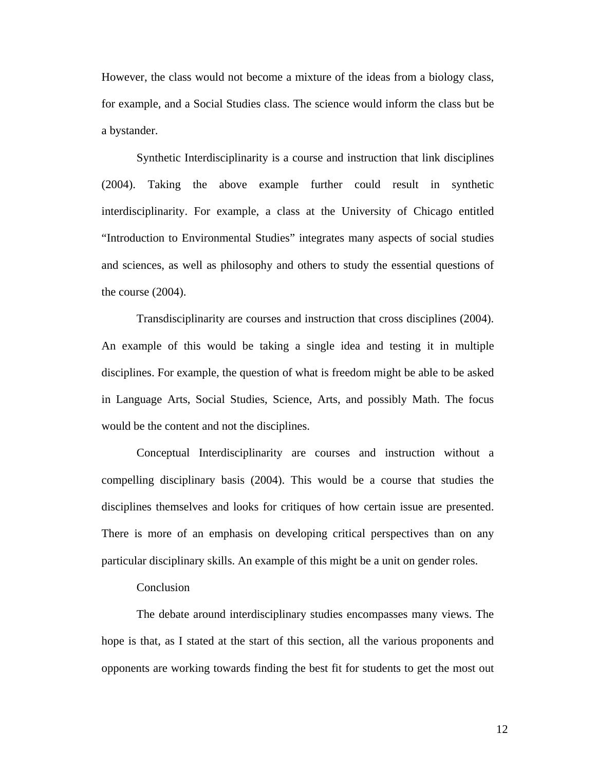<span id="page-17-0"></span>However, the class would not become a mixture of the ideas from a biology class, for example, and a Social Studies class. The science would inform the class but be a bystander.

Synthetic Interdisciplinarity is a course and instruction that link disciplines (2004). Taking the above example further could result in synthetic interdisciplinarity. For example, a class at the University of Chicago entitled "Introduction to Environmental Studies" integrates many aspects of social studies and sciences, as well as philosophy and others to study the essential questions of the course (2004).

Transdisciplinarity are courses and instruction that cross disciplines (2004). An example of this would be taking a single idea and testing it in multiple disciplines. For example, the question of what is freedom might be able to be asked in Language Arts, Social Studies, Science, Arts, and possibly Math. The focus would be the content and not the disciplines.

Conceptual Interdisciplinarity are courses and instruction without a compelling disciplinary basis (2004). This would be a course that studies the disciplines themselves and looks for critiques of how certain issue are presented. There is more of an emphasis on developing critical perspectives than on any particular disciplinary skills. An example of this might be a unit on gender roles.

# Conclusion

The debate around interdisciplinary studies encompasses many views. The hope is that, as I stated at the start of this section, all the various proponents and opponents are working towards finding the best fit for students to get the most out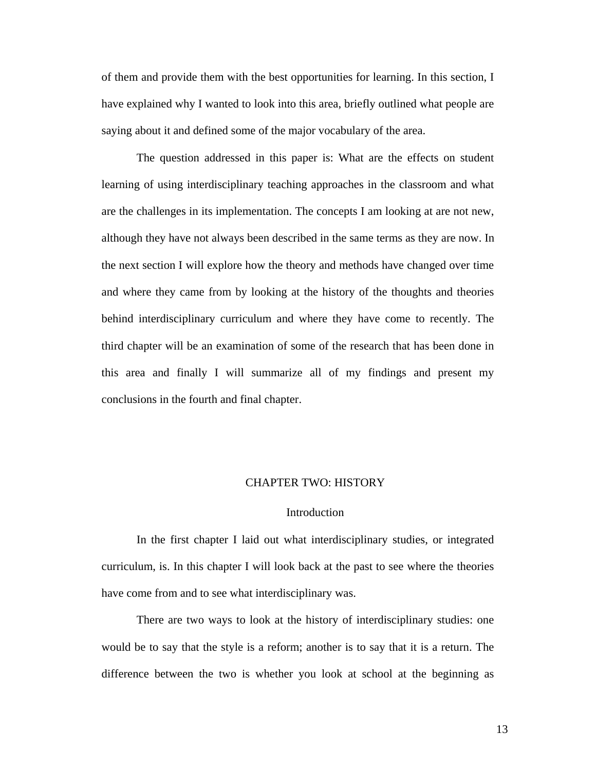<span id="page-18-0"></span>of them and provide them with the best opportunities for learning. In this section, I have explained why I wanted to look into this area, briefly outlined what people are saying about it and defined some of the major vocabulary of the area.

The question addressed in this paper is: What are the effects on student learning of using interdisciplinary teaching approaches in the classroom and what are the challenges in its implementation. The concepts I am looking at are not new, although they have not always been described in the same terms as they are now. In the next section I will explore how the theory and methods have changed over time and where they came from by looking at the history of the thoughts and theories behind interdisciplinary curriculum and where they have come to recently. The third chapter will be an examination of some of the research that has been done in this area and finally I will summarize all of my findings and present my conclusions in the fourth and final chapter.

#### CHAPTER TWO: HISTORY

# **Introduction**

In the first chapter I laid out what interdisciplinary studies, or integrated curriculum, is. In this chapter I will look back at the past to see where the theories have come from and to see what interdisciplinary was.

There are two ways to look at the history of interdisciplinary studies: one would be to say that the style is a reform; another is to say that it is a return. The difference between the two is whether you look at school at the beginning as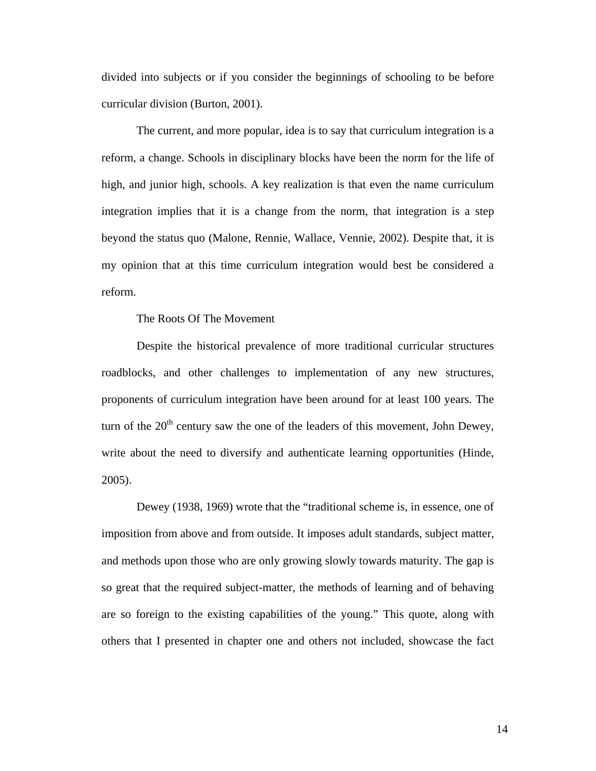divided into subjects or if you consider the beginnings of schooling to be before curricular division (Burton, 2001).

The current, and more popular, idea is to say that curriculum integration is a reform, a change. Schools in disciplinary blocks have been the norm for the life of high, and junior high, schools. A key realization is that even the name curriculum integration implies that it is a change from the norm, that integration is a step beyond the status quo (Malone, Rennie, Wallace, Vennie, 2002). Despite that, it is my opinion that at this time curriculum integration would best be considered a reform.

The Roots Of The Movement

Despite the historical prevalence of more traditional curricular structures roadblocks, and other challenges to implementation of any new structures, proponents of curriculum integration have been around for at least 100 years. The turn of the  $20<sup>th</sup>$  century saw the one of the leaders of this movement, John Dewey, write about the need to diversify and authenticate learning opportunities (Hinde, 2005).

Dewey (1938, 1969) wrote that the "traditional scheme is, in essence, one of imposition from above and from outside. It imposes adult standards, subject matter, and methods upon those who are only growing slowly towards maturity. The gap is so great that the required subject-matter, the methods of learning and of behaving are so foreign to the existing capabilities of the young." This quote, along with others that I presented in chapter one and others not included, showcase the fact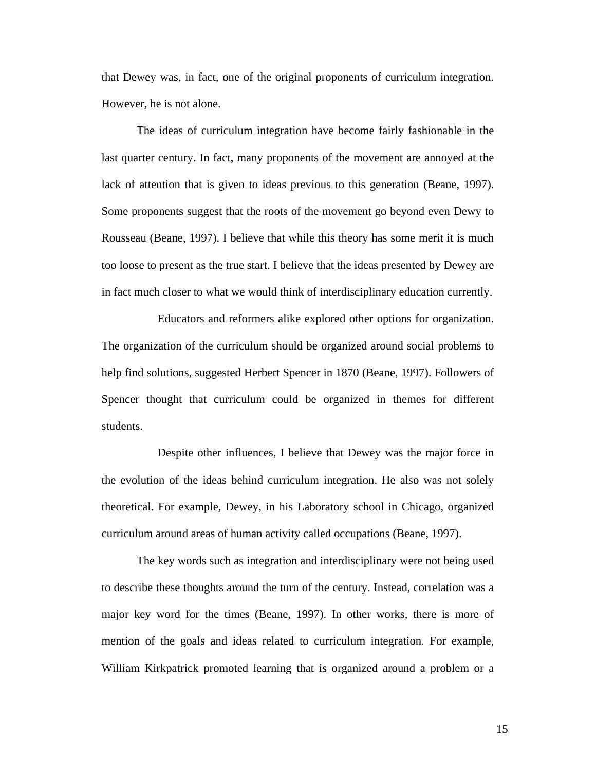that Dewey was, in fact, one of the original proponents of curriculum integration. However, he is not alone.

The ideas of curriculum integration have become fairly fashionable in the last quarter century. In fact, many proponents of the movement are annoyed at the lack of attention that is given to ideas previous to this generation (Beane, 1997). Some proponents suggest that the roots of the movement go beyond even Dewy to Rousseau (Beane, 1997). I believe that while this theory has some merit it is much too loose to present as the true start. I believe that the ideas presented by Dewey are in fact much closer to what we would think of interdisciplinary education currently.

 Educators and reformers alike explored other options for organization. The organization of the curriculum should be organized around social problems to help find solutions, suggested Herbert Spencer in 1870 (Beane, 1997). Followers of Spencer thought that curriculum could be organized in themes for different students.

 Despite other influences, I believe that Dewey was the major force in the evolution of the ideas behind curriculum integration. He also was not solely theoretical. For example, Dewey, in his Laboratory school in Chicago, organized curriculum around areas of human activity called occupations (Beane, 1997).

The key words such as integration and interdisciplinary were not being used to describe these thoughts around the turn of the century. Instead, correlation was a major key word for the times (Beane, 1997). In other works, there is more of mention of the goals and ideas related to curriculum integration. For example, William Kirkpatrick promoted learning that is organized around a problem or a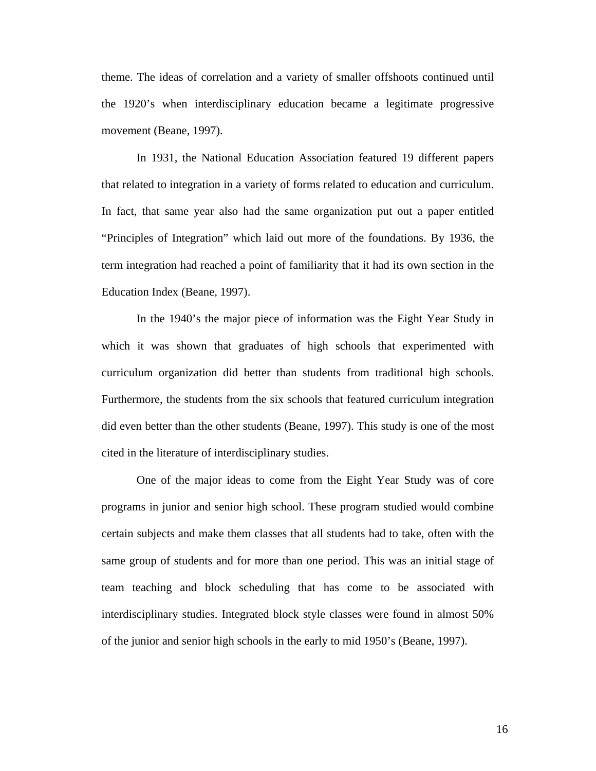theme. The ideas of correlation and a variety of smaller offshoots continued until the 1920's when interdisciplinary education became a legitimate progressive movement (Beane, 1997).

In 1931, the National Education Association featured 19 different papers that related to integration in a variety of forms related to education and curriculum. In fact, that same year also had the same organization put out a paper entitled "Principles of Integration" which laid out more of the foundations. By 1936, the term integration had reached a point of familiarity that it had its own section in the Education Index (Beane, 1997).

In the 1940's the major piece of information was the Eight Year Study in which it was shown that graduates of high schools that experimented with curriculum organization did better than students from traditional high schools. Furthermore, the students from the six schools that featured curriculum integration did even better than the other students (Beane, 1997). This study is one of the most cited in the literature of interdisciplinary studies.

One of the major ideas to come from the Eight Year Study was of core programs in junior and senior high school. These program studied would combine certain subjects and make them classes that all students had to take, often with the same group of students and for more than one period. This was an initial stage of team teaching and block scheduling that has come to be associated with interdisciplinary studies. Integrated block style classes were found in almost 50% of the junior and senior high schools in the early to mid 1950's (Beane, 1997).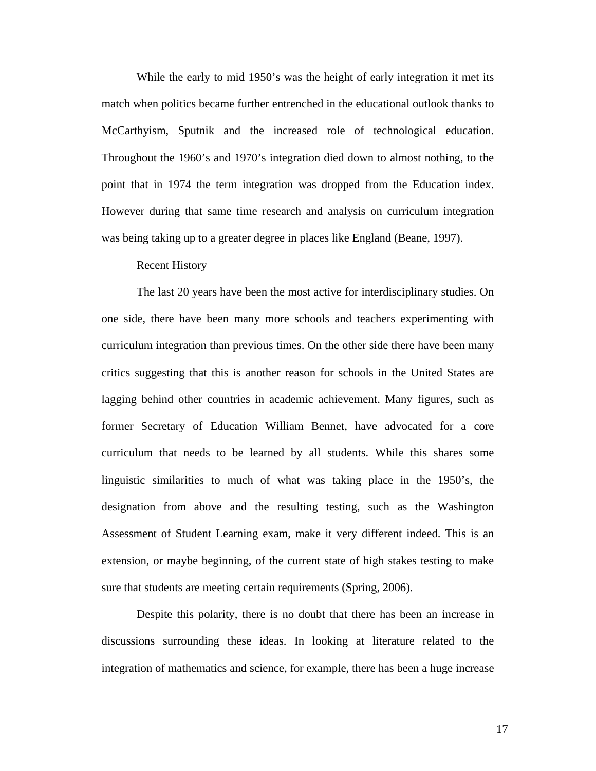<span id="page-22-0"></span>While the early to mid 1950's was the height of early integration it met its match when politics became further entrenched in the educational outlook thanks to McCarthyism, Sputnik and the increased role of technological education. Throughout the 1960's and 1970's integration died down to almost nothing, to the point that in 1974 the term integration was dropped from the Education index. However during that same time research and analysis on curriculum integration was being taking up to a greater degree in places like England (Beane, 1997).

#### Recent History

The last 20 years have been the most active for interdisciplinary studies. On one side, there have been many more schools and teachers experimenting with curriculum integration than previous times. On the other side there have been many critics suggesting that this is another reason for schools in the United States are lagging behind other countries in academic achievement. Many figures, such as former Secretary of Education William Bennet, have advocated for a core curriculum that needs to be learned by all students. While this shares some linguistic similarities to much of what was taking place in the 1950's, the designation from above and the resulting testing, such as the Washington Assessment of Student Learning exam, make it very different indeed. This is an extension, or maybe beginning, of the current state of high stakes testing to make sure that students are meeting certain requirements (Spring, 2006).

Despite this polarity, there is no doubt that there has been an increase in discussions surrounding these ideas. In looking at literature related to the integration of mathematics and science, for example, there has been a huge increase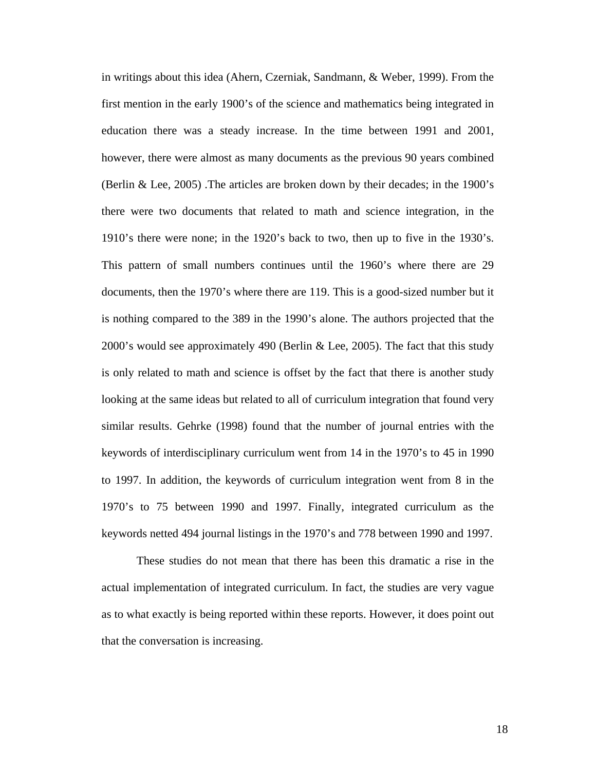in writings about this idea (Ahern, Czerniak, Sandmann, & Weber, 1999). From the first mention in the early 1900's of the science and mathematics being integrated in education there was a steady increase. In the time between 1991 and 2001, however, there were almost as many documents as the previous 90 years combined (Berlin & Lee, 2005) .The articles are broken down by their decades; in the 1900's there were two documents that related to math and science integration, in the 1910's there were none; in the 1920's back to two, then up to five in the 1930's. This pattern of small numbers continues until the 1960's where there are 29 documents, then the 1970's where there are 119. This is a good-sized number but it is nothing compared to the 389 in the 1990's alone. The authors projected that the 2000's would see approximately 490 (Berlin & Lee, 2005). The fact that this study is only related to math and science is offset by the fact that there is another study looking at the same ideas but related to all of curriculum integration that found very similar results. Gehrke (1998) found that the number of journal entries with the keywords of interdisciplinary curriculum went from 14 in the 1970's to 45 in 1990 to 1997. In addition, the keywords of curriculum integration went from 8 in the 1970's to 75 between 1990 and 1997. Finally, integrated curriculum as the keywords netted 494 journal listings in the 1970's and 778 between 1990 and 1997.

These studies do not mean that there has been this dramatic a rise in the actual implementation of integrated curriculum. In fact, the studies are very vague as to what exactly is being reported within these reports. However, it does point out that the conversation is increasing.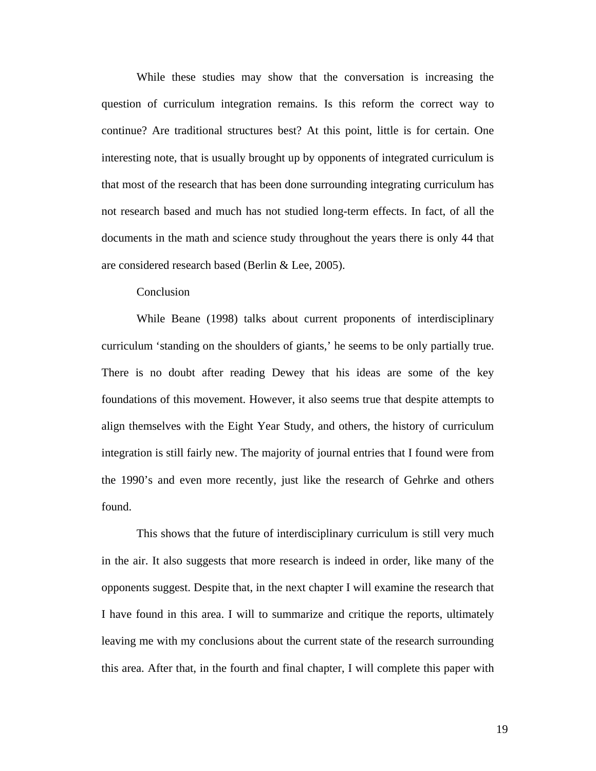<span id="page-24-0"></span>While these studies may show that the conversation is increasing the question of curriculum integration remains. Is this reform the correct way to continue? Are traditional structures best? At this point, little is for certain. One interesting note, that is usually brought up by opponents of integrated curriculum is that most of the research that has been done surrounding integrating curriculum has not research based and much has not studied long-term effects. In fact, of all the documents in the math and science study throughout the years there is only 44 that are considered research based (Berlin & Lee, 2005).

# Conclusion

While Beane (1998) talks about current proponents of interdisciplinary curriculum 'standing on the shoulders of giants,' he seems to be only partially true. There is no doubt after reading Dewey that his ideas are some of the key foundations of this movement. However, it also seems true that despite attempts to align themselves with the Eight Year Study, and others, the history of curriculum integration is still fairly new. The majority of journal entries that I found were from the 1990's and even more recently, just like the research of Gehrke and others found.

This shows that the future of interdisciplinary curriculum is still very much in the air. It also suggests that more research is indeed in order, like many of the opponents suggest. Despite that, in the next chapter I will examine the research that I have found in this area. I will to summarize and critique the reports, ultimately leaving me with my conclusions about the current state of the research surrounding this area. After that, in the fourth and final chapter, I will complete this paper with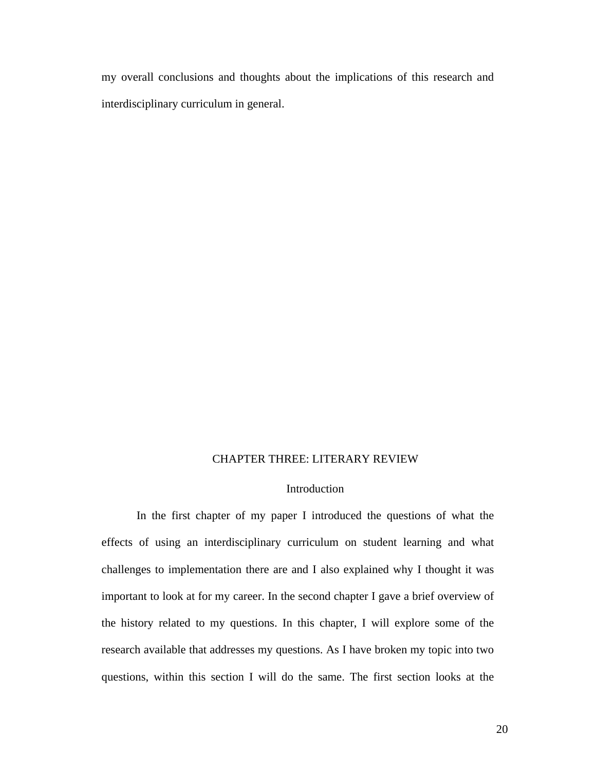<span id="page-25-0"></span>my overall conclusions and thoughts about the implications of this research and interdisciplinary curriculum in general.

### CHAPTER THREE: LITERARY REVIEW

# Introduction

In the first chapter of my paper I introduced the questions of what the effects of using an interdisciplinary curriculum on student learning and what challenges to implementation there are and I also explained why I thought it was important to look at for my career. In the second chapter I gave a brief overview of the history related to my questions. In this chapter, I will explore some of the research available that addresses my questions. As I have broken my topic into two questions, within this section I will do the same. The first section looks at the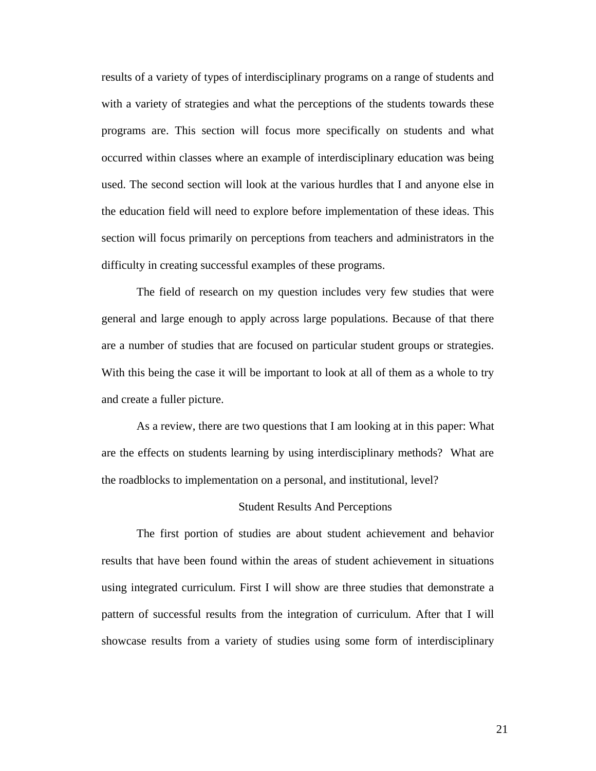<span id="page-26-0"></span>results of a variety of types of interdisciplinary programs on a range of students and with a variety of strategies and what the perceptions of the students towards these programs are. This section will focus more specifically on students and what occurred within classes where an example of interdisciplinary education was being used. The second section will look at the various hurdles that I and anyone else in the education field will need to explore before implementation of these ideas. This section will focus primarily on perceptions from teachers and administrators in the difficulty in creating successful examples of these programs.

The field of research on my question includes very few studies that were general and large enough to apply across large populations. Because of that there are a number of studies that are focused on particular student groups or strategies. With this being the case it will be important to look at all of them as a whole to try and create a fuller picture.

As a review, there are two questions that I am looking at in this paper: What are the effects on students learning by using interdisciplinary methods? What are the roadblocks to implementation on a personal, and institutional, level?

#### Student Results And Perceptions

The first portion of studies are about student achievement and behavior results that have been found within the areas of student achievement in situations using integrated curriculum. First I will show are three studies that demonstrate a pattern of successful results from the integration of curriculum. After that I will showcase results from a variety of studies using some form of interdisciplinary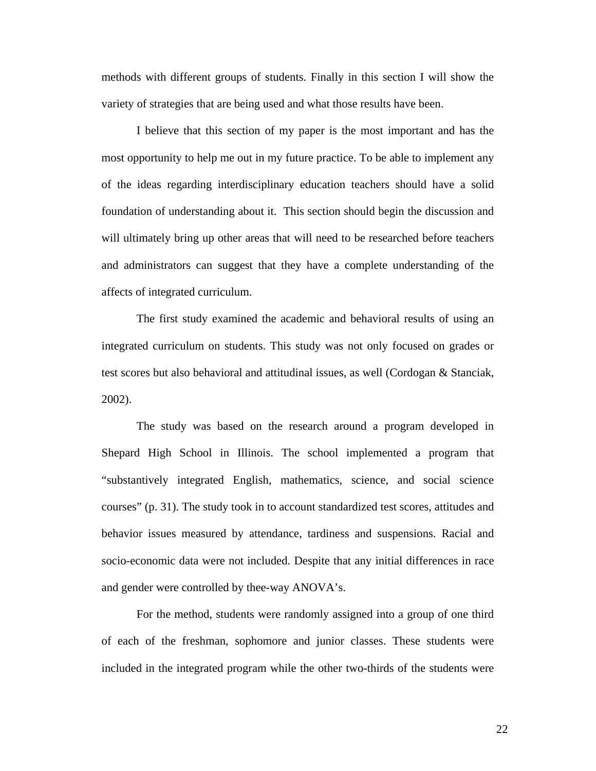methods with different groups of students. Finally in this section I will show the variety of strategies that are being used and what those results have been.

I believe that this section of my paper is the most important and has the most opportunity to help me out in my future practice. To be able to implement any of the ideas regarding interdisciplinary education teachers should have a solid foundation of understanding about it. This section should begin the discussion and will ultimately bring up other areas that will need to be researched before teachers and administrators can suggest that they have a complete understanding of the affects of integrated curriculum.

The first study examined the academic and behavioral results of using an integrated curriculum on students. This study was not only focused on grades or test scores but also behavioral and attitudinal issues, as well (Cordogan & Stanciak, 2002).

The study was based on the research around a program developed in Shepard High School in Illinois. The school implemented a program that "substantively integrated English, mathematics, science, and social science courses" (p. 31). The study took in to account standardized test scores, attitudes and behavior issues measured by attendance, tardiness and suspensions. Racial and socio-economic data were not included. Despite that any initial differences in race and gender were controlled by thee-way ANOVA's.

For the method, students were randomly assigned into a group of one third of each of the freshman, sophomore and junior classes. These students were included in the integrated program while the other two-thirds of the students were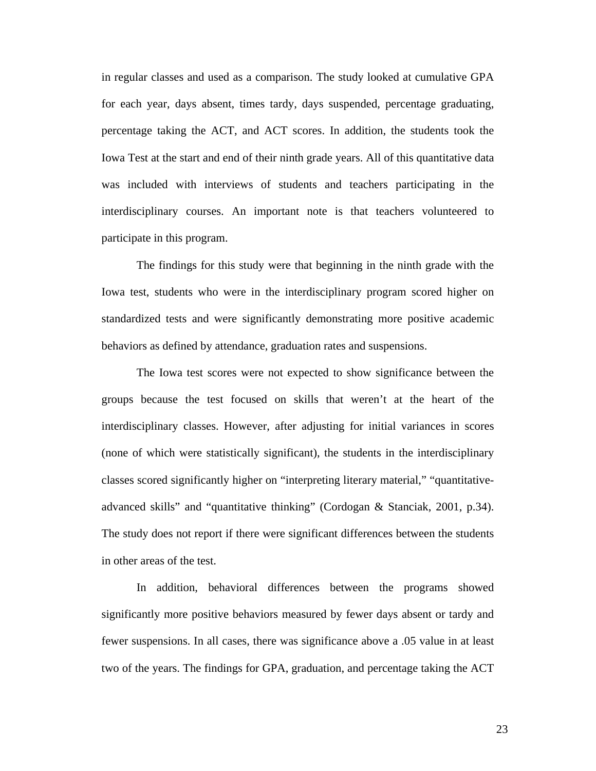in regular classes and used as a comparison. The study looked at cumulative GPA for each year, days absent, times tardy, days suspended, percentage graduating, percentage taking the ACT, and ACT scores. In addition, the students took the Iowa Test at the start and end of their ninth grade years. All of this quantitative data was included with interviews of students and teachers participating in the interdisciplinary courses. An important note is that teachers volunteered to participate in this program.

The findings for this study were that beginning in the ninth grade with the Iowa test, students who were in the interdisciplinary program scored higher on standardized tests and were significantly demonstrating more positive academic behaviors as defined by attendance, graduation rates and suspensions.

The Iowa test scores were not expected to show significance between the groups because the test focused on skills that weren't at the heart of the interdisciplinary classes. However, after adjusting for initial variances in scores (none of which were statistically significant), the students in the interdisciplinary classes scored significantly higher on "interpreting literary material," "quantitativeadvanced skills" and "quantitative thinking" (Cordogan & Stanciak, 2001, p.34). The study does not report if there were significant differences between the students in other areas of the test.

In addition, behavioral differences between the programs showed significantly more positive behaviors measured by fewer days absent or tardy and fewer suspensions. In all cases, there was significance above a .05 value in at least two of the years. The findings for GPA, graduation, and percentage taking the ACT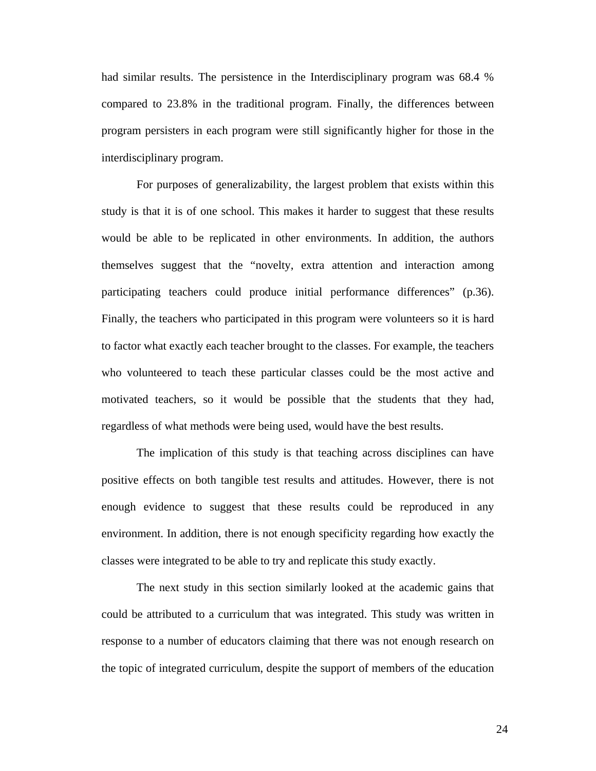had similar results. The persistence in the Interdisciplinary program was 68.4 % compared to 23.8% in the traditional program. Finally, the differences between program persisters in each program were still significantly higher for those in the interdisciplinary program.

For purposes of generalizability, the largest problem that exists within this study is that it is of one school. This makes it harder to suggest that these results would be able to be replicated in other environments. In addition, the authors themselves suggest that the "novelty, extra attention and interaction among participating teachers could produce initial performance differences" (p.36). Finally, the teachers who participated in this program were volunteers so it is hard to factor what exactly each teacher brought to the classes. For example, the teachers who volunteered to teach these particular classes could be the most active and motivated teachers, so it would be possible that the students that they had, regardless of what methods were being used, would have the best results.

The implication of this study is that teaching across disciplines can have positive effects on both tangible test results and attitudes. However, there is not enough evidence to suggest that these results could be reproduced in any environment. In addition, there is not enough specificity regarding how exactly the classes were integrated to be able to try and replicate this study exactly.

The next study in this section similarly looked at the academic gains that could be attributed to a curriculum that was integrated. This study was written in response to a number of educators claiming that there was not enough research on the topic of integrated curriculum, despite the support of members of the education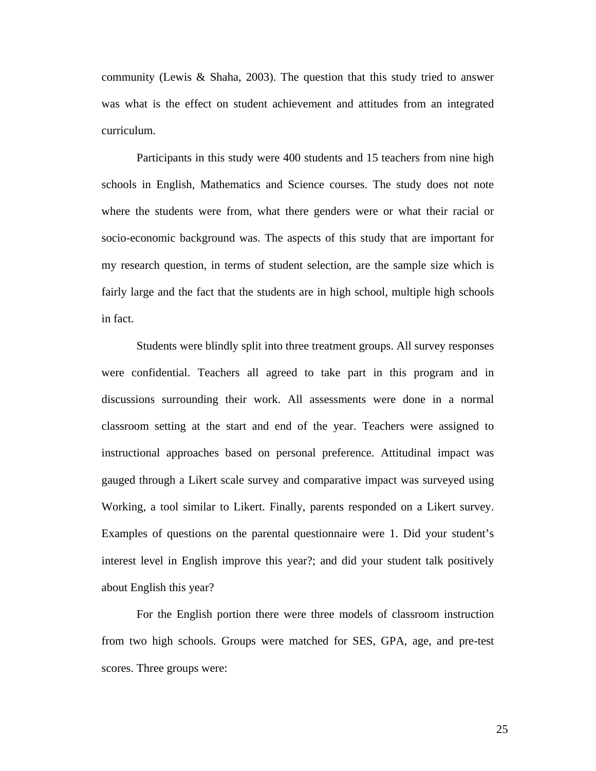community (Lewis & Shaha, 2003). The question that this study tried to answer was what is the effect on student achievement and attitudes from an integrated curriculum.

Participants in this study were 400 students and 15 teachers from nine high schools in English, Mathematics and Science courses. The study does not note where the students were from, what there genders were or what their racial or socio-economic background was. The aspects of this study that are important for my research question, in terms of student selection, are the sample size which is fairly large and the fact that the students are in high school, multiple high schools in fact.

Students were blindly split into three treatment groups. All survey responses were confidential. Teachers all agreed to take part in this program and in discussions surrounding their work. All assessments were done in a normal classroom setting at the start and end of the year. Teachers were assigned to instructional approaches based on personal preference. Attitudinal impact was gauged through a Likert scale survey and comparative impact was surveyed using Working, a tool similar to Likert. Finally, parents responded on a Likert survey. Examples of questions on the parental questionnaire were 1. Did your student's interest level in English improve this year?; and did your student talk positively about English this year?

For the English portion there were three models of classroom instruction from two high schools. Groups were matched for SES, GPA, age, and pre-test scores. Three groups were: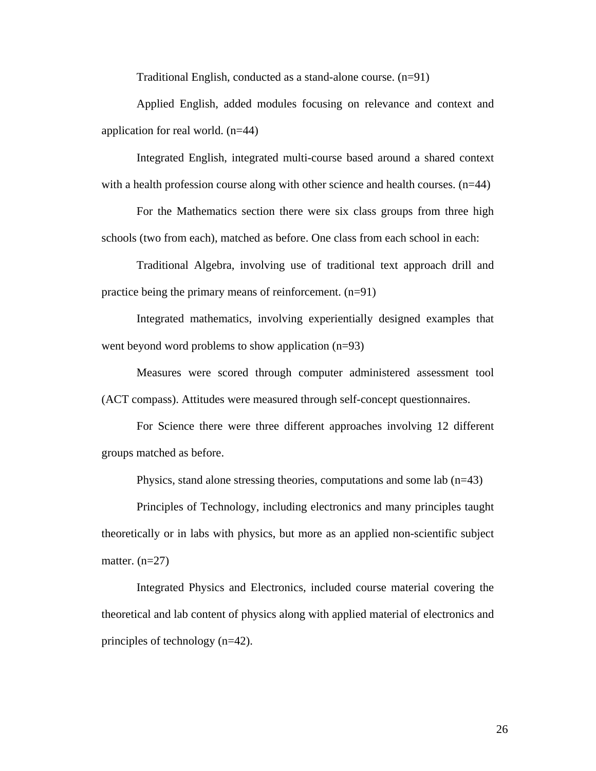Traditional English, conducted as a stand-alone course. (n=91)

Applied English, added modules focusing on relevance and context and application for real world. (n=44)

Integrated English, integrated multi-course based around a shared context with a health profession course along with other science and health courses.  $(n=44)$ 

For the Mathematics section there were six class groups from three high schools (two from each), matched as before. One class from each school in each:

Traditional Algebra, involving use of traditional text approach drill and practice being the primary means of reinforcement. (n=91)

Integrated mathematics, involving experientially designed examples that went beyond word problems to show application (n=93)

Measures were scored through computer administered assessment tool (ACT compass). Attitudes were measured through self-concept questionnaires.

For Science there were three different approaches involving 12 different groups matched as before.

Physics, stand alone stressing theories, computations and some lab  $(n=43)$ 

Principles of Technology, including electronics and many principles taught theoretically or in labs with physics, but more as an applied non-scientific subject matter.  $(n=27)$ 

Integrated Physics and Electronics, included course material covering the theoretical and lab content of physics along with applied material of electronics and principles of technology (n=42).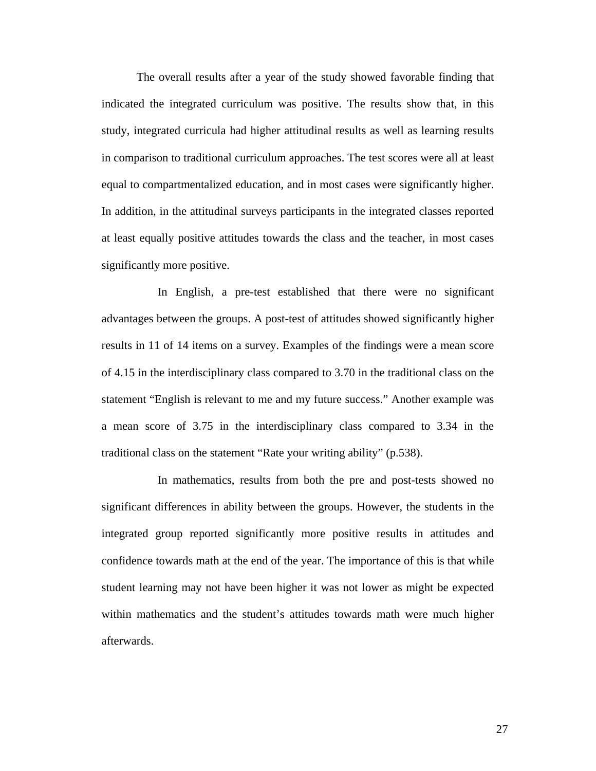The overall results after a year of the study showed favorable finding that indicated the integrated curriculum was positive. The results show that, in this study, integrated curricula had higher attitudinal results as well as learning results in comparison to traditional curriculum approaches. The test scores were all at least equal to compartmentalized education, and in most cases were significantly higher. In addition, in the attitudinal surveys participants in the integrated classes reported at least equally positive attitudes towards the class and the teacher, in most cases significantly more positive.

 In English, a pre-test established that there were no significant advantages between the groups. A post-test of attitudes showed significantly higher results in 11 of 14 items on a survey. Examples of the findings were a mean score of 4.15 in the interdisciplinary class compared to 3.70 in the traditional class on the statement "English is relevant to me and my future success." Another example was a mean score of 3.75 in the interdisciplinary class compared to 3.34 in the traditional class on the statement "Rate your writing ability" (p.538).

 In mathematics, results from both the pre and post-tests showed no significant differences in ability between the groups. However, the students in the integrated group reported significantly more positive results in attitudes and confidence towards math at the end of the year. The importance of this is that while student learning may not have been higher it was not lower as might be expected within mathematics and the student's attitudes towards math were much higher afterwards.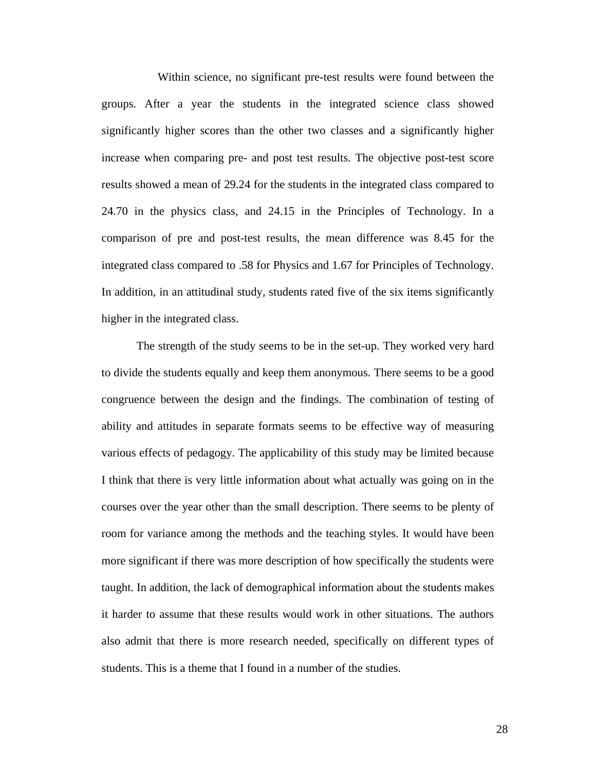Within science, no significant pre-test results were found between the groups. After a year the students in the integrated science class showed significantly higher scores than the other two classes and a significantly higher increase when comparing pre- and post test results. The objective post-test score results showed a mean of 29.24 for the students in the integrated class compared to 24.70 in the physics class, and 24.15 in the Principles of Technology. In a comparison of pre and post-test results, the mean difference was 8.45 for the integrated class compared to .58 for Physics and 1.67 for Principles of Technology. In addition, in an attitudinal study, students rated five of the six items significantly higher in the integrated class.

The strength of the study seems to be in the set-up. They worked very hard to divide the students equally and keep them anonymous. There seems to be a good congruence between the design and the findings. The combination of testing of ability and attitudes in separate formats seems to be effective way of measuring various effects of pedagogy. The applicability of this study may be limited because I think that there is very little information about what actually was going on in the courses over the year other than the small description. There seems to be plenty of room for variance among the methods and the teaching styles. It would have been more significant if there was more description of how specifically the students were taught. In addition, the lack of demographical information about the students makes it harder to assume that these results would work in other situations. The authors also admit that there is more research needed, specifically on different types of students. This is a theme that I found in a number of the studies.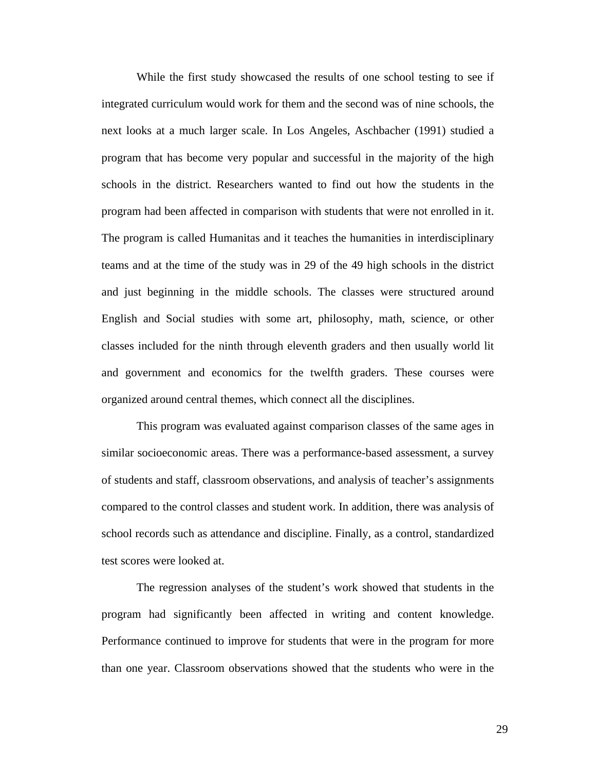While the first study showcased the results of one school testing to see if integrated curriculum would work for them and the second was of nine schools, the next looks at a much larger scale. In Los Angeles, Aschbacher (1991) studied a program that has become very popular and successful in the majority of the high schools in the district. Researchers wanted to find out how the students in the program had been affected in comparison with students that were not enrolled in it. The program is called Humanitas and it teaches the humanities in interdisciplinary teams and at the time of the study was in 29 of the 49 high schools in the district and just beginning in the middle schools. The classes were structured around English and Social studies with some art, philosophy, math, science, or other classes included for the ninth through eleventh graders and then usually world lit and government and economics for the twelfth graders. These courses were organized around central themes, which connect all the disciplines.

This program was evaluated against comparison classes of the same ages in similar socioeconomic areas. There was a performance-based assessment, a survey of students and staff, classroom observations, and analysis of teacher's assignments compared to the control classes and student work. In addition, there was analysis of school records such as attendance and discipline. Finally, as a control, standardized test scores were looked at.

The regression analyses of the student's work showed that students in the program had significantly been affected in writing and content knowledge. Performance continued to improve for students that were in the program for more than one year. Classroom observations showed that the students who were in the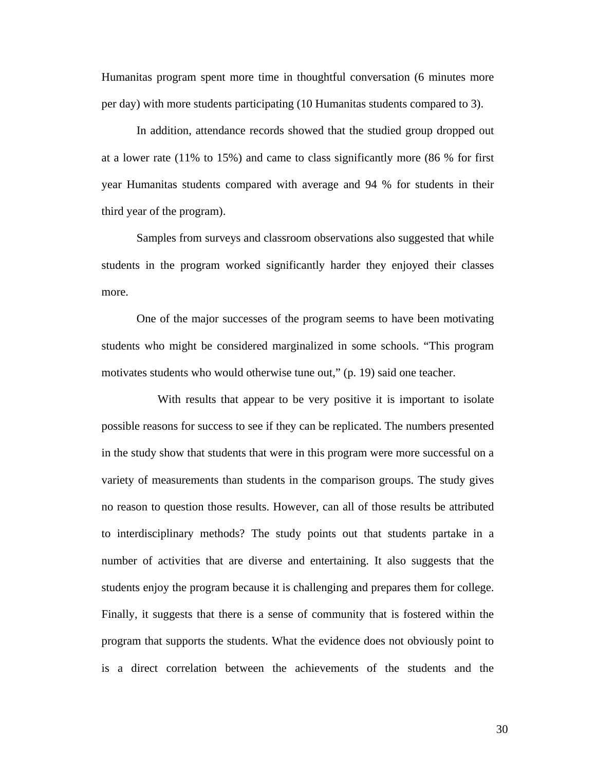Humanitas program spent more time in thoughtful conversation (6 minutes more per day) with more students participating (10 Humanitas students compared to 3).

In addition, attendance records showed that the studied group dropped out at a lower rate (11% to 15%) and came to class significantly more (86 % for first year Humanitas students compared with average and 94 % for students in their third year of the program).

Samples from surveys and classroom observations also suggested that while students in the program worked significantly harder they enjoyed their classes more.

One of the major successes of the program seems to have been motivating students who might be considered marginalized in some schools. "This program motivates students who would otherwise tune out," (p. 19) said one teacher.

 With results that appear to be very positive it is important to isolate possible reasons for success to see if they can be replicated. The numbers presented in the study show that students that were in this program were more successful on a variety of measurements than students in the comparison groups. The study gives no reason to question those results. However, can all of those results be attributed to interdisciplinary methods? The study points out that students partake in a number of activities that are diverse and entertaining. It also suggests that the students enjoy the program because it is challenging and prepares them for college. Finally, it suggests that there is a sense of community that is fostered within the program that supports the students. What the evidence does not obviously point to is a direct correlation between the achievements of the students and the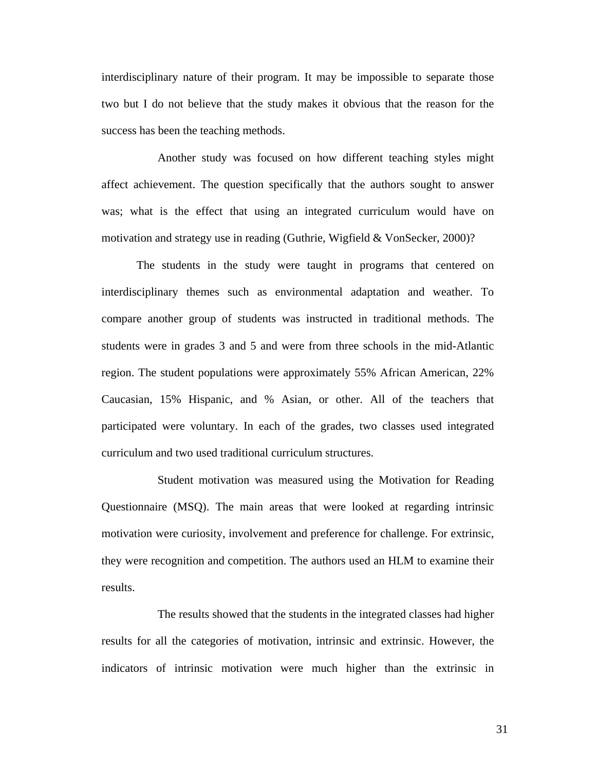interdisciplinary nature of their program. It may be impossible to separate those two but I do not believe that the study makes it obvious that the reason for the success has been the teaching methods.

 Another study was focused on how different teaching styles might affect achievement. The question specifically that the authors sought to answer was; what is the effect that using an integrated curriculum would have on motivation and strategy use in reading (Guthrie, Wigfield & VonSecker, 2000)?

The students in the study were taught in programs that centered on interdisciplinary themes such as environmental adaptation and weather. To compare another group of students was instructed in traditional methods. The students were in grades 3 and 5 and were from three schools in the mid-Atlantic region. The student populations were approximately 55% African American, 22% Caucasian, 15% Hispanic, and % Asian, or other. All of the teachers that participated were voluntary. In each of the grades, two classes used integrated curriculum and two used traditional curriculum structures.

 Student motivation was measured using the Motivation for Reading Questionnaire (MSQ). The main areas that were looked at regarding intrinsic motivation were curiosity, involvement and preference for challenge. For extrinsic, they were recognition and competition. The authors used an HLM to examine their results.

 The results showed that the students in the integrated classes had higher results for all the categories of motivation, intrinsic and extrinsic. However, the indicators of intrinsic motivation were much higher than the extrinsic in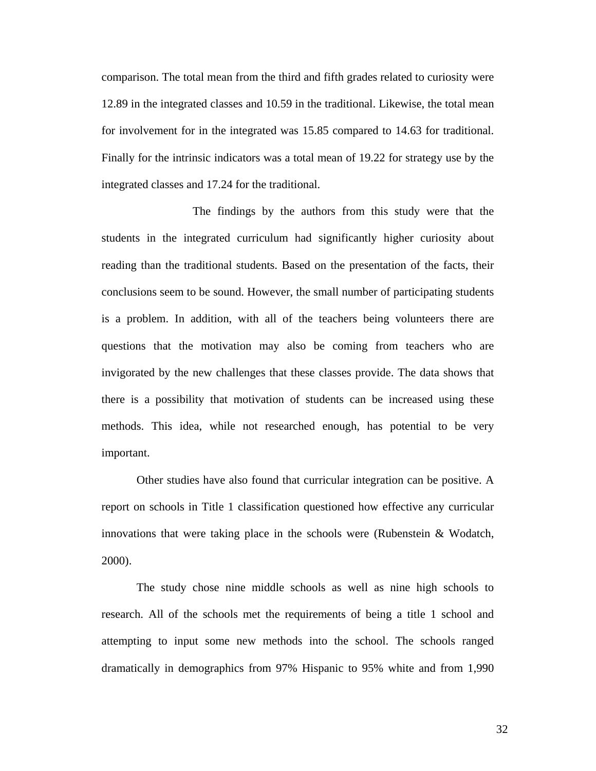comparison. The total mean from the third and fifth grades related to curiosity were 12.89 in the integrated classes and 10.59 in the traditional. Likewise, the total mean for involvement for in the integrated was 15.85 compared to 14.63 for traditional. Finally for the intrinsic indicators was a total mean of 19.22 for strategy use by the integrated classes and 17.24 for the traditional.

 The findings by the authors from this study were that the students in the integrated curriculum had significantly higher curiosity about reading than the traditional students. Based on the presentation of the facts, their conclusions seem to be sound. However, the small number of participating students is a problem. In addition, with all of the teachers being volunteers there are questions that the motivation may also be coming from teachers who are invigorated by the new challenges that these classes provide. The data shows that there is a possibility that motivation of students can be increased using these methods. This idea, while not researched enough, has potential to be very important.

Other studies have also found that curricular integration can be positive. A report on schools in Title 1 classification questioned how effective any curricular innovations that were taking place in the schools were (Rubenstein & Wodatch, 2000).

The study chose nine middle schools as well as nine high schools to research. All of the schools met the requirements of being a title 1 school and attempting to input some new methods into the school. The schools ranged dramatically in demographics from 97% Hispanic to 95% white and from 1,990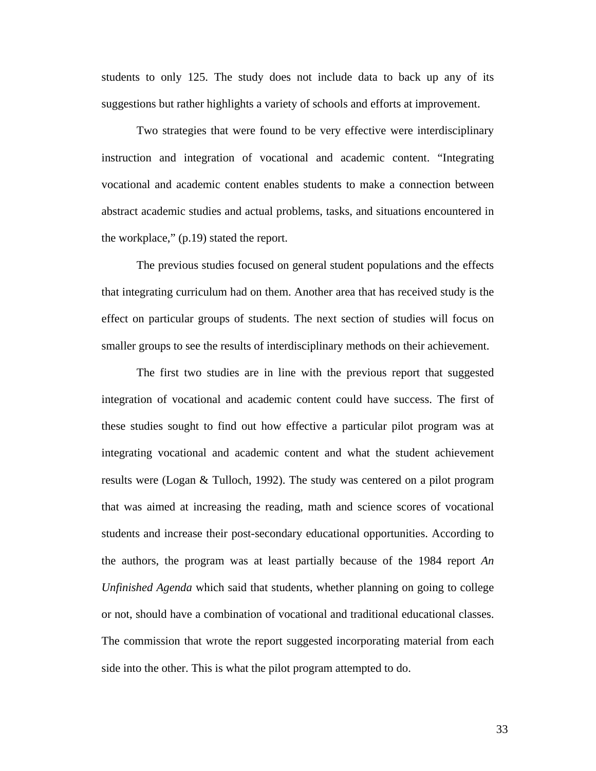students to only 125. The study does not include data to back up any of its suggestions but rather highlights a variety of schools and efforts at improvement.

Two strategies that were found to be very effective were interdisciplinary instruction and integration of vocational and academic content. "Integrating vocational and academic content enables students to make a connection between abstract academic studies and actual problems, tasks, and situations encountered in the workplace," (p.19) stated the report.

The previous studies focused on general student populations and the effects that integrating curriculum had on them. Another area that has received study is the effect on particular groups of students. The next section of studies will focus on smaller groups to see the results of interdisciplinary methods on their achievement.

The first two studies are in line with the previous report that suggested integration of vocational and academic content could have success. The first of these studies sought to find out how effective a particular pilot program was at integrating vocational and academic content and what the student achievement results were (Logan & Tulloch, 1992). The study was centered on a pilot program that was aimed at increasing the reading, math and science scores of vocational students and increase their post-secondary educational opportunities. According to the authors, the program was at least partially because of the 1984 report *An Unfinished Agenda* which said that students, whether planning on going to college or not, should have a combination of vocational and traditional educational classes. The commission that wrote the report suggested incorporating material from each side into the other. This is what the pilot program attempted to do.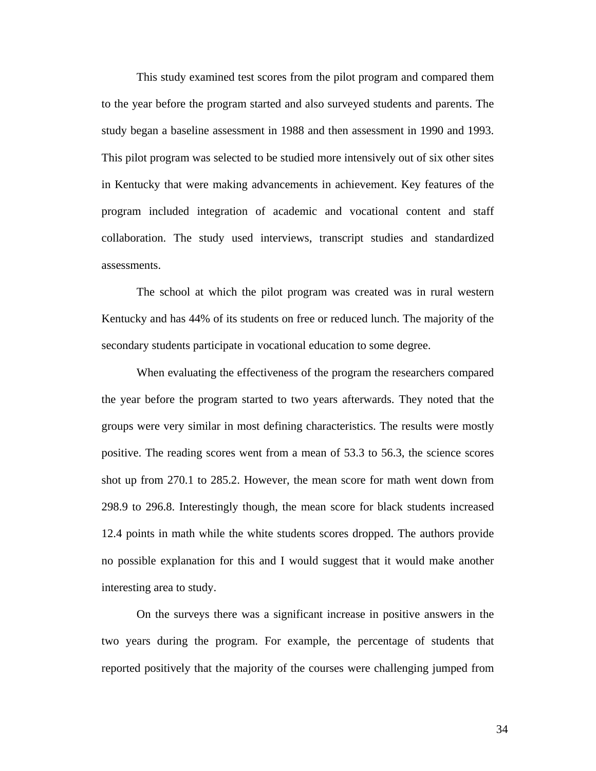This study examined test scores from the pilot program and compared them to the year before the program started and also surveyed students and parents. The study began a baseline assessment in 1988 and then assessment in 1990 and 1993. This pilot program was selected to be studied more intensively out of six other sites in Kentucky that were making advancements in achievement. Key features of the program included integration of academic and vocational content and staff collaboration. The study used interviews, transcript studies and standardized assessments.

The school at which the pilot program was created was in rural western Kentucky and has 44% of its students on free or reduced lunch. The majority of the secondary students participate in vocational education to some degree.

When evaluating the effectiveness of the program the researchers compared the year before the program started to two years afterwards. They noted that the groups were very similar in most defining characteristics. The results were mostly positive. The reading scores went from a mean of 53.3 to 56.3, the science scores shot up from 270.1 to 285.2. However, the mean score for math went down from 298.9 to 296.8. Interestingly though, the mean score for black students increased 12.4 points in math while the white students scores dropped. The authors provide no possible explanation for this and I would suggest that it would make another interesting area to study.

On the surveys there was a significant increase in positive answers in the two years during the program. For example, the percentage of students that reported positively that the majority of the courses were challenging jumped from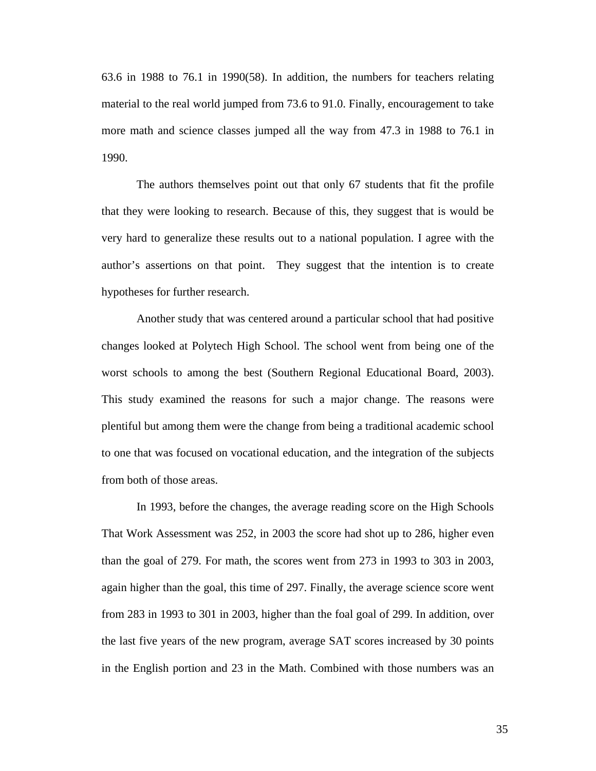63.6 in 1988 to 76.1 in 1990(58). In addition, the numbers for teachers relating material to the real world jumped from 73.6 to 91.0. Finally, encouragement to take more math and science classes jumped all the way from 47.3 in 1988 to 76.1 in 1990.

The authors themselves point out that only 67 students that fit the profile that they were looking to research. Because of this, they suggest that is would be very hard to generalize these results out to a national population. I agree with the author's assertions on that point. They suggest that the intention is to create hypotheses for further research.

Another study that was centered around a particular school that had positive changes looked at Polytech High School. The school went from being one of the worst schools to among the best (Southern Regional Educational Board, 2003). This study examined the reasons for such a major change. The reasons were plentiful but among them were the change from being a traditional academic school to one that was focused on vocational education, and the integration of the subjects from both of those areas.

In 1993, before the changes, the average reading score on the High Schools That Work Assessment was 252, in 2003 the score had shot up to 286, higher even than the goal of 279. For math, the scores went from 273 in 1993 to 303 in 2003, again higher than the goal, this time of 297. Finally, the average science score went from 283 in 1993 to 301 in 2003, higher than the foal goal of 299. In addition, over the last five years of the new program, average SAT scores increased by 30 points in the English portion and 23 in the Math. Combined with those numbers was an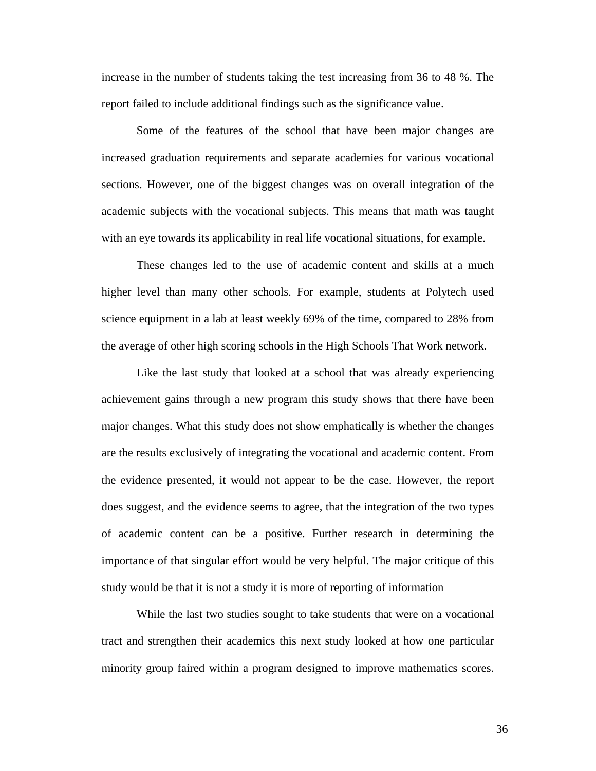increase in the number of students taking the test increasing from 36 to 48 %. The report failed to include additional findings such as the significance value.

Some of the features of the school that have been major changes are increased graduation requirements and separate academies for various vocational sections. However, one of the biggest changes was on overall integration of the academic subjects with the vocational subjects. This means that math was taught with an eye towards its applicability in real life vocational situations, for example.

These changes led to the use of academic content and skills at a much higher level than many other schools. For example, students at Polytech used science equipment in a lab at least weekly 69% of the time, compared to 28% from the average of other high scoring schools in the High Schools That Work network.

Like the last study that looked at a school that was already experiencing achievement gains through a new program this study shows that there have been major changes. What this study does not show emphatically is whether the changes are the results exclusively of integrating the vocational and academic content. From the evidence presented, it would not appear to be the case. However, the report does suggest, and the evidence seems to agree, that the integration of the two types of academic content can be a positive. Further research in determining the importance of that singular effort would be very helpful. The major critique of this study would be that it is not a study it is more of reporting of information

While the last two studies sought to take students that were on a vocational tract and strengthen their academics this next study looked at how one particular minority group faired within a program designed to improve mathematics scores.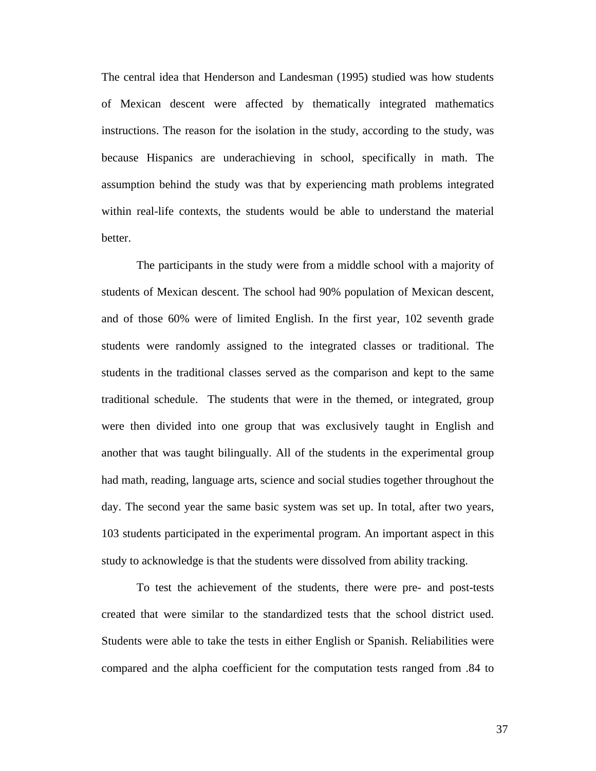The central idea that Henderson and Landesman (1995) studied was how students of Mexican descent were affected by thematically integrated mathematics instructions. The reason for the isolation in the study, according to the study, was because Hispanics are underachieving in school, specifically in math. The assumption behind the study was that by experiencing math problems integrated within real-life contexts, the students would be able to understand the material better.

The participants in the study were from a middle school with a majority of students of Mexican descent. The school had 90% population of Mexican descent, and of those 60% were of limited English. In the first year, 102 seventh grade students were randomly assigned to the integrated classes or traditional. The students in the traditional classes served as the comparison and kept to the same traditional schedule. The students that were in the themed, or integrated, group were then divided into one group that was exclusively taught in English and another that was taught bilingually. All of the students in the experimental group had math, reading, language arts, science and social studies together throughout the day. The second year the same basic system was set up. In total, after two years, 103 students participated in the experimental program. An important aspect in this study to acknowledge is that the students were dissolved from ability tracking.

To test the achievement of the students, there were pre- and post-tests created that were similar to the standardized tests that the school district used. Students were able to take the tests in either English or Spanish. Reliabilities were compared and the alpha coefficient for the computation tests ranged from .84 to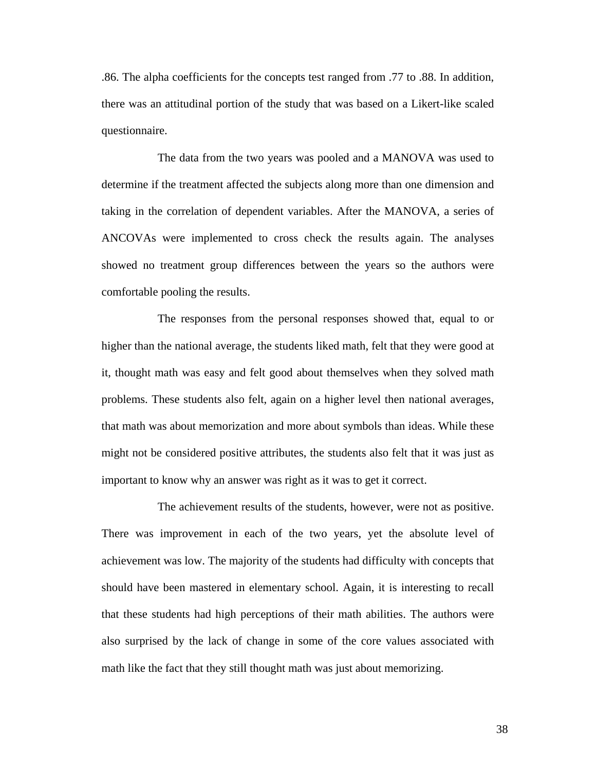.86. The alpha coefficients for the concepts test ranged from .77 to .88. In addition, there was an attitudinal portion of the study that was based on a Likert-like scaled questionnaire.

 The data from the two years was pooled and a MANOVA was used to determine if the treatment affected the subjects along more than one dimension and taking in the correlation of dependent variables. After the MANOVA, a series of ANCOVAs were implemented to cross check the results again. The analyses showed no treatment group differences between the years so the authors were comfortable pooling the results.

 The responses from the personal responses showed that, equal to or higher than the national average, the students liked math, felt that they were good at it, thought math was easy and felt good about themselves when they solved math problems. These students also felt, again on a higher level then national averages, that math was about memorization and more about symbols than ideas. While these might not be considered positive attributes, the students also felt that it was just as important to know why an answer was right as it was to get it correct.

 The achievement results of the students, however, were not as positive. There was improvement in each of the two years, yet the absolute level of achievement was low. The majority of the students had difficulty with concepts that should have been mastered in elementary school. Again, it is interesting to recall that these students had high perceptions of their math abilities. The authors were also surprised by the lack of change in some of the core values associated with math like the fact that they still thought math was just about memorizing.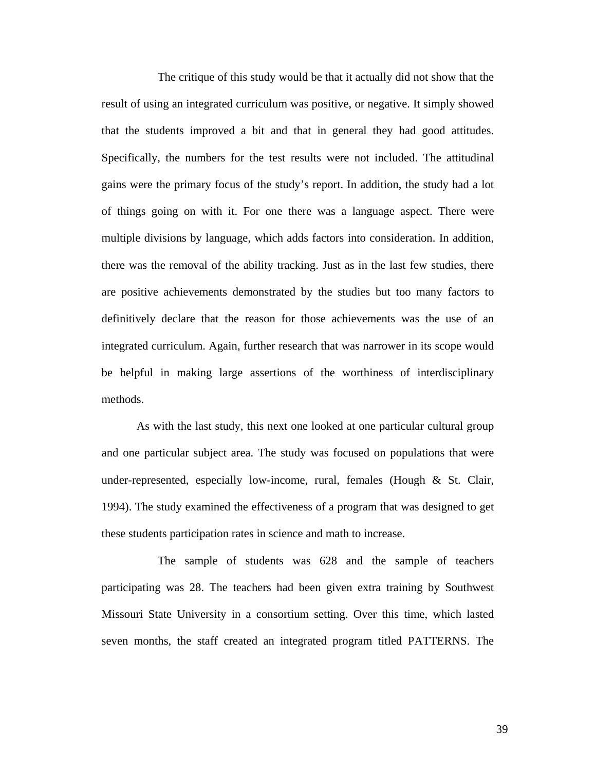The critique of this study would be that it actually did not show that the result of using an integrated curriculum was positive, or negative. It simply showed that the students improved a bit and that in general they had good attitudes. Specifically, the numbers for the test results were not included. The attitudinal gains were the primary focus of the study's report. In addition, the study had a lot of things going on with it. For one there was a language aspect. There were multiple divisions by language, which adds factors into consideration. In addition, there was the removal of the ability tracking. Just as in the last few studies, there are positive achievements demonstrated by the studies but too many factors to definitively declare that the reason for those achievements was the use of an integrated curriculum. Again, further research that was narrower in its scope would be helpful in making large assertions of the worthiness of interdisciplinary methods.

As with the last study, this next one looked at one particular cultural group and one particular subject area. The study was focused on populations that were under-represented, especially low-income, rural, females (Hough & St. Clair, 1994). The study examined the effectiveness of a program that was designed to get these students participation rates in science and math to increase.

 The sample of students was 628 and the sample of teachers participating was 28. The teachers had been given extra training by Southwest Missouri State University in a consortium setting. Over this time, which lasted seven months, the staff created an integrated program titled PATTERNS. The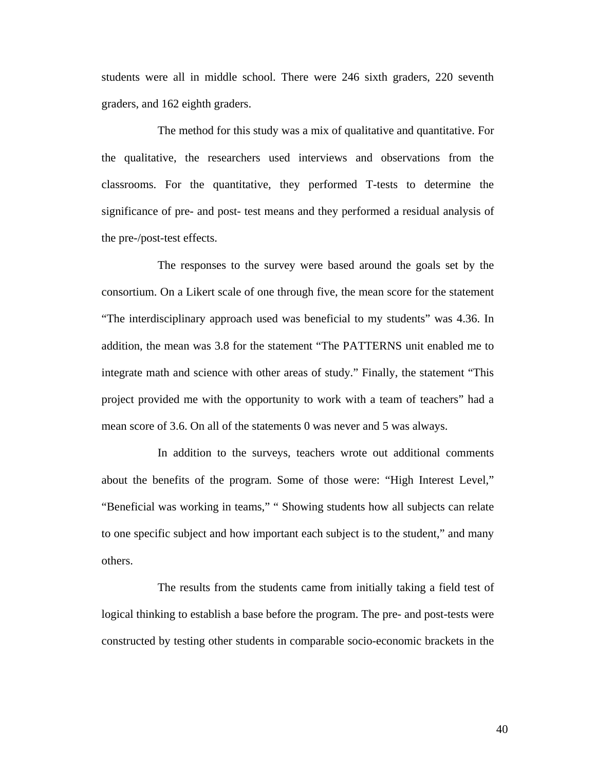students were all in middle school. There were 246 sixth graders, 220 seventh graders, and 162 eighth graders.

 The method for this study was a mix of qualitative and quantitative. For the qualitative, the researchers used interviews and observations from the classrooms. For the quantitative, they performed T-tests to determine the significance of pre- and post- test means and they performed a residual analysis of the pre-/post-test effects.

 The responses to the survey were based around the goals set by the consortium. On a Likert scale of one through five, the mean score for the statement "The interdisciplinary approach used was beneficial to my students" was 4.36. In addition, the mean was 3.8 for the statement "The PATTERNS unit enabled me to integrate math and science with other areas of study." Finally, the statement "This project provided me with the opportunity to work with a team of teachers" had a mean score of 3.6. On all of the statements 0 was never and 5 was always.

 In addition to the surveys, teachers wrote out additional comments about the benefits of the program. Some of those were: "High Interest Level," "Beneficial was working in teams," " Showing students how all subjects can relate to one specific subject and how important each subject is to the student," and many others.

 The results from the students came from initially taking a field test of logical thinking to establish a base before the program. The pre- and post-tests were constructed by testing other students in comparable socio-economic brackets in the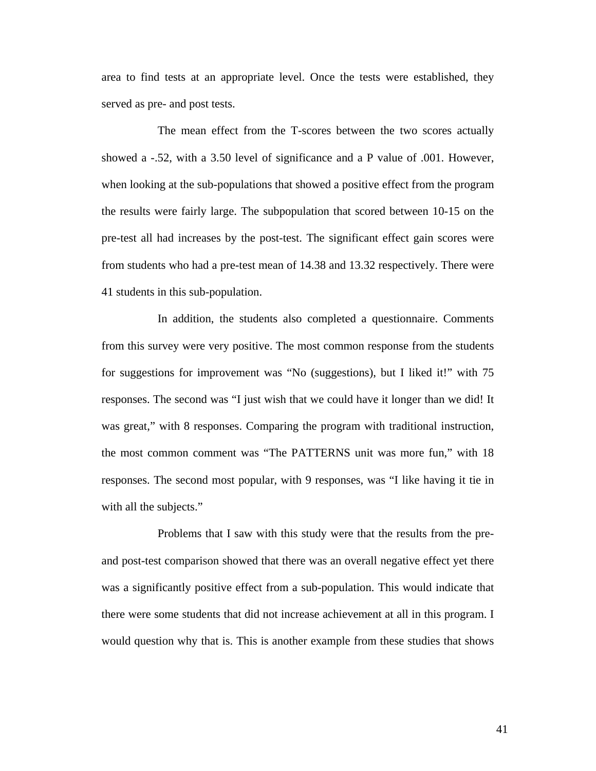area to find tests at an appropriate level. Once the tests were established, they served as pre- and post tests.

 The mean effect from the T-scores between the two scores actually showed a -.52, with a 3.50 level of significance and a P value of .001. However, when looking at the sub-populations that showed a positive effect from the program the results were fairly large. The subpopulation that scored between 10-15 on the pre-test all had increases by the post-test. The significant effect gain scores were from students who had a pre-test mean of 14.38 and 13.32 respectively. There were 41 students in this sub-population.

 In addition, the students also completed a questionnaire. Comments from this survey were very positive. The most common response from the students for suggestions for improvement was "No (suggestions), but I liked it!" with 75 responses. The second was "I just wish that we could have it longer than we did! It was great," with 8 responses. Comparing the program with traditional instruction, the most common comment was "The PATTERNS unit was more fun," with 18 responses. The second most popular, with 9 responses, was "I like having it tie in with all the subjects."

 Problems that I saw with this study were that the results from the preand post-test comparison showed that there was an overall negative effect yet there was a significantly positive effect from a sub-population. This would indicate that there were some students that did not increase achievement at all in this program. I would question why that is. This is another example from these studies that shows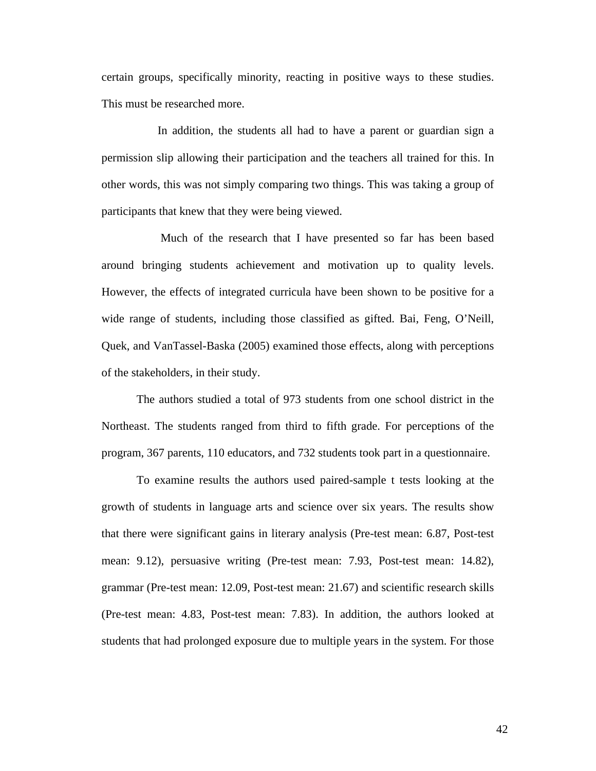certain groups, specifically minority, reacting in positive ways to these studies. This must be researched more.

 In addition, the students all had to have a parent or guardian sign a permission slip allowing their participation and the teachers all trained for this. In other words, this was not simply comparing two things. This was taking a group of participants that knew that they were being viewed.

 Much of the research that I have presented so far has been based around bringing students achievement and motivation up to quality levels. However, the effects of integrated curricula have been shown to be positive for a wide range of students, including those classified as gifted. Bai, Feng, O'Neill, Quek, and VanTassel-Baska (2005) examined those effects, along with perceptions of the stakeholders, in their study.

The authors studied a total of 973 students from one school district in the Northeast. The students ranged from third to fifth grade. For perceptions of the program, 367 parents, 110 educators, and 732 students took part in a questionnaire.

To examine results the authors used paired-sample t tests looking at the growth of students in language arts and science over six years. The results show that there were significant gains in literary analysis (Pre-test mean: 6.87, Post-test mean: 9.12), persuasive writing (Pre-test mean: 7.93, Post-test mean: 14.82), grammar (Pre-test mean: 12.09, Post-test mean: 21.67) and scientific research skills (Pre-test mean: 4.83, Post-test mean: 7.83). In addition, the authors looked at students that had prolonged exposure due to multiple years in the system. For those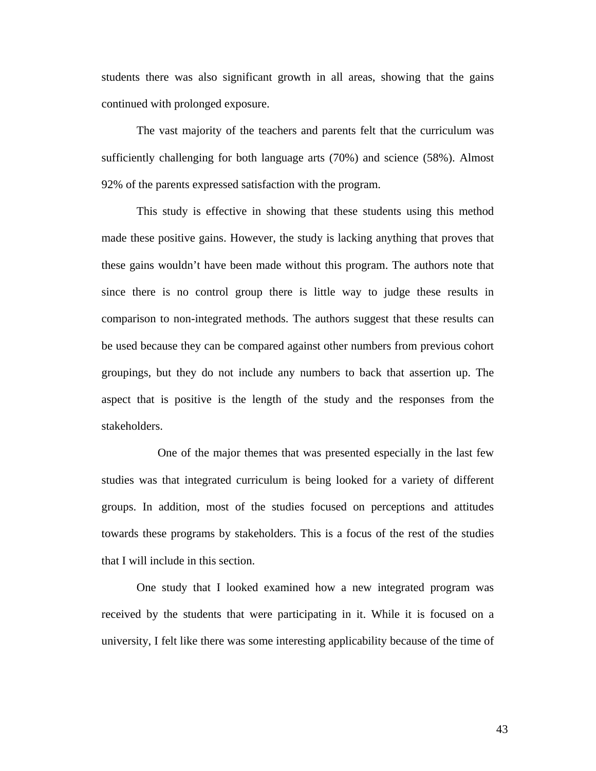students there was also significant growth in all areas, showing that the gains continued with prolonged exposure.

The vast majority of the teachers and parents felt that the curriculum was sufficiently challenging for both language arts (70%) and science (58%). Almost 92% of the parents expressed satisfaction with the program.

This study is effective in showing that these students using this method made these positive gains. However, the study is lacking anything that proves that these gains wouldn't have been made without this program. The authors note that since there is no control group there is little way to judge these results in comparison to non-integrated methods. The authors suggest that these results can be used because they can be compared against other numbers from previous cohort groupings, but they do not include any numbers to back that assertion up. The aspect that is positive is the length of the study and the responses from the stakeholders.

 One of the major themes that was presented especially in the last few studies was that integrated curriculum is being looked for a variety of different groups. In addition, most of the studies focused on perceptions and attitudes towards these programs by stakeholders. This is a focus of the rest of the studies that I will include in this section.

One study that I looked examined how a new integrated program was received by the students that were participating in it. While it is focused on a university, I felt like there was some interesting applicability because of the time of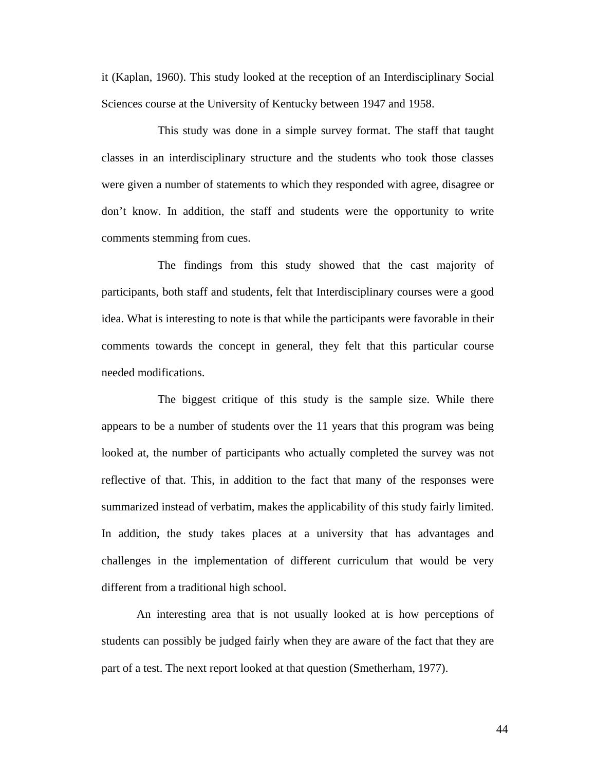it (Kaplan, 1960). This study looked at the reception of an Interdisciplinary Social Sciences course at the University of Kentucky between 1947 and 1958.

 This study was done in a simple survey format. The staff that taught classes in an interdisciplinary structure and the students who took those classes were given a number of statements to which they responded with agree, disagree or don't know. In addition, the staff and students were the opportunity to write comments stemming from cues.

 The findings from this study showed that the cast majority of participants, both staff and students, felt that Interdisciplinary courses were a good idea. What is interesting to note is that while the participants were favorable in their comments towards the concept in general, they felt that this particular course needed modifications.

 The biggest critique of this study is the sample size. While there appears to be a number of students over the 11 years that this program was being looked at, the number of participants who actually completed the survey was not reflective of that. This, in addition to the fact that many of the responses were summarized instead of verbatim, makes the applicability of this study fairly limited. In addition, the study takes places at a university that has advantages and challenges in the implementation of different curriculum that would be very different from a traditional high school.

An interesting area that is not usually looked at is how perceptions of students can possibly be judged fairly when they are aware of the fact that they are part of a test. The next report looked at that question (Smetherham, 1977).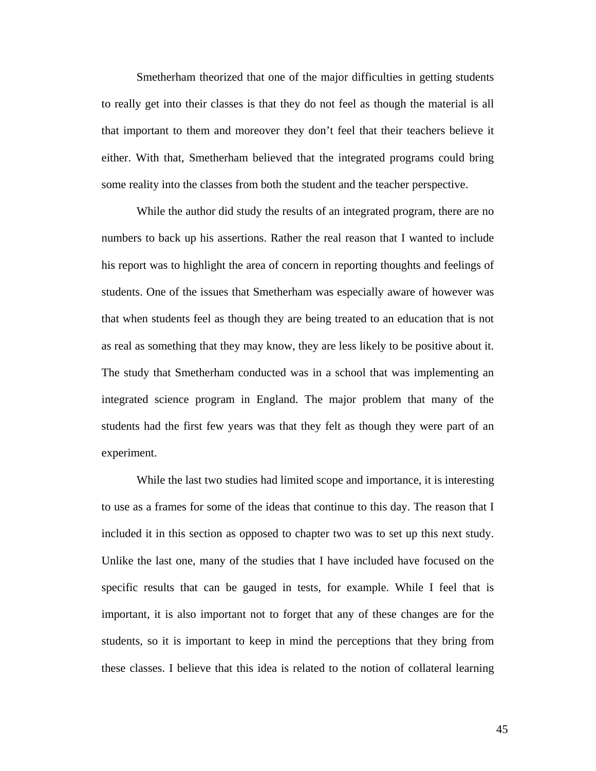Smetherham theorized that one of the major difficulties in getting students to really get into their classes is that they do not feel as though the material is all that important to them and moreover they don't feel that their teachers believe it either. With that, Smetherham believed that the integrated programs could bring some reality into the classes from both the student and the teacher perspective.

While the author did study the results of an integrated program, there are no numbers to back up his assertions. Rather the real reason that I wanted to include his report was to highlight the area of concern in reporting thoughts and feelings of students. One of the issues that Smetherham was especially aware of however was that when students feel as though they are being treated to an education that is not as real as something that they may know, they are less likely to be positive about it. The study that Smetherham conducted was in a school that was implementing an integrated science program in England. The major problem that many of the students had the first few years was that they felt as though they were part of an experiment.

While the last two studies had limited scope and importance, it is interesting to use as a frames for some of the ideas that continue to this day. The reason that I included it in this section as opposed to chapter two was to set up this next study. Unlike the last one, many of the studies that I have included have focused on the specific results that can be gauged in tests, for example. While I feel that is important, it is also important not to forget that any of these changes are for the students, so it is important to keep in mind the perceptions that they bring from these classes. I believe that this idea is related to the notion of collateral learning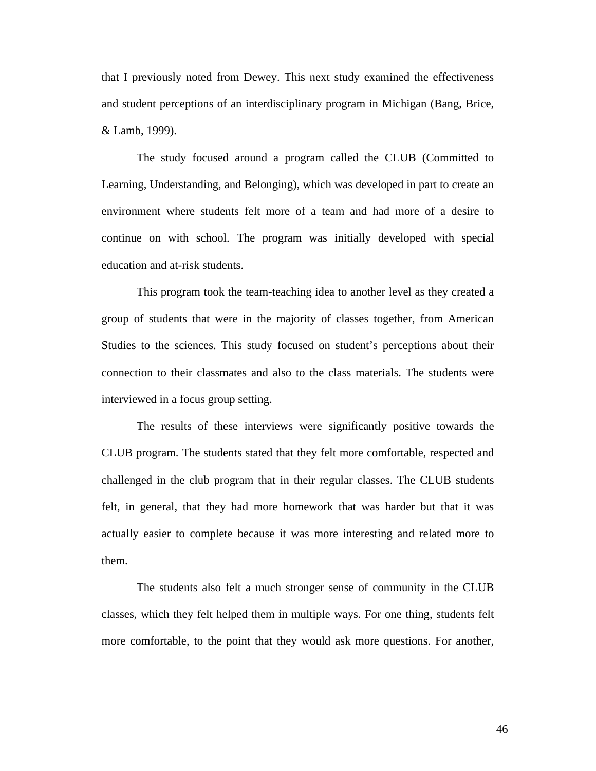that I previously noted from Dewey. This next study examined the effectiveness and student perceptions of an interdisciplinary program in Michigan (Bang, Brice, & Lamb, 1999).

The study focused around a program called the CLUB (Committed to Learning, Understanding, and Belonging), which was developed in part to create an environment where students felt more of a team and had more of a desire to continue on with school. The program was initially developed with special education and at-risk students.

This program took the team-teaching idea to another level as they created a group of students that were in the majority of classes together, from American Studies to the sciences. This study focused on student's perceptions about their connection to their classmates and also to the class materials. The students were interviewed in a focus group setting.

The results of these interviews were significantly positive towards the CLUB program. The students stated that they felt more comfortable, respected and challenged in the club program that in their regular classes. The CLUB students felt, in general, that they had more homework that was harder but that it was actually easier to complete because it was more interesting and related more to them.

The students also felt a much stronger sense of community in the CLUB classes, which they felt helped them in multiple ways. For one thing, students felt more comfortable, to the point that they would ask more questions. For another,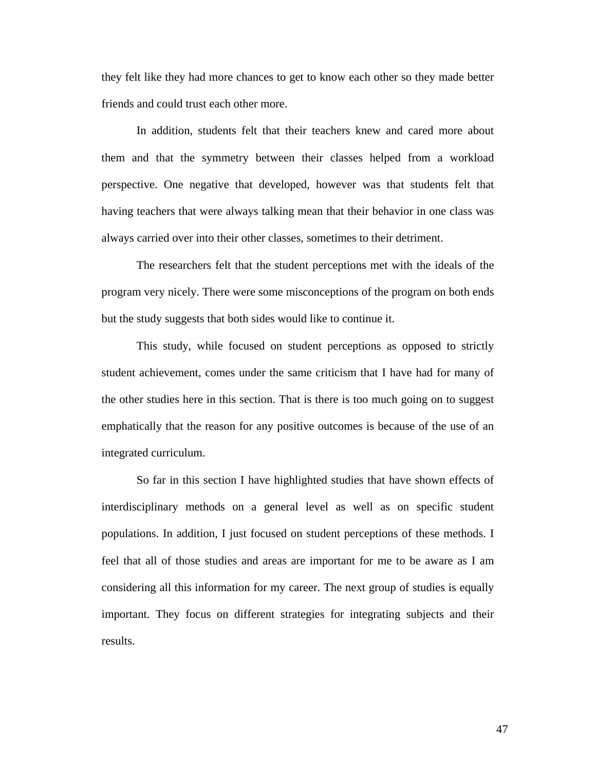they felt like they had more chances to get to know each other so they made better friends and could trust each other more.

In addition, students felt that their teachers knew and cared more about them and that the symmetry between their classes helped from a workload perspective. One negative that developed, however was that students felt that having teachers that were always talking mean that their behavior in one class was always carried over into their other classes, sometimes to their detriment.

The researchers felt that the student perceptions met with the ideals of the program very nicely. There were some misconceptions of the program on both ends but the study suggests that both sides would like to continue it.

This study, while focused on student perceptions as opposed to strictly student achievement, comes under the same criticism that I have had for many of the other studies here in this section. That is there is too much going on to suggest emphatically that the reason for any positive outcomes is because of the use of an integrated curriculum.

So far in this section I have highlighted studies that have shown effects of interdisciplinary methods on a general level as well as on specific student populations. In addition, I just focused on student perceptions of these methods. I feel that all of those studies and areas are important for me to be aware as I am considering all this information for my career. The next group of studies is equally important. They focus on different strategies for integrating subjects and their results.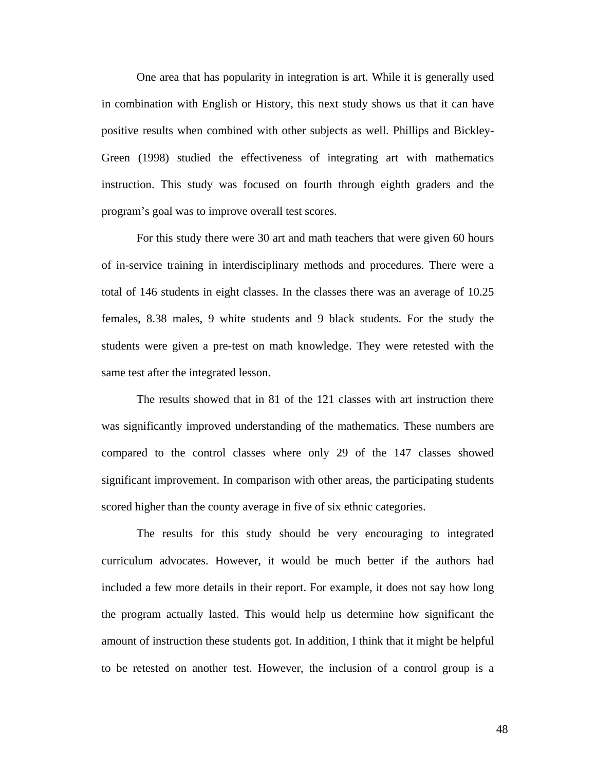One area that has popularity in integration is art. While it is generally used in combination with English or History, this next study shows us that it can have positive results when combined with other subjects as well. Phillips and Bickley-Green (1998) studied the effectiveness of integrating art with mathematics instruction. This study was focused on fourth through eighth graders and the program's goal was to improve overall test scores.

For this study there were 30 art and math teachers that were given 60 hours of in-service training in interdisciplinary methods and procedures. There were a total of 146 students in eight classes. In the classes there was an average of 10.25 females, 8.38 males, 9 white students and 9 black students. For the study the students were given a pre-test on math knowledge. They were retested with the same test after the integrated lesson.

The results showed that in 81 of the 121 classes with art instruction there was significantly improved understanding of the mathematics. These numbers are compared to the control classes where only 29 of the 147 classes showed significant improvement. In comparison with other areas, the participating students scored higher than the county average in five of six ethnic categories.

The results for this study should be very encouraging to integrated curriculum advocates. However, it would be much better if the authors had included a few more details in their report. For example, it does not say how long the program actually lasted. This would help us determine how significant the amount of instruction these students got. In addition, I think that it might be helpful to be retested on another test. However, the inclusion of a control group is a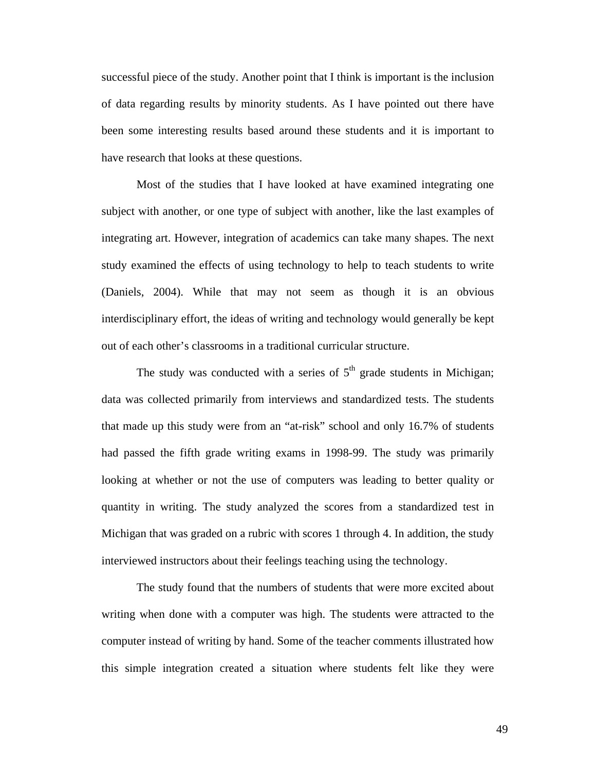successful piece of the study. Another point that I think is important is the inclusion of data regarding results by minority students. As I have pointed out there have been some interesting results based around these students and it is important to have research that looks at these questions.

Most of the studies that I have looked at have examined integrating one subject with another, or one type of subject with another, like the last examples of integrating art. However, integration of academics can take many shapes. The next study examined the effects of using technology to help to teach students to write (Daniels, 2004). While that may not seem as though it is an obvious interdisciplinary effort, the ideas of writing and technology would generally be kept out of each other's classrooms in a traditional curricular structure.

The study was conducted with a series of  $5<sup>th</sup>$  grade students in Michigan; data was collected primarily from interviews and standardized tests. The students that made up this study were from an "at-risk" school and only 16.7% of students had passed the fifth grade writing exams in 1998-99. The study was primarily looking at whether or not the use of computers was leading to better quality or quantity in writing. The study analyzed the scores from a standardized test in Michigan that was graded on a rubric with scores 1 through 4. In addition, the study interviewed instructors about their feelings teaching using the technology.

The study found that the numbers of students that were more excited about writing when done with a computer was high. The students were attracted to the computer instead of writing by hand. Some of the teacher comments illustrated how this simple integration created a situation where students felt like they were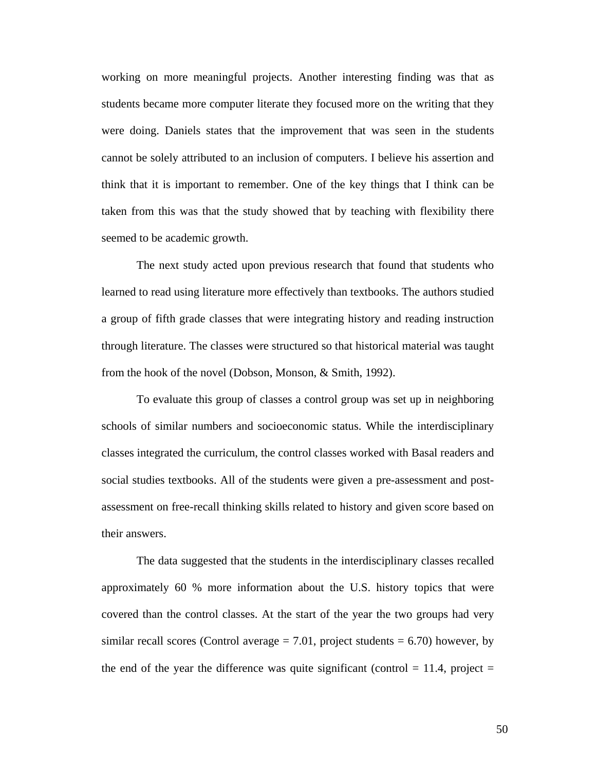working on more meaningful projects. Another interesting finding was that as students became more computer literate they focused more on the writing that they were doing. Daniels states that the improvement that was seen in the students cannot be solely attributed to an inclusion of computers. I believe his assertion and think that it is important to remember. One of the key things that I think can be taken from this was that the study showed that by teaching with flexibility there seemed to be academic growth.

The next study acted upon previous research that found that students who learned to read using literature more effectively than textbooks. The authors studied a group of fifth grade classes that were integrating history and reading instruction through literature. The classes were structured so that historical material was taught from the hook of the novel (Dobson, Monson, & Smith, 1992).

To evaluate this group of classes a control group was set up in neighboring schools of similar numbers and socioeconomic status. While the interdisciplinary classes integrated the curriculum, the control classes worked with Basal readers and social studies textbooks. All of the students were given a pre-assessment and postassessment on free-recall thinking skills related to history and given score based on their answers.

The data suggested that the students in the interdisciplinary classes recalled approximately 60 % more information about the U.S. history topics that were covered than the control classes. At the start of the year the two groups had very similar recall scores (Control average  $= 7.01$ , project students  $= 6.70$ ) however, by the end of the year the difference was quite significant (control  $= 11.4$ , project  $=$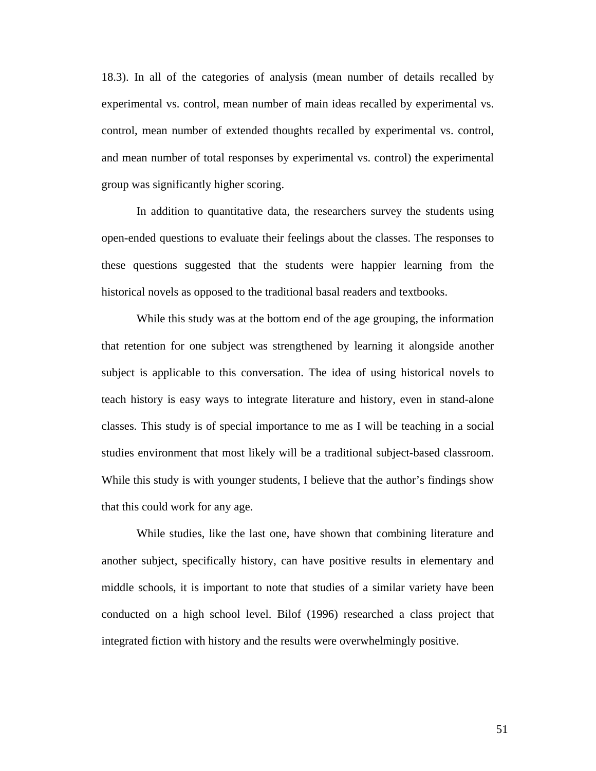18.3). In all of the categories of analysis (mean number of details recalled by experimental vs. control, mean number of main ideas recalled by experimental vs. control, mean number of extended thoughts recalled by experimental vs. control, and mean number of total responses by experimental vs. control) the experimental group was significantly higher scoring.

In addition to quantitative data, the researchers survey the students using open-ended questions to evaluate their feelings about the classes. The responses to these questions suggested that the students were happier learning from the historical novels as opposed to the traditional basal readers and textbooks.

While this study was at the bottom end of the age grouping, the information that retention for one subject was strengthened by learning it alongside another subject is applicable to this conversation. The idea of using historical novels to teach history is easy ways to integrate literature and history, even in stand-alone classes. This study is of special importance to me as I will be teaching in a social studies environment that most likely will be a traditional subject-based classroom. While this study is with younger students, I believe that the author's findings show that this could work for any age.

While studies, like the last one, have shown that combining literature and another subject, specifically history, can have positive results in elementary and middle schools, it is important to note that studies of a similar variety have been conducted on a high school level. Bilof (1996) researched a class project that integrated fiction with history and the results were overwhelmingly positive.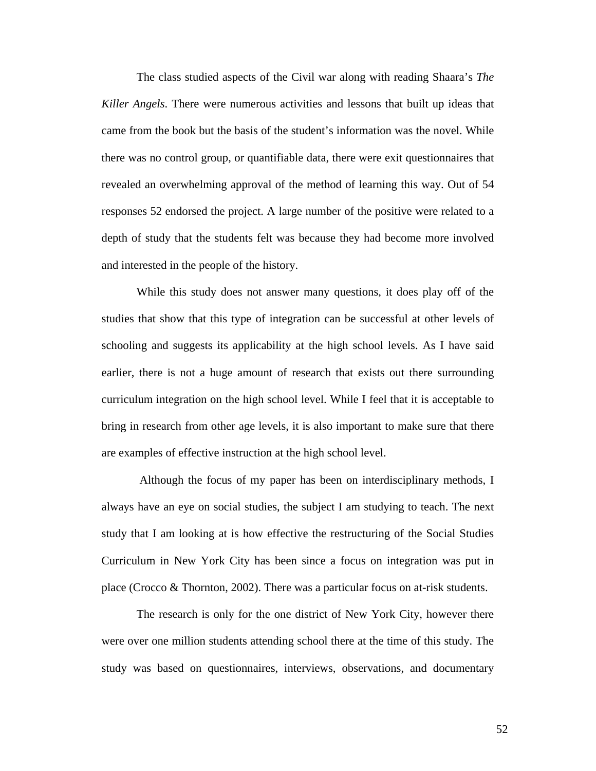The class studied aspects of the Civil war along with reading Shaara's *The Killer Angels*. There were numerous activities and lessons that built up ideas that came from the book but the basis of the student's information was the novel. While there was no control group, or quantifiable data, there were exit questionnaires that revealed an overwhelming approval of the method of learning this way. Out of 54 responses 52 endorsed the project. A large number of the positive were related to a depth of study that the students felt was because they had become more involved and interested in the people of the history.

While this study does not answer many questions, it does play off of the studies that show that this type of integration can be successful at other levels of schooling and suggests its applicability at the high school levels. As I have said earlier, there is not a huge amount of research that exists out there surrounding curriculum integration on the high school level. While I feel that it is acceptable to bring in research from other age levels, it is also important to make sure that there are examples of effective instruction at the high school level.

 Although the focus of my paper has been on interdisciplinary methods, I always have an eye on social studies, the subject I am studying to teach. The next study that I am looking at is how effective the restructuring of the Social Studies Curriculum in New York City has been since a focus on integration was put in place (Crocco & Thornton, 2002). There was a particular focus on at-risk students.

The research is only for the one district of New York City, however there were over one million students attending school there at the time of this study. The study was based on questionnaires, interviews, observations, and documentary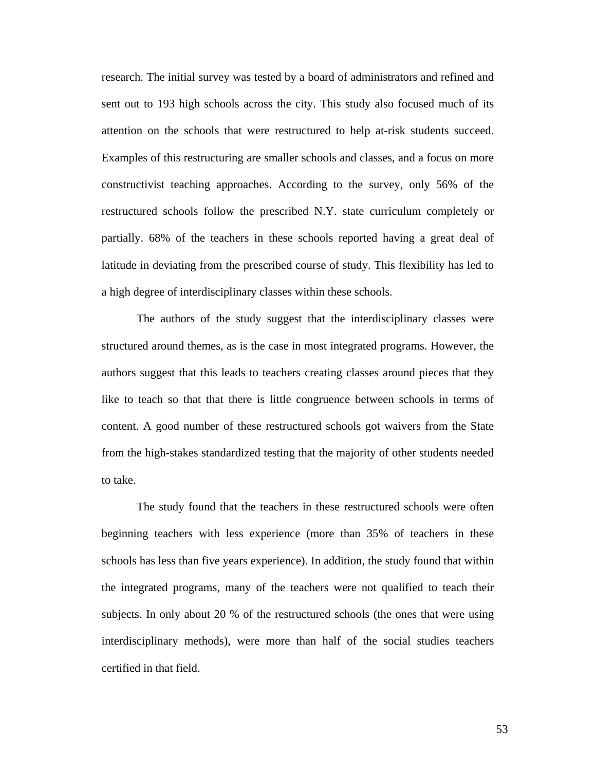research. The initial survey was tested by a board of administrators and refined and sent out to 193 high schools across the city. This study also focused much of its attention on the schools that were restructured to help at-risk students succeed. Examples of this restructuring are smaller schools and classes, and a focus on more constructivist teaching approaches. According to the survey, only 56% of the restructured schools follow the prescribed N.Y. state curriculum completely or partially. 68% of the teachers in these schools reported having a great deal of latitude in deviating from the prescribed course of study. This flexibility has led to a high degree of interdisciplinary classes within these schools.

The authors of the study suggest that the interdisciplinary classes were structured around themes, as is the case in most integrated programs. However, the authors suggest that this leads to teachers creating classes around pieces that they like to teach so that that there is little congruence between schools in terms of content. A good number of these restructured schools got waivers from the State from the high-stakes standardized testing that the majority of other students needed to take.

The study found that the teachers in these restructured schools were often beginning teachers with less experience (more than 35% of teachers in these schools has less than five years experience). In addition, the study found that within the integrated programs, many of the teachers were not qualified to teach their subjects. In only about 20 % of the restructured schools (the ones that were using interdisciplinary methods), were more than half of the social studies teachers certified in that field.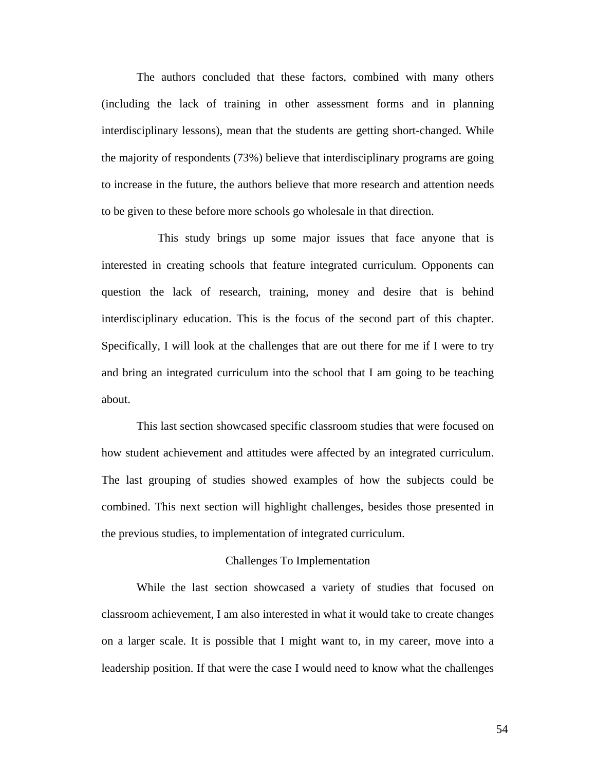The authors concluded that these factors, combined with many others (including the lack of training in other assessment forms and in planning interdisciplinary lessons), mean that the students are getting short-changed. While the majority of respondents (73%) believe that interdisciplinary programs are going to increase in the future, the authors believe that more research and attention needs to be given to these before more schools go wholesale in that direction.

 This study brings up some major issues that face anyone that is interested in creating schools that feature integrated curriculum. Opponents can question the lack of research, training, money and desire that is behind interdisciplinary education. This is the focus of the second part of this chapter. Specifically, I will look at the challenges that are out there for me if I were to try and bring an integrated curriculum into the school that I am going to be teaching about.

This last section showcased specific classroom studies that were focused on how student achievement and attitudes were affected by an integrated curriculum. The last grouping of studies showed examples of how the subjects could be combined. This next section will highlight challenges, besides those presented in the previous studies, to implementation of integrated curriculum.

## Challenges To Implementation

While the last section showcased a variety of studies that focused on classroom achievement, I am also interested in what it would take to create changes on a larger scale. It is possible that I might want to, in my career, move into a leadership position. If that were the case I would need to know what the challenges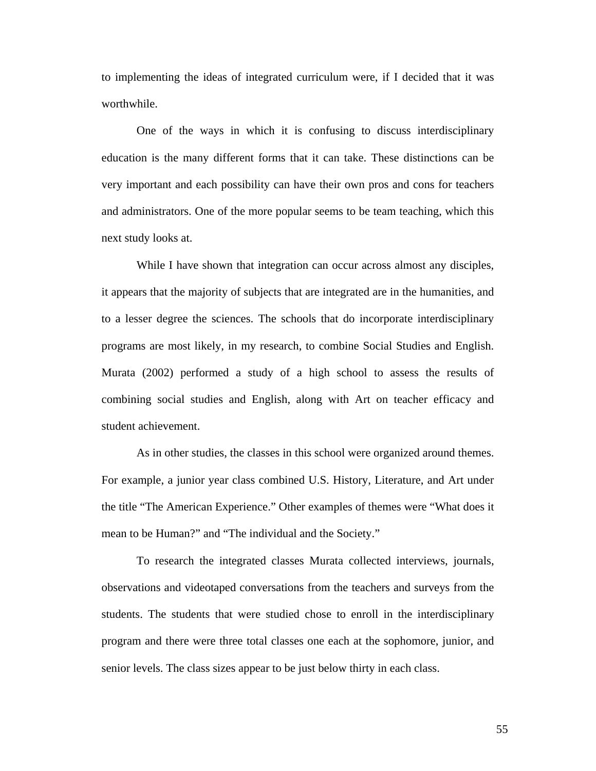to implementing the ideas of integrated curriculum were, if I decided that it was worthwhile.

One of the ways in which it is confusing to discuss interdisciplinary education is the many different forms that it can take. These distinctions can be very important and each possibility can have their own pros and cons for teachers and administrators. One of the more popular seems to be team teaching, which this next study looks at.

While I have shown that integration can occur across almost any disciples, it appears that the majority of subjects that are integrated are in the humanities, and to a lesser degree the sciences. The schools that do incorporate interdisciplinary programs are most likely, in my research, to combine Social Studies and English. Murata (2002) performed a study of a high school to assess the results of combining social studies and English, along with Art on teacher efficacy and student achievement.

As in other studies, the classes in this school were organized around themes. For example, a junior year class combined U.S. History, Literature, and Art under the title "The American Experience." Other examples of themes were "What does it mean to be Human?" and "The individual and the Society."

To research the integrated classes Murata collected interviews, journals, observations and videotaped conversations from the teachers and surveys from the students. The students that were studied chose to enroll in the interdisciplinary program and there were three total classes one each at the sophomore, junior, and senior levels. The class sizes appear to be just below thirty in each class.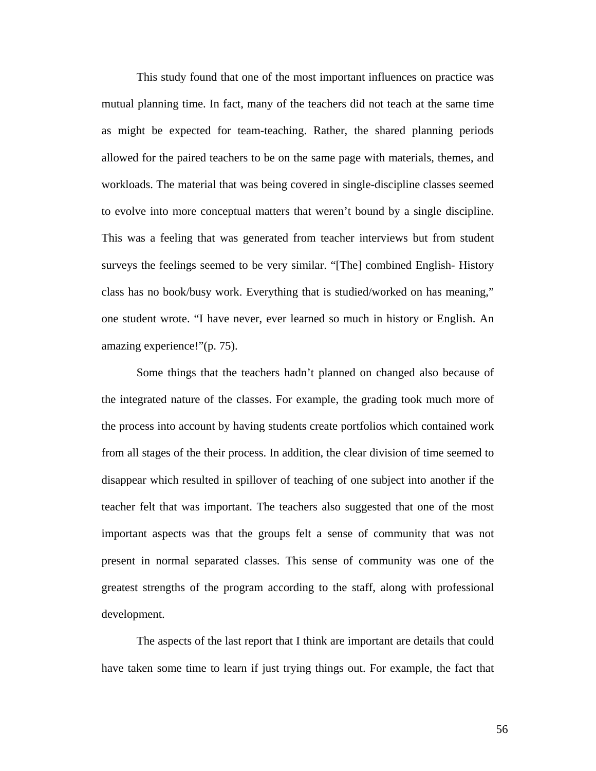This study found that one of the most important influences on practice was mutual planning time. In fact, many of the teachers did not teach at the same time as might be expected for team-teaching. Rather, the shared planning periods allowed for the paired teachers to be on the same page with materials, themes, and workloads. The material that was being covered in single-discipline classes seemed to evolve into more conceptual matters that weren't bound by a single discipline. This was a feeling that was generated from teacher interviews but from student surveys the feelings seemed to be very similar. "[The] combined English- History class has no book/busy work. Everything that is studied/worked on has meaning," one student wrote. "I have never, ever learned so much in history or English. An amazing experience!"(p. 75).

Some things that the teachers hadn't planned on changed also because of the integrated nature of the classes. For example, the grading took much more of the process into account by having students create portfolios which contained work from all stages of the their process. In addition, the clear division of time seemed to disappear which resulted in spillover of teaching of one subject into another if the teacher felt that was important. The teachers also suggested that one of the most important aspects was that the groups felt a sense of community that was not present in normal separated classes. This sense of community was one of the greatest strengths of the program according to the staff, along with professional development.

The aspects of the last report that I think are important are details that could have taken some time to learn if just trying things out. For example, the fact that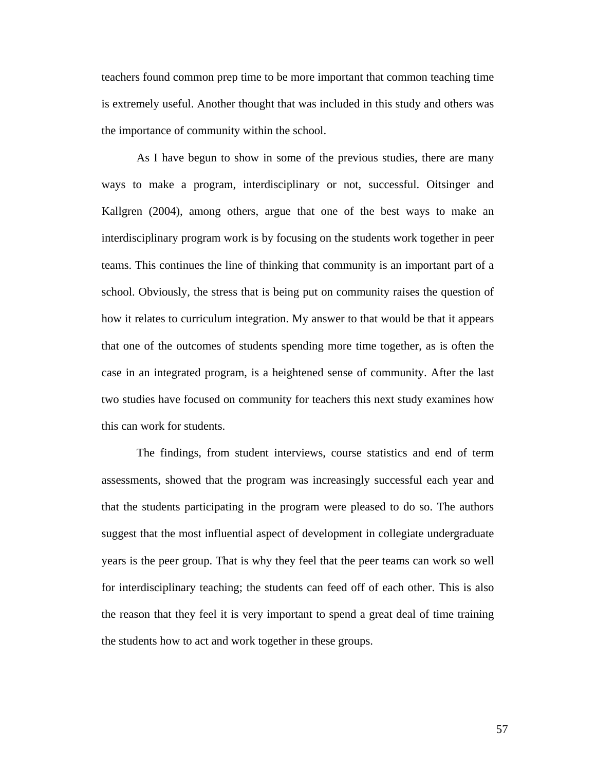teachers found common prep time to be more important that common teaching time is extremely useful. Another thought that was included in this study and others was the importance of community within the school.

As I have begun to show in some of the previous studies, there are many ways to make a program, interdisciplinary or not, successful. Oitsinger and Kallgren (2004), among others, argue that one of the best ways to make an interdisciplinary program work is by focusing on the students work together in peer teams. This continues the line of thinking that community is an important part of a school. Obviously, the stress that is being put on community raises the question of how it relates to curriculum integration. My answer to that would be that it appears that one of the outcomes of students spending more time together, as is often the case in an integrated program, is a heightened sense of community. After the last two studies have focused on community for teachers this next study examines how this can work for students.

The findings, from student interviews, course statistics and end of term assessments, showed that the program was increasingly successful each year and that the students participating in the program were pleased to do so. The authors suggest that the most influential aspect of development in collegiate undergraduate years is the peer group. That is why they feel that the peer teams can work so well for interdisciplinary teaching; the students can feed off of each other. This is also the reason that they feel it is very important to spend a great deal of time training the students how to act and work together in these groups.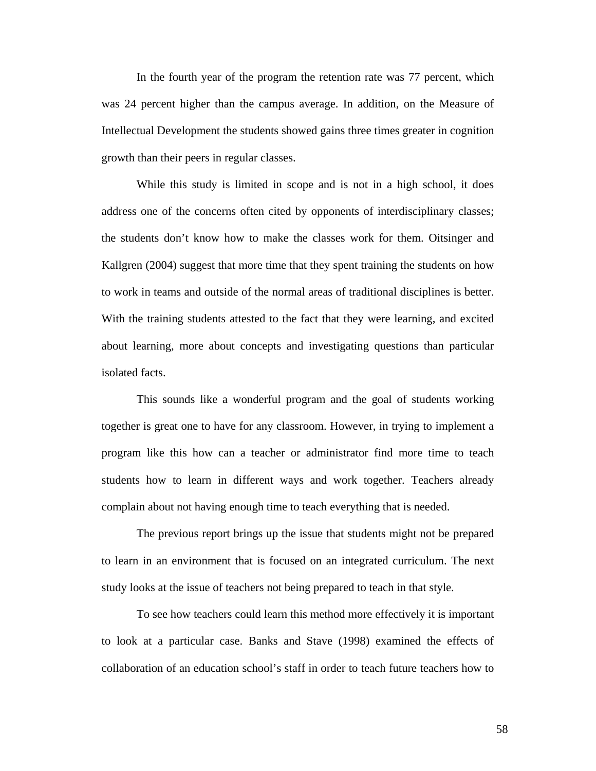In the fourth year of the program the retention rate was 77 percent, which was 24 percent higher than the campus average. In addition, on the Measure of Intellectual Development the students showed gains three times greater in cognition growth than their peers in regular classes.

While this study is limited in scope and is not in a high school, it does address one of the concerns often cited by opponents of interdisciplinary classes; the students don't know how to make the classes work for them. Oitsinger and Kallgren (2004) suggest that more time that they spent training the students on how to work in teams and outside of the normal areas of traditional disciplines is better. With the training students attested to the fact that they were learning, and excited about learning, more about concepts and investigating questions than particular isolated facts.

This sounds like a wonderful program and the goal of students working together is great one to have for any classroom. However, in trying to implement a program like this how can a teacher or administrator find more time to teach students how to learn in different ways and work together. Teachers already complain about not having enough time to teach everything that is needed.

The previous report brings up the issue that students might not be prepared to learn in an environment that is focused on an integrated curriculum. The next study looks at the issue of teachers not being prepared to teach in that style.

To see how teachers could learn this method more effectively it is important to look at a particular case. Banks and Stave (1998) examined the effects of collaboration of an education school's staff in order to teach future teachers how to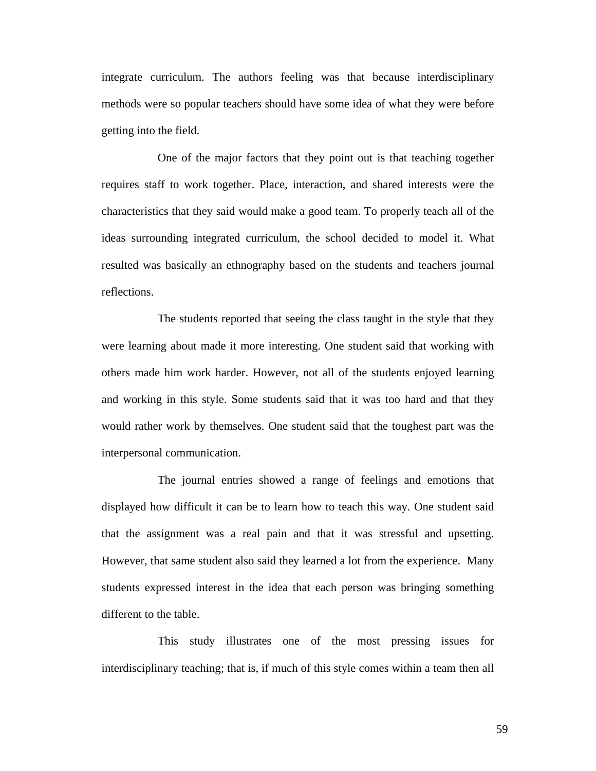integrate curriculum. The authors feeling was that because interdisciplinary methods were so popular teachers should have some idea of what they were before getting into the field.

 One of the major factors that they point out is that teaching together requires staff to work together. Place, interaction, and shared interests were the characteristics that they said would make a good team. To properly teach all of the ideas surrounding integrated curriculum, the school decided to model it. What resulted was basically an ethnography based on the students and teachers journal reflections.

 The students reported that seeing the class taught in the style that they were learning about made it more interesting. One student said that working with others made him work harder. However, not all of the students enjoyed learning and working in this style. Some students said that it was too hard and that they would rather work by themselves. One student said that the toughest part was the interpersonal communication.

 The journal entries showed a range of feelings and emotions that displayed how difficult it can be to learn how to teach this way. One student said that the assignment was a real pain and that it was stressful and upsetting. However, that same student also said they learned a lot from the experience. Many students expressed interest in the idea that each person was bringing something different to the table.

 This study illustrates one of the most pressing issues for interdisciplinary teaching; that is, if much of this style comes within a team then all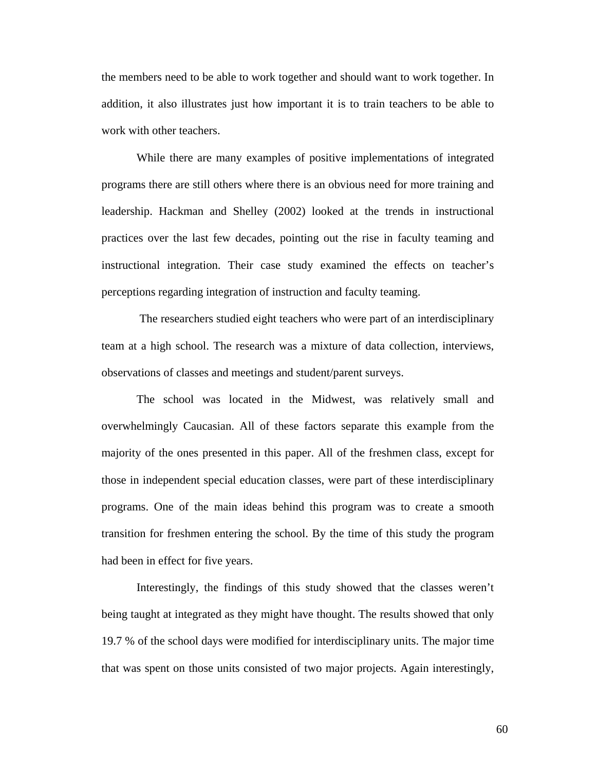the members need to be able to work together and should want to work together. In addition, it also illustrates just how important it is to train teachers to be able to work with other teachers.

While there are many examples of positive implementations of integrated programs there are still others where there is an obvious need for more training and leadership. Hackman and Shelley (2002) looked at the trends in instructional practices over the last few decades, pointing out the rise in faculty teaming and instructional integration. Their case study examined the effects on teacher's perceptions regarding integration of instruction and faculty teaming.

 The researchers studied eight teachers who were part of an interdisciplinary team at a high school. The research was a mixture of data collection, interviews, observations of classes and meetings and student/parent surveys.

The school was located in the Midwest, was relatively small and overwhelmingly Caucasian. All of these factors separate this example from the majority of the ones presented in this paper. All of the freshmen class, except for those in independent special education classes, were part of these interdisciplinary programs. One of the main ideas behind this program was to create a smooth transition for freshmen entering the school. By the time of this study the program had been in effect for five years.

Interestingly, the findings of this study showed that the classes weren't being taught at integrated as they might have thought. The results showed that only 19.7 % of the school days were modified for interdisciplinary units. The major time that was spent on those units consisted of two major projects. Again interestingly,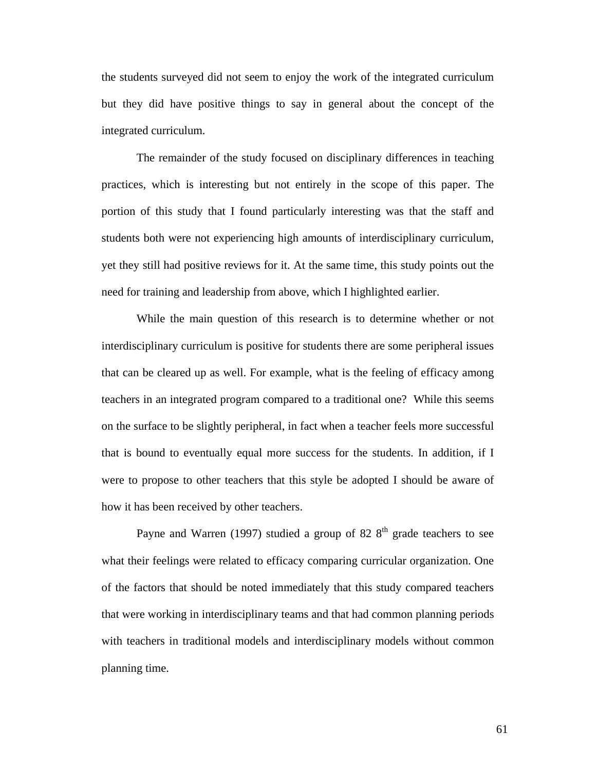the students surveyed did not seem to enjoy the work of the integrated curriculum but they did have positive things to say in general about the concept of the integrated curriculum.

The remainder of the study focused on disciplinary differences in teaching practices, which is interesting but not entirely in the scope of this paper. The portion of this study that I found particularly interesting was that the staff and students both were not experiencing high amounts of interdisciplinary curriculum, yet they still had positive reviews for it. At the same time, this study points out the need for training and leadership from above, which I highlighted earlier.

While the main question of this research is to determine whether or not interdisciplinary curriculum is positive for students there are some peripheral issues that can be cleared up as well. For example, what is the feeling of efficacy among teachers in an integrated program compared to a traditional one? While this seems on the surface to be slightly peripheral, in fact when a teacher feels more successful that is bound to eventually equal more success for the students. In addition, if I were to propose to other teachers that this style be adopted I should be aware of how it has been received by other teachers.

Payne and Warren (1997) studied a group of 82  $8<sup>th</sup>$  grade teachers to see what their feelings were related to efficacy comparing curricular organization. One of the factors that should be noted immediately that this study compared teachers that were working in interdisciplinary teams and that had common planning periods with teachers in traditional models and interdisciplinary models without common planning time.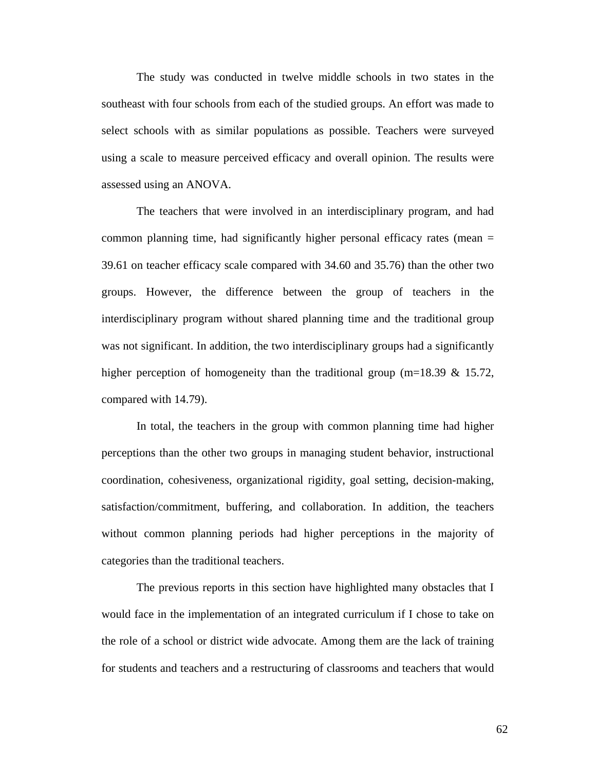The study was conducted in twelve middle schools in two states in the southeast with four schools from each of the studied groups. An effort was made to select schools with as similar populations as possible. Teachers were surveyed using a scale to measure perceived efficacy and overall opinion. The results were assessed using an ANOVA.

The teachers that were involved in an interdisciplinary program, and had common planning time, had significantly higher personal efficacy rates (mean = 39.61 on teacher efficacy scale compared with 34.60 and 35.76) than the other two groups. However, the difference between the group of teachers in the interdisciplinary program without shared planning time and the traditional group was not significant. In addition, the two interdisciplinary groups had a significantly higher perception of homogeneity than the traditional group (m=18.39  $\&$  15.72, compared with 14.79).

In total, the teachers in the group with common planning time had higher perceptions than the other two groups in managing student behavior, instructional coordination, cohesiveness, organizational rigidity, goal setting, decision-making, satisfaction/commitment, buffering, and collaboration. In addition, the teachers without common planning periods had higher perceptions in the majority of categories than the traditional teachers.

The previous reports in this section have highlighted many obstacles that I would face in the implementation of an integrated curriculum if I chose to take on the role of a school or district wide advocate. Among them are the lack of training for students and teachers and a restructuring of classrooms and teachers that would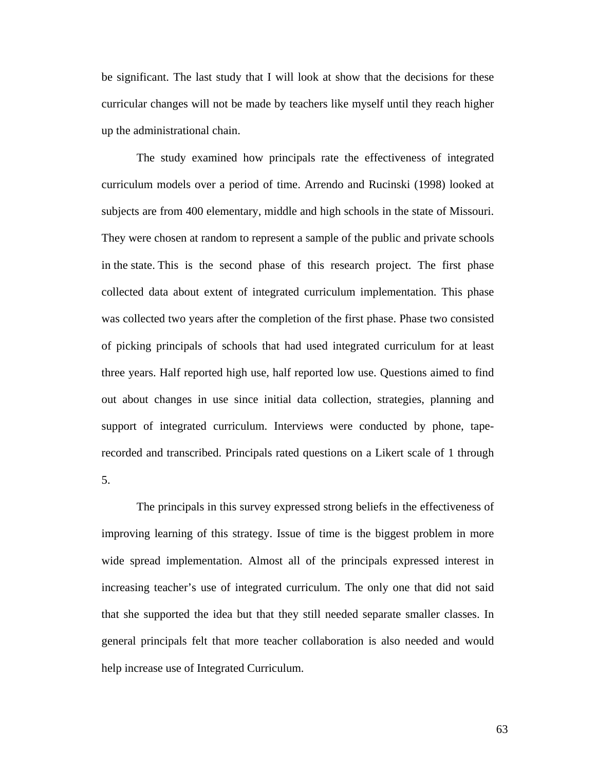be significant. The last study that I will look at show that the decisions for these curricular changes will not be made by teachers like myself until they reach higher up the administrational chain.

The study examined how principals rate the effectiveness of integrated curriculum models over a period of time. Arrendo and Rucinski (1998) looked at subjects are from 400 elementary, middle and high schools in the state of Missouri. They were chosen at random to represent a sample of the public and private schools in the state. This is the second phase of this research project. The first phase collected data about extent of integrated curriculum implementation. This phase was collected two years after the completion of the first phase. Phase two consisted of picking principals of schools that had used integrated curriculum for at least three years. Half reported high use, half reported low use. Questions aimed to find out about changes in use since initial data collection, strategies, planning and support of integrated curriculum. Interviews were conducted by phone, taperecorded and transcribed. Principals rated questions on a Likert scale of 1 through

5.

The principals in this survey expressed strong beliefs in the effectiveness of improving learning of this strategy. Issue of time is the biggest problem in more wide spread implementation. Almost all of the principals expressed interest in increasing teacher's use of integrated curriculum. The only one that did not said that she supported the idea but that they still needed separate smaller classes. In general principals felt that more teacher collaboration is also needed and would help increase use of Integrated Curriculum.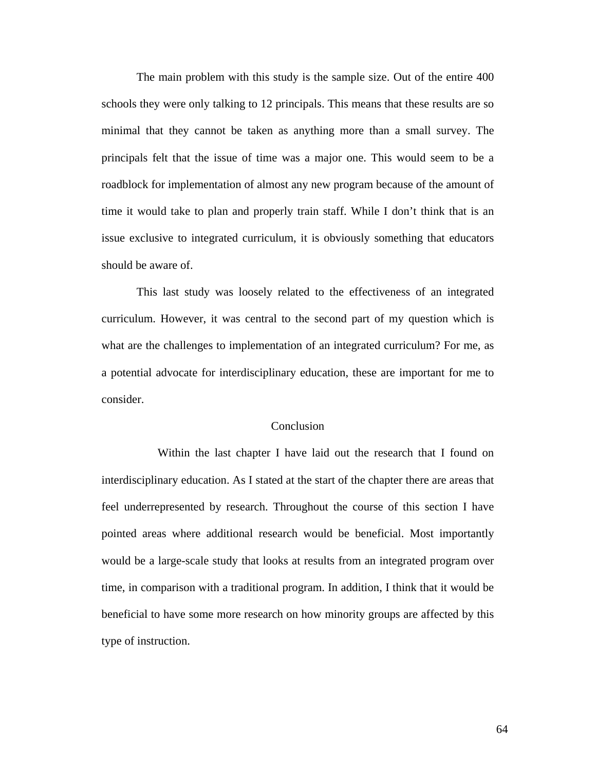The main problem with this study is the sample size. Out of the entire 400 schools they were only talking to 12 principals. This means that these results are so minimal that they cannot be taken as anything more than a small survey. The principals felt that the issue of time was a major one. This would seem to be a roadblock for implementation of almost any new program because of the amount of time it would take to plan and properly train staff. While I don't think that is an issue exclusive to integrated curriculum, it is obviously something that educators should be aware of.

This last study was loosely related to the effectiveness of an integrated curriculum. However, it was central to the second part of my question which is what are the challenges to implementation of an integrated curriculum? For me, as a potential advocate for interdisciplinary education, these are important for me to consider.

## **Conclusion**

 Within the last chapter I have laid out the research that I found on interdisciplinary education. As I stated at the start of the chapter there are areas that feel underrepresented by research. Throughout the course of this section I have pointed areas where additional research would be beneficial. Most importantly would be a large-scale study that looks at results from an integrated program over time, in comparison with a traditional program. In addition, I think that it would be beneficial to have some more research on how minority groups are affected by this type of instruction.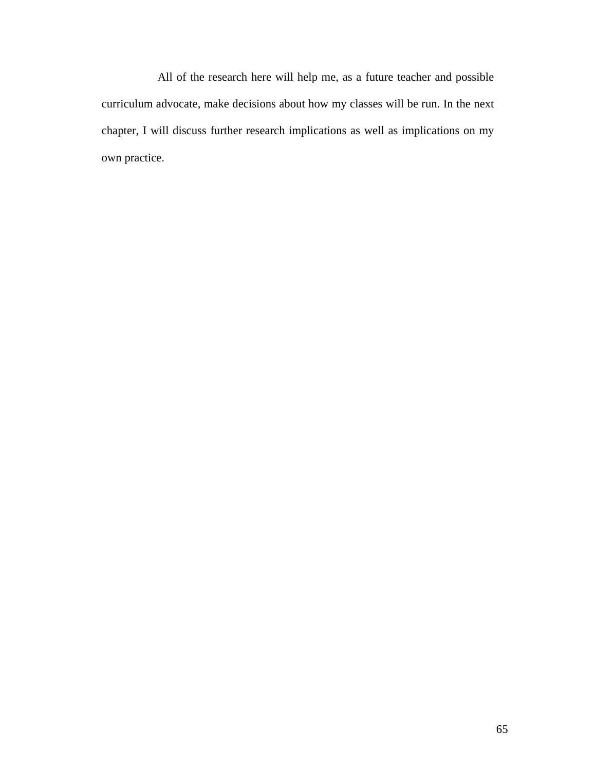All of the research here will help me, as a future teacher and possible curriculum advocate, make decisions about how my classes will be run. In the next chapter, I will discuss further research implications as well as implications on my own practice.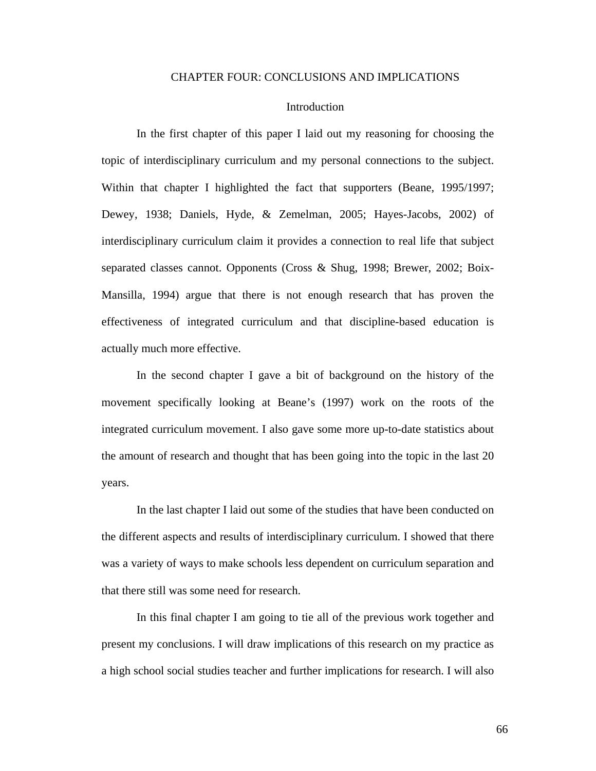## CHAPTER FOUR: CONCLUSIONS AND IMPLICATIONS

## Introduction

In the first chapter of this paper I laid out my reasoning for choosing the topic of interdisciplinary curriculum and my personal connections to the subject. Within that chapter I highlighted the fact that supporters (Beane, 1995/1997; Dewey, 1938; Daniels, Hyde, & Zemelman, 2005; Hayes-Jacobs, 2002) of interdisciplinary curriculum claim it provides a connection to real life that subject separated classes cannot. Opponents (Cross & Shug, 1998; Brewer, 2002; Boix-Mansilla, 1994) argue that there is not enough research that has proven the effectiveness of integrated curriculum and that discipline-based education is actually much more effective.

In the second chapter I gave a bit of background on the history of the movement specifically looking at Beane's (1997) work on the roots of the integrated curriculum movement. I also gave some more up-to-date statistics about the amount of research and thought that has been going into the topic in the last 20 years.

In the last chapter I laid out some of the studies that have been conducted on the different aspects and results of interdisciplinary curriculum. I showed that there was a variety of ways to make schools less dependent on curriculum separation and that there still was some need for research.

In this final chapter I am going to tie all of the previous work together and present my conclusions. I will draw implications of this research on my practice as a high school social studies teacher and further implications for research. I will also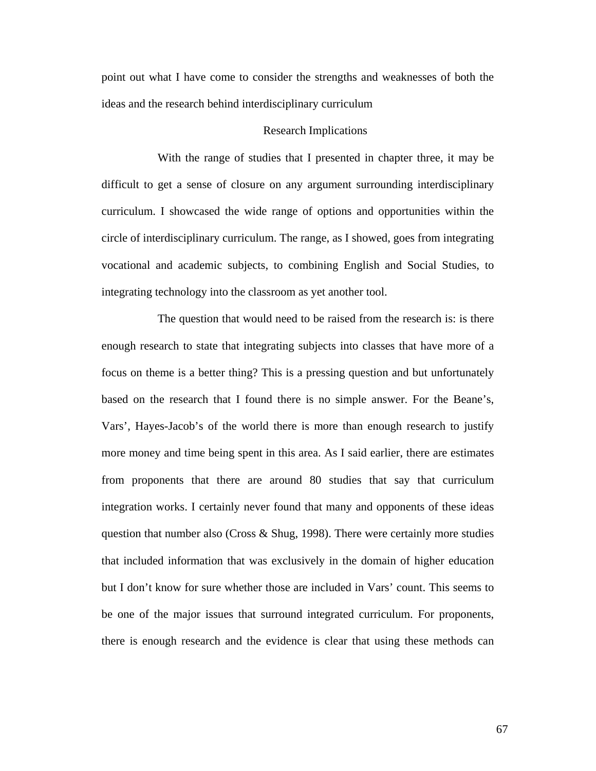point out what I have come to consider the strengths and weaknesses of both the ideas and the research behind interdisciplinary curriculum

## Research Implications

 With the range of studies that I presented in chapter three, it may be difficult to get a sense of closure on any argument surrounding interdisciplinary curriculum. I showcased the wide range of options and opportunities within the circle of interdisciplinary curriculum. The range, as I showed, goes from integrating vocational and academic subjects, to combining English and Social Studies, to integrating technology into the classroom as yet another tool.

 The question that would need to be raised from the research is: is there enough research to state that integrating subjects into classes that have more of a focus on theme is a better thing? This is a pressing question and but unfortunately based on the research that I found there is no simple answer. For the Beane's, Vars', Hayes-Jacob's of the world there is more than enough research to justify more money and time being spent in this area. As I said earlier, there are estimates from proponents that there are around 80 studies that say that curriculum integration works. I certainly never found that many and opponents of these ideas question that number also (Cross  $\&$  Shug, 1998). There were certainly more studies that included information that was exclusively in the domain of higher education but I don't know for sure whether those are included in Vars' count. This seems to be one of the major issues that surround integrated curriculum. For proponents, there is enough research and the evidence is clear that using these methods can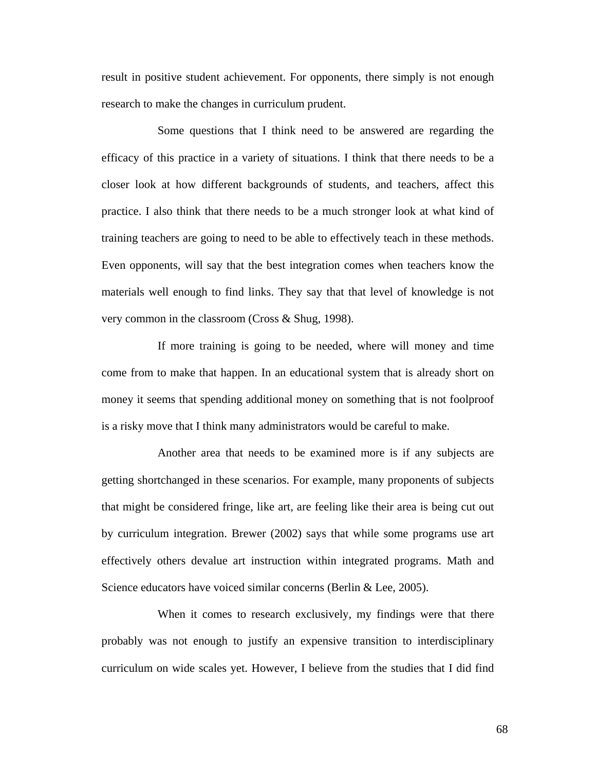result in positive student achievement. For opponents, there simply is not enough research to make the changes in curriculum prudent.

 Some questions that I think need to be answered are regarding the efficacy of this practice in a variety of situations. I think that there needs to be a closer look at how different backgrounds of students, and teachers, affect this practice. I also think that there needs to be a much stronger look at what kind of training teachers are going to need to be able to effectively teach in these methods. Even opponents, will say that the best integration comes when teachers know the materials well enough to find links. They say that that level of knowledge is not very common in the classroom (Cross & Shug, 1998).

 If more training is going to be needed, where will money and time come from to make that happen. In an educational system that is already short on money it seems that spending additional money on something that is not foolproof is a risky move that I think many administrators would be careful to make.

 Another area that needs to be examined more is if any subjects are getting shortchanged in these scenarios. For example, many proponents of subjects that might be considered fringe, like art, are feeling like their area is being cut out by curriculum integration. Brewer (2002) says that while some programs use art effectively others devalue art instruction within integrated programs. Math and Science educators have voiced similar concerns (Berlin & Lee, 2005).

 When it comes to research exclusively, my findings were that there probably was not enough to justify an expensive transition to interdisciplinary curriculum on wide scales yet. However, I believe from the studies that I did find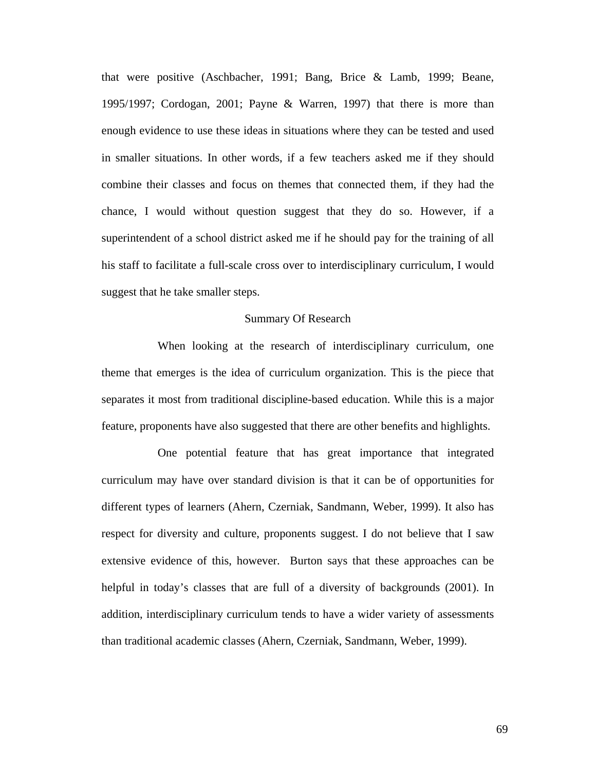that were positive (Aschbacher, 1991; Bang, Brice & Lamb, 1999; Beane, 1995/1997; Cordogan, 2001; Payne & Warren, 1997) that there is more than enough evidence to use these ideas in situations where they can be tested and used in smaller situations. In other words, if a few teachers asked me if they should combine their classes and focus on themes that connected them, if they had the chance, I would without question suggest that they do so. However, if a superintendent of a school district asked me if he should pay for the training of all his staff to facilitate a full-scale cross over to interdisciplinary curriculum, I would suggest that he take smaller steps.

#### Summary Of Research

 When looking at the research of interdisciplinary curriculum, one theme that emerges is the idea of curriculum organization. This is the piece that separates it most from traditional discipline-based education. While this is a major feature, proponents have also suggested that there are other benefits and highlights.

 One potential feature that has great importance that integrated curriculum may have over standard division is that it can be of opportunities for different types of learners (Ahern, Czerniak, Sandmann, Weber, 1999). It also has respect for diversity and culture, proponents suggest. I do not believe that I saw extensive evidence of this, however. Burton says that these approaches can be helpful in today's classes that are full of a diversity of backgrounds (2001). In addition, interdisciplinary curriculum tends to have a wider variety of assessments than traditional academic classes (Ahern, Czerniak, Sandmann, Weber, 1999).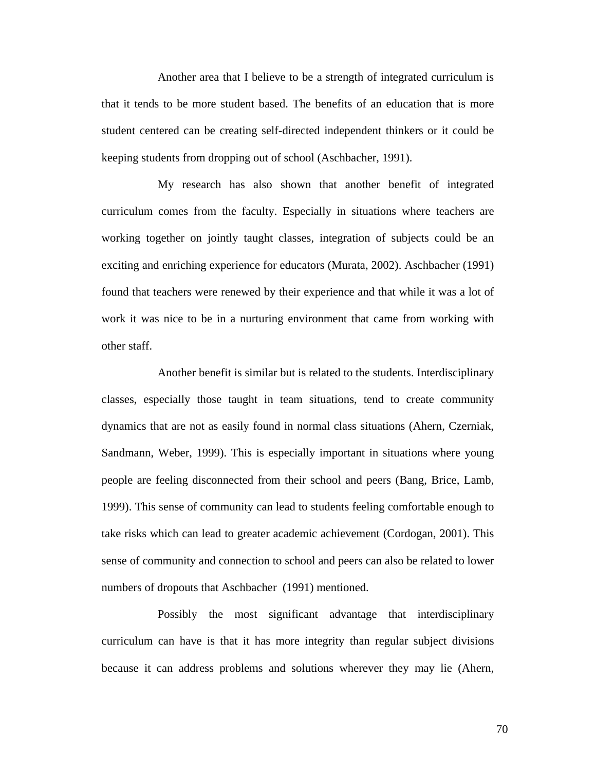Another area that I believe to be a strength of integrated curriculum is that it tends to be more student based. The benefits of an education that is more student centered can be creating self-directed independent thinkers or it could be keeping students from dropping out of school (Aschbacher, 1991).

 My research has also shown that another benefit of integrated curriculum comes from the faculty. Especially in situations where teachers are working together on jointly taught classes, integration of subjects could be an exciting and enriching experience for educators (Murata, 2002). Aschbacher (1991) found that teachers were renewed by their experience and that while it was a lot of work it was nice to be in a nurturing environment that came from working with other staff.

 Another benefit is similar but is related to the students. Interdisciplinary classes, especially those taught in team situations, tend to create community dynamics that are not as easily found in normal class situations (Ahern, Czerniak, Sandmann, Weber, 1999). This is especially important in situations where young people are feeling disconnected from their school and peers (Bang, Brice, Lamb, 1999). This sense of community can lead to students feeling comfortable enough to take risks which can lead to greater academic achievement (Cordogan, 2001). This sense of community and connection to school and peers can also be related to lower numbers of dropouts that Aschbacher (1991) mentioned.

 Possibly the most significant advantage that interdisciplinary curriculum can have is that it has more integrity than regular subject divisions because it can address problems and solutions wherever they may lie (Ahern,

70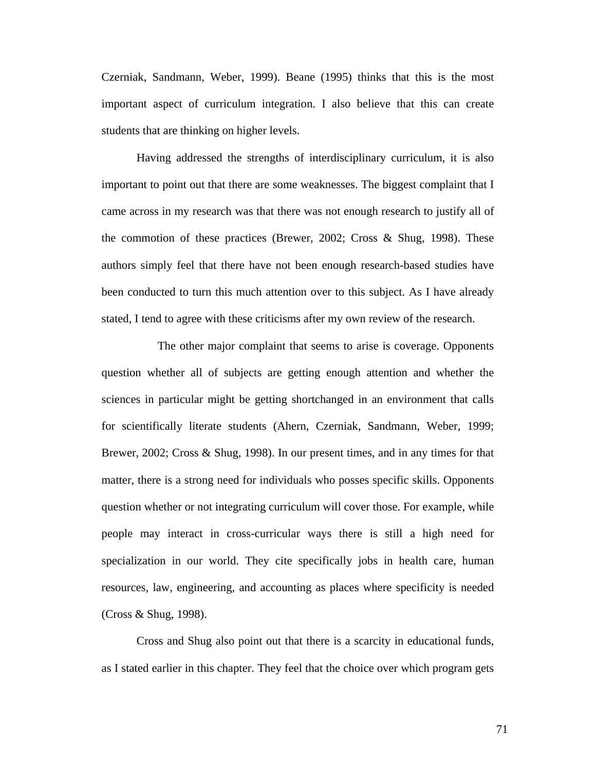Czerniak, Sandmann, Weber, 1999). Beane (1995) thinks that this is the most important aspect of curriculum integration. I also believe that this can create students that are thinking on higher levels.

Having addressed the strengths of interdisciplinary curriculum, it is also important to point out that there are some weaknesses. The biggest complaint that I came across in my research was that there was not enough research to justify all of the commotion of these practices (Brewer, 2002; Cross  $\&$  Shug, 1998). These authors simply feel that there have not been enough research-based studies have been conducted to turn this much attention over to this subject. As I have already stated, I tend to agree with these criticisms after my own review of the research.

 The other major complaint that seems to arise is coverage. Opponents question whether all of subjects are getting enough attention and whether the sciences in particular might be getting shortchanged in an environment that calls for scientifically literate students (Ahern, Czerniak, Sandmann, Weber, 1999; Brewer, 2002; Cross & Shug, 1998). In our present times, and in any times for that matter, there is a strong need for individuals who posses specific skills. Opponents question whether or not integrating curriculum will cover those. For example, while people may interact in cross-curricular ways there is still a high need for specialization in our world. They cite specifically jobs in health care, human resources, law, engineering, and accounting as places where specificity is needed (Cross & Shug, 1998).

Cross and Shug also point out that there is a scarcity in educational funds, as I stated earlier in this chapter. They feel that the choice over which program gets

71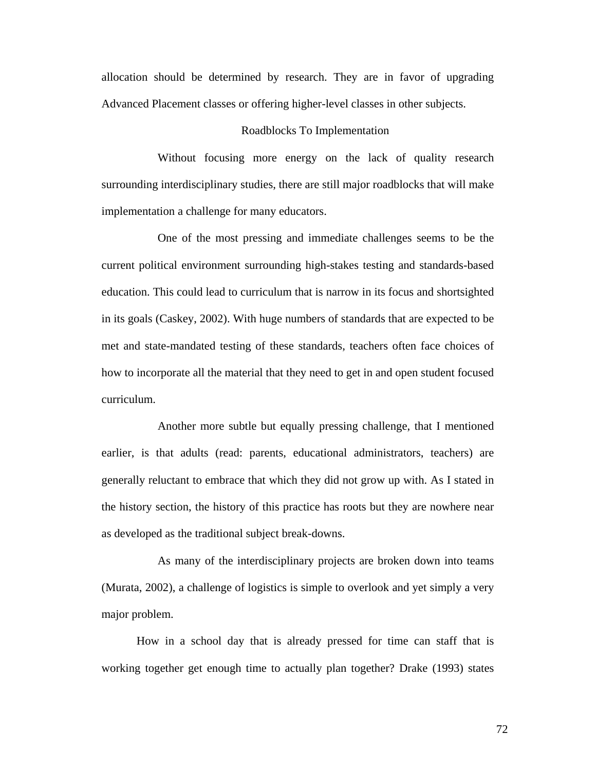allocation should be determined by research. They are in favor of upgrading Advanced Placement classes or offering higher-level classes in other subjects.

## Roadblocks To Implementation

 Without focusing more energy on the lack of quality research surrounding interdisciplinary studies, there are still major roadblocks that will make implementation a challenge for many educators.

 One of the most pressing and immediate challenges seems to be the current political environment surrounding high-stakes testing and standards-based education. This could lead to curriculum that is narrow in its focus and shortsighted in its goals (Caskey, 2002). With huge numbers of standards that are expected to be met and state-mandated testing of these standards, teachers often face choices of how to incorporate all the material that they need to get in and open student focused curriculum.

 Another more subtle but equally pressing challenge, that I mentioned earlier, is that adults (read: parents, educational administrators, teachers) are generally reluctant to embrace that which they did not grow up with. As I stated in the history section, the history of this practice has roots but they are nowhere near as developed as the traditional subject break-downs.

 As many of the interdisciplinary projects are broken down into teams (Murata, 2002), a challenge of logistics is simple to overlook and yet simply a very major problem.

How in a school day that is already pressed for time can staff that is working together get enough time to actually plan together? Drake (1993) states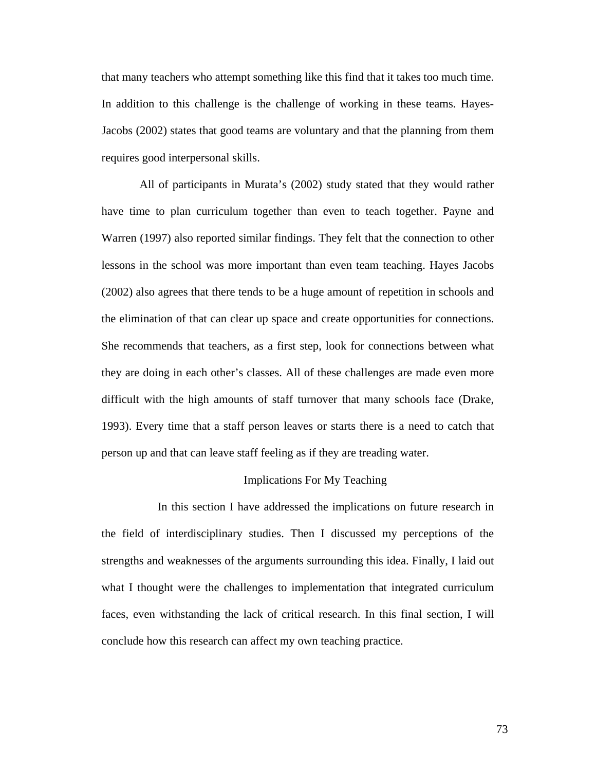that many teachers who attempt something like this find that it takes too much time. In addition to this challenge is the challenge of working in these teams. Hayes-Jacobs (2002) states that good teams are voluntary and that the planning from them requires good interpersonal skills.

 All of participants in Murata's (2002) study stated that they would rather have time to plan curriculum together than even to teach together. Payne and Warren (1997) also reported similar findings. They felt that the connection to other lessons in the school was more important than even team teaching. Hayes Jacobs (2002) also agrees that there tends to be a huge amount of repetition in schools and the elimination of that can clear up space and create opportunities for connections. She recommends that teachers, as a first step, look for connections between what they are doing in each other's classes. All of these challenges are made even more difficult with the high amounts of staff turnover that many schools face (Drake, 1993). Every time that a staff person leaves or starts there is a need to catch that person up and that can leave staff feeling as if they are treading water.

# Implications For My Teaching

 In this section I have addressed the implications on future research in the field of interdisciplinary studies. Then I discussed my perceptions of the strengths and weaknesses of the arguments surrounding this idea. Finally, I laid out what I thought were the challenges to implementation that integrated curriculum faces, even withstanding the lack of critical research. In this final section, I will conclude how this research can affect my own teaching practice.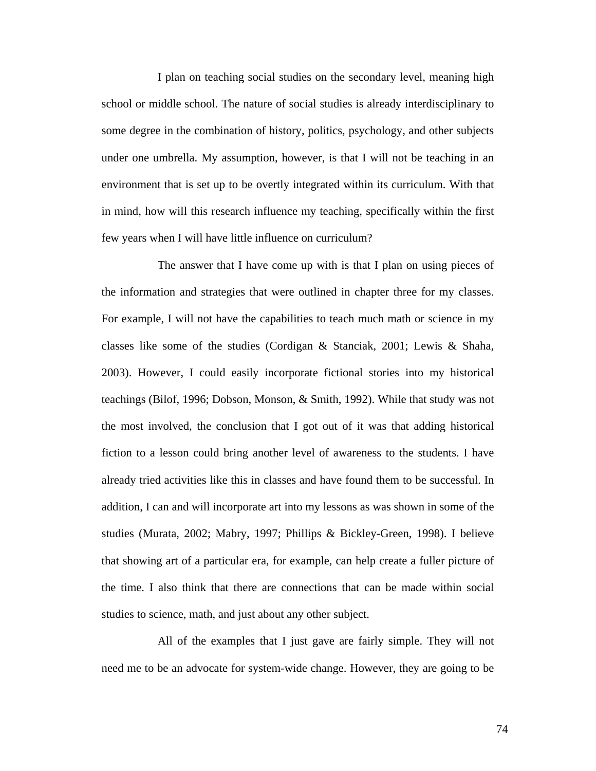I plan on teaching social studies on the secondary level, meaning high school or middle school. The nature of social studies is already interdisciplinary to some degree in the combination of history, politics, psychology, and other subjects under one umbrella. My assumption, however, is that I will not be teaching in an environment that is set up to be overtly integrated within its curriculum. With that in mind, how will this research influence my teaching, specifically within the first few years when I will have little influence on curriculum?

 The answer that I have come up with is that I plan on using pieces of the information and strategies that were outlined in chapter three for my classes. For example, I will not have the capabilities to teach much math or science in my classes like some of the studies (Cordigan & Stanciak, 2001; Lewis & Shaha, 2003). However, I could easily incorporate fictional stories into my historical teachings (Bilof, 1996; Dobson, Monson, & Smith, 1992). While that study was not the most involved, the conclusion that I got out of it was that adding historical fiction to a lesson could bring another level of awareness to the students. I have already tried activities like this in classes and have found them to be successful. In addition, I can and will incorporate art into my lessons as was shown in some of the studies (Murata, 2002; Mabry, 1997; Phillips & Bickley-Green, 1998). I believe that showing art of a particular era, for example, can help create a fuller picture of the time. I also think that there are connections that can be made within social studies to science, math, and just about any other subject.

 All of the examples that I just gave are fairly simple. They will not need me to be an advocate for system-wide change. However, they are going to be

74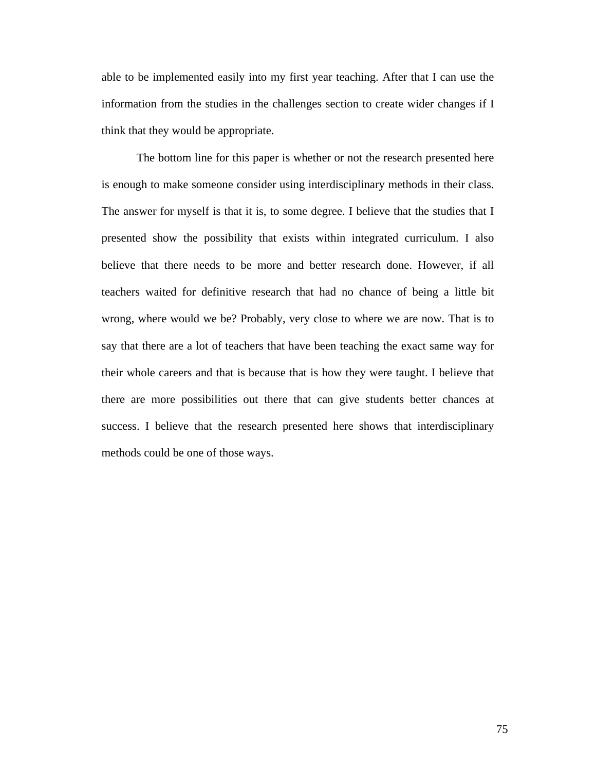able to be implemented easily into my first year teaching. After that I can use the information from the studies in the challenges section to create wider changes if I think that they would be appropriate.

The bottom line for this paper is whether or not the research presented here is enough to make someone consider using interdisciplinary methods in their class. The answer for myself is that it is, to some degree. I believe that the studies that I presented show the possibility that exists within integrated curriculum. I also believe that there needs to be more and better research done. However, if all teachers waited for definitive research that had no chance of being a little bit wrong, where would we be? Probably, very close to where we are now. That is to say that there are a lot of teachers that have been teaching the exact same way for their whole careers and that is because that is how they were taught. I believe that there are more possibilities out there that can give students better chances at success. I believe that the research presented here shows that interdisciplinary methods could be one of those ways.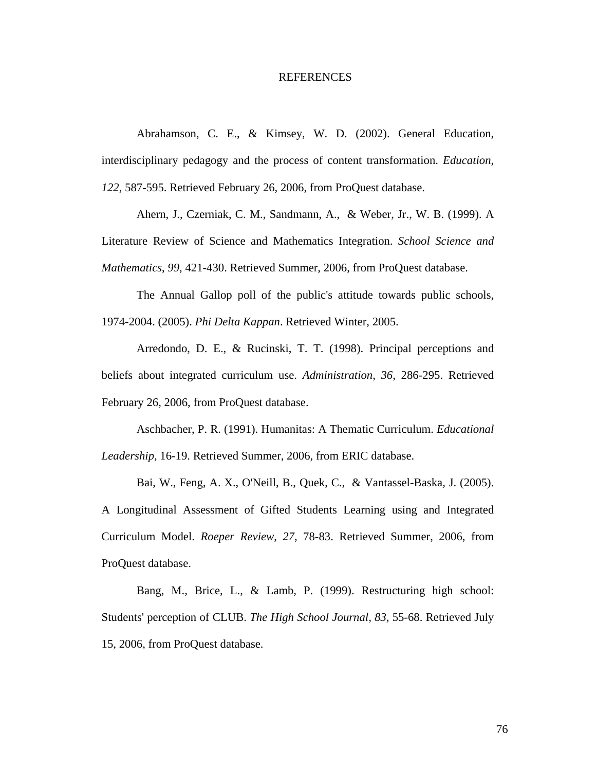### REFERENCES

Abrahamson, C. E., & Kimsey, W. D. (2002). General Education, interdisciplinary pedagogy and the process of content transformation. *Education*, *122*, 587-595. Retrieved February 26, 2006, from ProQuest database.

Ahern, J., Czerniak, C. M., Sandmann, A., & Weber, Jr., W. B. (1999). A Literature Review of Science and Mathematics Integration. *School Science and Mathematics*, *99*, 421-430. Retrieved Summer, 2006, from ProQuest database.

The Annual Gallop poll of the public's attitude towards public schools, 1974-2004. (2005). *Phi Delta Kappan*. Retrieved Winter, 2005.

Arredondo, D. E., & Rucinski, T. T. (1998). Principal perceptions and beliefs about integrated curriculum use. *Administration*, *36*, 286-295. Retrieved February 26, 2006, from ProQuest database.

Aschbacher, P. R. (1991). Humanitas: A Thematic Curriculum. *Educational Leadership*, 16-19. Retrieved Summer, 2006, from ERIC database.

Bai, W., Feng, A. X., O'Neill, B., Quek, C., & Vantassel-Baska, J. (2005).

A Longitudinal Assessment of Gifted Students Learning using and Integrated Curriculum Model. *Roeper Review*, *27*, 78-83. Retrieved Summer, 2006, from ProQuest database.

Bang, M., Brice, L., & Lamb, P. (1999). Restructuring high school: Students' perception of CLUB. *The High School Journal*, *83*, 55-68. Retrieved July 15, 2006, from ProQuest database.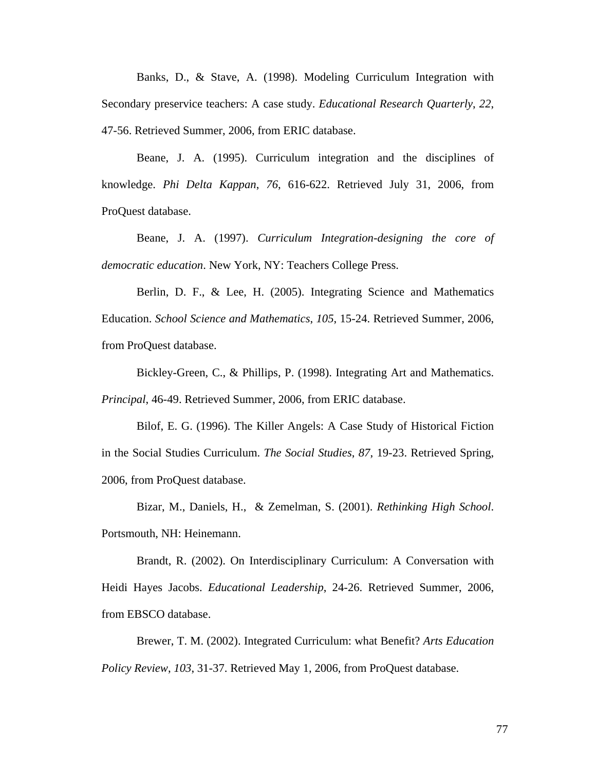Banks, D., & Stave, A. (1998). Modeling Curriculum Integration with Secondary preservice teachers: A case study. *Educational Research Quarterly*, *22*, 47-56. Retrieved Summer, 2006, from ERIC database.

Beane, J. A. (1995). Curriculum integration and the disciplines of knowledge. *Phi Delta Kappan*, *76*, 616-622. Retrieved July 31, 2006, from ProQuest database.

Beane, J. A. (1997). *Curriculum Integration-designing the core of democratic education*. New York, NY: Teachers College Press.

Berlin, D. F., & Lee, H. (2005). Integrating Science and Mathematics Education. *School Science and Mathematics*, *105*, 15-24. Retrieved Summer, 2006, from ProQuest database.

Bickley-Green, C., & Phillips, P. (1998). Integrating Art and Mathematics. *Principal*, 46-49. Retrieved Summer, 2006, from ERIC database.

Bilof, E. G. (1996). The Killer Angels: A Case Study of Historical Fiction in the Social Studies Curriculum. *The Social Studies*, *87*, 19-23. Retrieved Spring, 2006, from ProQuest database.

Bizar, M., Daniels, H., & Zemelman, S. (2001). *Rethinking High School*. Portsmouth, NH: Heinemann.

Brandt, R. (2002). On Interdisciplinary Curriculum: A Conversation with Heidi Hayes Jacobs. *Educational Leadership*, 24-26. Retrieved Summer, 2006, from EBSCO database.

Brewer, T. M. (2002). Integrated Curriculum: what Benefit? *Arts Education Policy Review*, *103*, 31-37. Retrieved May 1, 2006, from ProQuest database.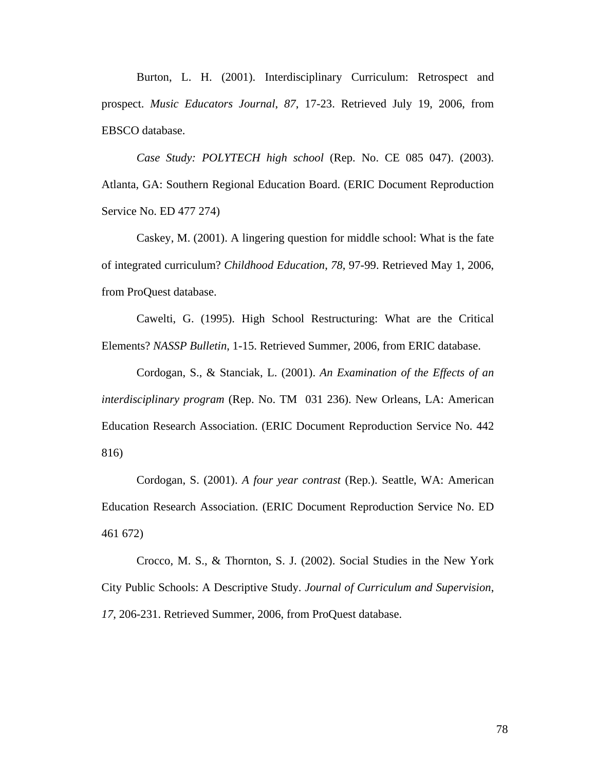Burton, L. H. (2001). Interdisciplinary Curriculum: Retrospect and prospect. *Music Educators Journal*, *87*, 17-23. Retrieved July 19, 2006, from EBSCO database.

*Case Study: POLYTECH high school* (Rep. No. CE 085 047). (2003). Atlanta, GA: Southern Regional Education Board. (ERIC Document Reproduction Service No. ED 477 274)

Caskey, M. (2001). A lingering question for middle school: What is the fate of integrated curriculum? *Childhood Education*, *78*, 97-99. Retrieved May 1, 2006, from ProQuest database.

Cawelti, G. (1995). High School Restructuring: What are the Critical Elements? *NASSP Bulletin*, 1-15. Retrieved Summer, 2006, from ERIC database.

Cordogan, S., & Stanciak, L. (2001). *An Examination of the Effects of an interdisciplinary program* (Rep. No. TM 031 236). New Orleans, LA: American Education Research Association. (ERIC Document Reproduction Service No. 442 816)

Cordogan, S. (2001). *A four year contrast* (Rep.). Seattle, WA: American Education Research Association. (ERIC Document Reproduction Service No. ED 461 672)

Crocco, M. S., & Thornton, S. J. (2002). Social Studies in the New York City Public Schools: A Descriptive Study. *Journal of Curriculum and Supervision*, *17*, 206-231. Retrieved Summer, 2006, from ProQuest database.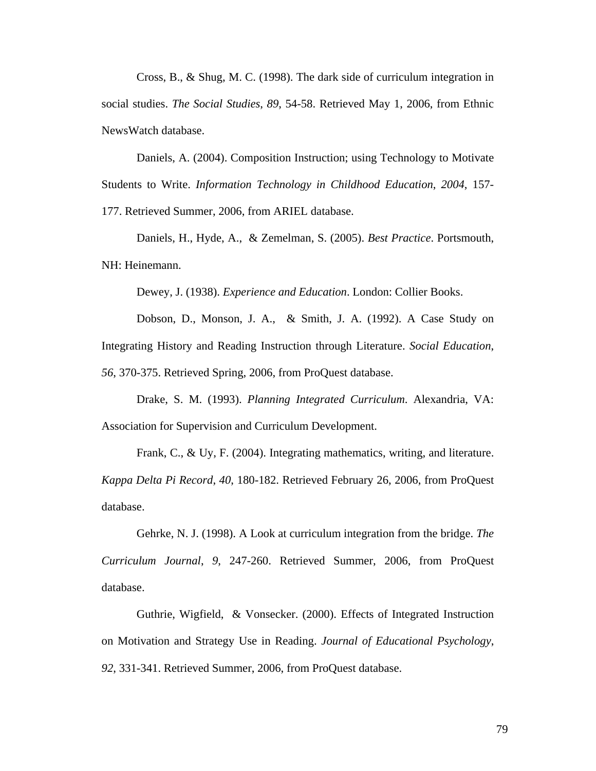Cross, B., & Shug, M. C. (1998). The dark side of curriculum integration in social studies. *The Social Studies*, *89*, 54-58. Retrieved May 1, 2006, from Ethnic NewsWatch database.

Daniels, A. (2004). Composition Instruction; using Technology to Motivate Students to Write. *Information Technology in Childhood Education*, *2004*, 157- 177. Retrieved Summer, 2006, from ARIEL database.

Daniels, H., Hyde, A., & Zemelman, S. (2005). *Best Practice*. Portsmouth, NH: Heinemann.

Dewey, J. (1938). *Experience and Education*. London: Collier Books.

Dobson, D., Monson, J. A., & Smith, J. A. (1992). A Case Study on Integrating History and Reading Instruction through Literature. *Social Education*, *56*, 370-375. Retrieved Spring, 2006, from ProQuest database.

Drake, S. M. (1993). *Planning Integrated Curriculum*. Alexandria, VA: Association for Supervision and Curriculum Development.

Frank, C., & Uy, F. (2004). Integrating mathematics, writing, and literature. *Kappa Delta Pi Record*, *40*, 180-182. Retrieved February 26, 2006, from ProQuest database.

Gehrke, N. J. (1998). A Look at curriculum integration from the bridge. *The Curriculum Journal*, *9*, 247-260. Retrieved Summer, 2006, from ProQuest database.

Guthrie, Wigfield, & Vonsecker. (2000). Effects of Integrated Instruction on Motivation and Strategy Use in Reading. *Journal of Educational Psychology*, *92*, 331-341. Retrieved Summer, 2006, from ProQuest database.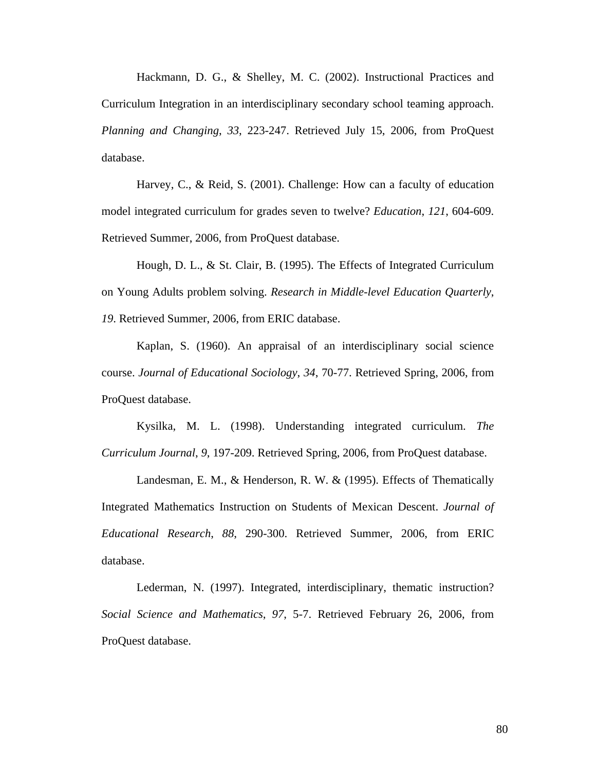Hackmann, D. G., & Shelley, M. C. (2002). Instructional Practices and Curriculum Integration in an interdisciplinary secondary school teaming approach. *Planning and Changing*, *33*, 223-247. Retrieved July 15, 2006, from ProQuest database.

Harvey, C., & Reid, S. (2001). Challenge: How can a faculty of education model integrated curriculum for grades seven to twelve? *Education*, *121*, 604-609. Retrieved Summer, 2006, from ProQuest database.

Hough, D. L., & St. Clair, B. (1995). The Effects of Integrated Curriculum on Young Adults problem solving. *Research in Middle-level Education Quarterly*, *19*. Retrieved Summer, 2006, from ERIC database.

Kaplan, S. (1960). An appraisal of an interdisciplinary social science course. *Journal of Educational Sociology*, *34*, 70-77. Retrieved Spring, 2006, from ProQuest database.

Kysilka, M. L. (1998). Understanding integrated curriculum. *The Curriculum Journal*, *9*, 197-209. Retrieved Spring, 2006, from ProQuest database.

Landesman, E. M., & Henderson, R. W. & (1995). Effects of Thematically Integrated Mathematics Instruction on Students of Mexican Descent. *Journal of Educational Research*, *88*, 290-300. Retrieved Summer, 2006, from ERIC database.

Lederman, N. (1997). Integrated, interdisciplinary, thematic instruction? *Social Science and Mathematics*, *97*, 5-7. Retrieved February 26, 2006, from ProQuest database.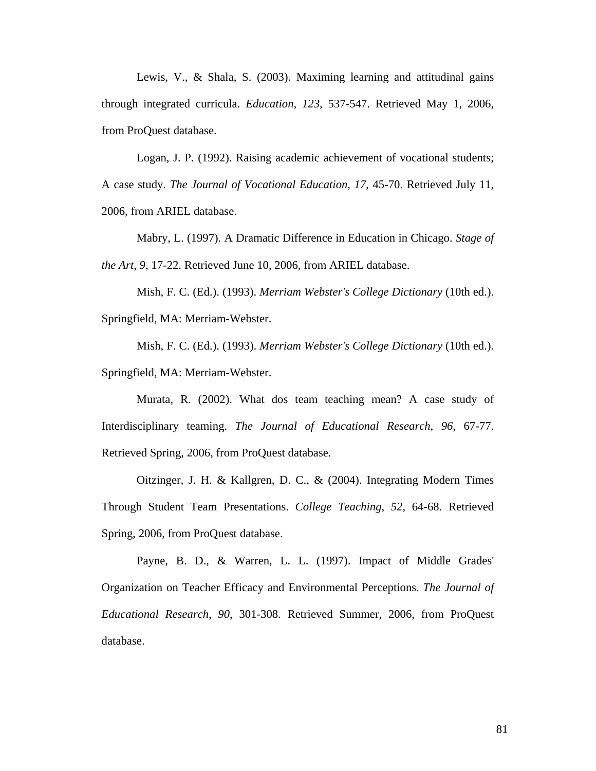Lewis, V., & Shala, S. (2003). Maximing learning and attitudinal gains through integrated curricula. *Education*, *123*, 537-547. Retrieved May 1, 2006, from ProQuest database.

Logan, J. P. (1992). Raising academic achievement of vocational students; A case study. *The Journal of Vocational Education*, *17*, 45-70. Retrieved July 11, 2006, from ARIEL database.

Mabry, L. (1997). A Dramatic Difference in Education in Chicago. *Stage of the Art*, *9*, 17-22. Retrieved June 10, 2006, from ARIEL database.

Mish, F. C. (Ed.). (1993). *Merriam Webster's College Dictionary* (10th ed.). Springfield, MA: Merriam-Webster.

Mish, F. C. (Ed.). (1993). *Merriam Webster's College Dictionary* (10th ed.). Springfield, MA: Merriam-Webster.

Murata, R. (2002). What dos team teaching mean? A case study of Interdisciplinary teaming. *The Journal of Educational Research*, *96*, 67-77. Retrieved Spring, 2006, from ProQuest database.

Oitzinger, J. H. & Kallgren, D. C., & (2004). Integrating Modern Times Through Student Team Presentations. *College Teaching*, *52*, 64-68. Retrieved Spring, 2006, from ProQuest database.

Payne, B. D., & Warren, L. L. (1997). Impact of Middle Grades' Organization on Teacher Efficacy and Environmental Perceptions. *The Journal of Educational Research*, *90*, 301-308. Retrieved Summer, 2006, from ProQuest database.